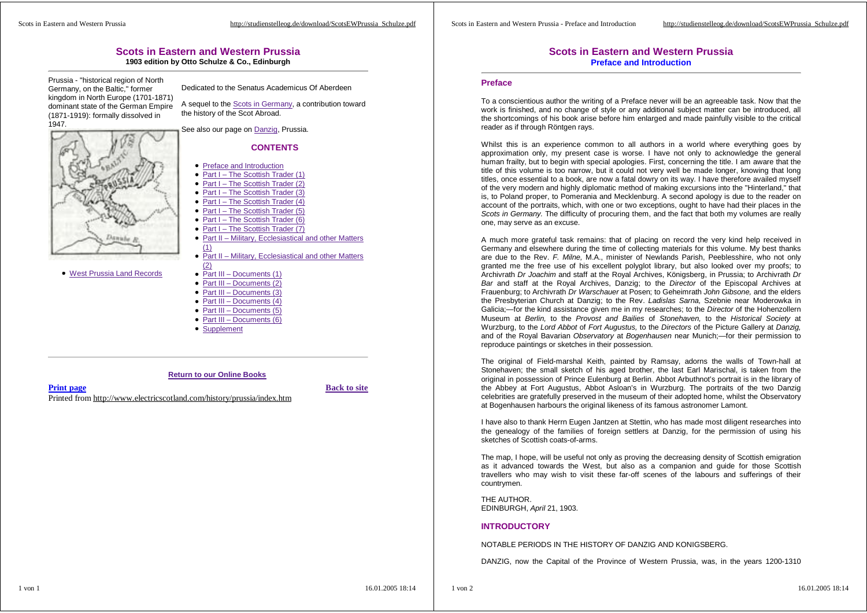### **Scots in Eastern and Western Prussia 1903 edition by Otto Schulze & Co., Edinburgh**

Prussia - "historical region of North Germany, on the Baltic," former kingdom in North Europe (1701-1871) dominant state of the German Empire (1871-1919): formally dissolved in 1947.

Dedicated to the Senatus Academicus Of Aberdeen

A sequel to the Scots in Germany, <sup>a</sup> contribution toward the history of the Scot Abroad.

West Prussia Land Records

**CONTENTS** • Preface and Introduction

• Part I – The Scottish Trader (1)

See also our page on Danzig, Prussia.

- $\bullet$  Part I The Scottish Trader (2)
- Part I The Scottish Trader (3)
- 
- Part I The Scottish Trader  $(4)$
- $\bullet$  Part I The Scottish Trader (5)
- Part I The Scottish Trader  $(6)$
- $\bullet$  Part I The Scottish Trader (7)
- Part II Military, Ecclesiastical and other Matters (1)

### ● Part II – Military, Ecclesiastical and other Matters

- (2) • Part III – Documents (1)
- Part III Documents (2)
- Part III Documents (3)
- $\bullet$  Part III Documents (4)
- Part III Documents (5)
- Part III Documents (6)
- Supplement

### **Return to our Online Books**

### **Print page Back <b>Back Back <b>Back Back Back**

Printed from http://www.electricscotland.com/history/prussia/index.htm

# **Scots in Eastern and Western Prussia Preface and Introduction**

### **Preface**

To <sup>a</sup> conscientious author the writing of <sup>a</sup> Preface never will be an agreeable task. Now that the work is finished, and no change of style or any additional subject matter can be introduced, all the shortcomings of his book arise before him enlarged and made painfully visible to the critical reader as if through Röntgen rays.

Whilst this is an experience common to all authors in <sup>a</sup> world where everything goes by approximation only, my present case is worse. I have not only to acknowledge the general human frailty, but to begin with special apologies. First, concerning the title. I am aware that the title of this volume is too narrow, but it could not very well be made longer, knowing that long titles, once essential to <sup>a</sup> book, are now a fatal dowry on its way. I have therefore availed myself of the very modern and highly diplomatic method of making excursions into the "Hinterland," that is, to Poland proper, to Pomerania and Mecklenburg. A second apology is due to the reader on account of the portraits, which, with one or two exceptions, ought to have had their places in the *Scots in Germany.* The difficulty of procuring them, and the fact that both my volumes are really one, may serve as an excuse.

A much more grateful task remains: that of placing on record the very kind help received in Germany and elsewhere during the time of collecting materials for this volume. My best thanks are due to the Rev. *F. Milne,* M.A., minister of Newlands Parish, Peeblesshire, who not only granted me the free use of his excellent polyglot library, but also looked over my proofs; to Archivrath *Dr Joachim* and staff at the Royal Archives, Königsberg, in Prussia; to Archivrath *Dr Bar* and staff at the Royal Archives, Danzig; to the *Director* of the Episcopal Archives at Frauenburg; to Archivrath *Dr Warschauer* at Posen; to Geheimrath *John Gibsone,* and the elders the Presbyterian Church at Danzig; to the Rev. *Ladislas Sarna,* Szebnie near Moderowka in Galicia;—for the kind assistance given me in my researches; to the *Director* of the Hohenzollern Museum at *Berlin,* to the *Provost and Bailies* of *Stonehaven,* to the *Historical Society* at Wurzburg, to the *Lord Abbot* of *Fort Augustus,* to the *Directors* of the Picture Gallery at *Danzig,* and of the Royal Bavarian *Observatory* at *Bogenhausen* near Munich;—for their permission to reproduce paintings or sketches in their possession.

The original of Field-marshal Keith, painted by Ramsay, adorns the walls of Town-hall at Stonehaven; the small sketch of his aged brother, the last Earl Marischal, is taken from the original in possession of Prince Eulenburg at Berlin. Abbot Arbuthnot's portrait is in the library of the Abbey at Fort Augustus, Abbot Asloan's in Wurzburg. The portraits of the two Danzig celebrities are gratefully preserved in the museum of their adopted home, whilst the Observatory at Bogenhausen harbours the original likeness of its famous astronomer Lamont.

I have also to thank Herrn Eugen Jantzen at Stettin, who has made most diligent researches into the genealogy of the families of foreign settlers at Danzig, for the permission of using his sketches of Scottish coats-of-arms.

The map, I hope, will be useful not only as proving the decreasing density of Scottish emigration as it advanced towards the West, but also as <sup>a</sup> companion and guide for those Scottish travellers who may wish to visit these far-off scenes of the labours and sufferings of their countrymen.

THE AUTHOR. EDINBURGH, *April* 21, 1903.

## **INTRODUCTORY**

### NOTABLE PERIODS IN THE HISTORY OF DANZIG AND KONIGSBERG.

DANZIG, now the Capital of the Province of Western Prussia, was, in the years 1200-1310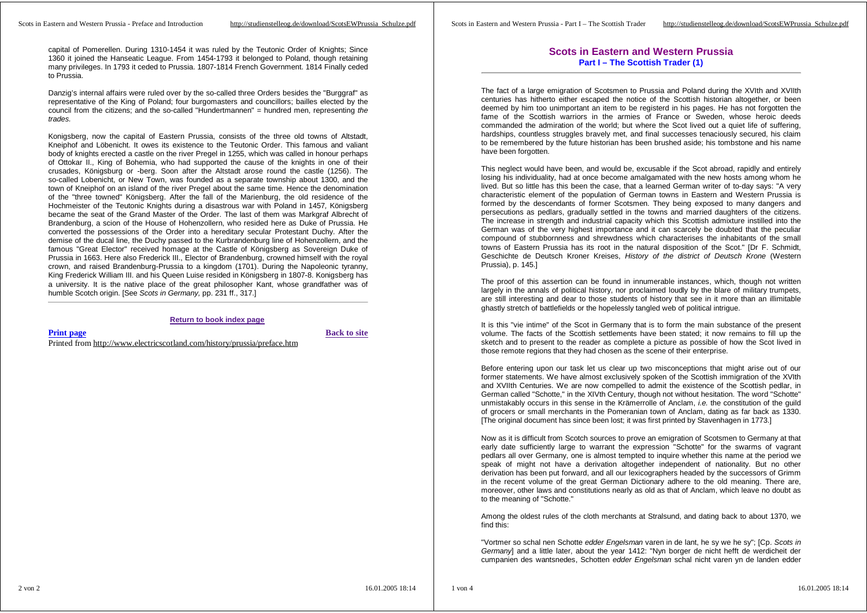capital of Pomerellen. During 1310-1454 it was ruled by the Teutonic Order of Knights; Since 1360 it joined the Hanseatic League. From 1454-1793 it belonged to Poland, though retaining many privileges. In 1793 it ceded to Prussia. 1807-1814 French Government. 1814 Finally ceded to Prussia.

Danzig's internal affairs were ruled over by the so-called three Orders besides the "Burggraf" as representative of the King of Poland; four burgomasters and councillors; bailles elected by the council from the citizens; and the so-called "Hundertmannen" <sup>=</sup> hundred men, representing *the trades.*

Konigsberg, now the capital of Eastern Prussia, consists of the three old towns of Altstadt, Kneiphof and Löbenicht. It owes its existence to the Teutonic Order. This famous and valiant body of knights erected <sup>a</sup> castle on the river Pregel in 1255, which was called in honour perhaps of Ottokar II., King of Bohemia, who had supported the cause of the knights in one of their crusades, Königsburg or -berg. Soon after the Altstadt arose round the castle (1256). The so-called Lobenicht, or New Town, was founded as <sup>a</sup> separate township about 1300, and the town of Kneiphof on an island of the river Pregel about the same time. Hence the denomination of the "three towned" Königsberg. After the fall of the Marienburg, the old residence of the Hochmeister of the Teutonic Knights during <sup>a</sup> disastrous war with Poland in 1457*,* Königsberg became the seat of the Grand Master of the Order. The last of them was Markgraf Albrecht of Brandenburg, <sup>a</sup> scion of the House of Hohenzollern, who resided here as Duke of Prussia. He converted the possessions of the Order into <sup>a</sup> hereditary secular Protestant Duchy. After the demise of the ducal line, the Duchy passed to the Kurbrandenburg line of Hohenzollern, and the famous "Great Elector" received homage at the Castle of Königsberg as Sovereign Duke of Prussia in 1663. Here also Frederick III., Elector of Brandenburg, crowned himself with the royal crown, and raised Brandenburg-Prussia to <sup>a</sup> kingdom (1701). During the Napoleonic tyranny, King Frederick William III. and his Queen Luise resided in Königsberg in 1807-8. Konigsberg has <sup>a</sup> university. It is the native place of the great philosopher Kant, whose grandfather was of humble Scotch origin. [See *Scots in Germany,* pp. 231 ff., 317.]

### **Return to book index page**

**Print page Back to site** 

Printed from http://www.electricscotland.com/history/prussia/preface.htm

**Scots in Eastern and Western Prussia Part I – The Scottish Trader (1)**

The fact of <sup>a</sup> large emigration of Scotsmen to Prussia and Poland during the XVIth and XVIIth centuries has hitherto either escaped the notice of the Scottish historian altogether, or been deemed by him too unimportant an item to be registerd in his pages. He has not forgotten the fame of the Scottish warriors in the armies of France or Sweden, whose heroic deeds commanded the admiration of the world; but where the Scot lived out <sup>a</sup> quiet life of suffering, hardships, countless struggles bravely met, and final successes tenaciously secured, his claim to be remembered by the future historian has been brushed aside; his tombstone and his name have been forgotten.

This neglect would have been, and would be, excusable if the Scot abroad, rapidly and entirely losing his individuality, had at once become amalgamated with the new hosts among whom he lived. But so little has this been the case, that <sup>a</sup> learned German writer of to-day says: "A very characteristic element of the population of German towns in Eastern and Western Prussia is formed by the descendants of former Scotsmen. They being exposed to many dangers and persecutions as pedlars, gradually settled in the towns and married daughters of the citizens. The increase in strength and industrial capacity which this Scottish admixture instilled into the German was of the very highest importance and it can scarcely be doubted that the peculiar compound of stubbornness and shrewdness which characterises the inhabitants of the small towns of Eastern Prussia has its root in the natural disposition of the Scot." [Dr F. Schmidt, Geschichte de Deutsch Kroner Kreises, *History of the district of Deutsch Krone* (Western Prussia), p. 145.]

The proof of this assertion can be found in innumerable instances, which, though not written largely in the annals of political history, nor proclaimed loudly by the blare of military trumpets, are still interesting and dear to those students of history that see in it more than an illimitable ghastly stretch of battlefields or the hopelessly tangled web of political intrigue.

It is this "vie intime" of the Scot in Germany that is to form the main substance of the present volume. The facts of the Scottish settlements have been stated; it now remains to fill up the sketch and to present to the reader as complete <sup>a</sup> picture as possible of how the Scot lived in those remote regions that they had chosen as the scene of their enterprise.

Before entering upon our task let us clear up two misconceptions that might arise out of our former statements. We have almost exclusively spoken of the Scottish immigration of the XVIth and XVIIth Centuries. We are now compelled to admit the existence of the Scottish pedlar, in German called "Schotte," in the XIVth Century, though not without hesitation. The word "Schotte" unmistakably occurs in this sense in the Krämerrolle of Anclam, *i.e.* the constitution of the guild of grocers or small merchants in the Pomeranian town of Anclam, dating as far back as 1330. [The original document has since been lost; it was first printed by Stavenhagen in 1773.]

Now as it is difficult from Scotch sources to prove an emigration of Scotsmen to Germany at that early date sufficiently large to warrant the expression "Schotte" for the swarms of vagrant pedlars all over Germany, one is almost tempted to inquire whether this name at the period we speak of might not have <sup>a</sup> derivation altogether independent of nationality. But no other derivation has been put forward, and all our lexicographers headed by the successors of Grimm in the recent volume of the great German Dictionary adhere to the old meaning. There are, moreover, other laws and constitutions nearly as old as that of Anclam, which leave no doubt as to the meaning of "Schotte."

Among the oldest rules of the cloth merchants at Stralsund, and dating back to about 1370, we find this:

"Vortmer so schal nen Schotte *edder Engelsman* varen in de lant, he sy we he sy"; [Cp. *Scots in Germany*] and <sup>a</sup> little later, about the year 1412: "Nyn borger de nicht hefft de werdicheit der cumpanien des wantsnedes, Schotten *edder Engelsman* schal nicht varen yn de landen edder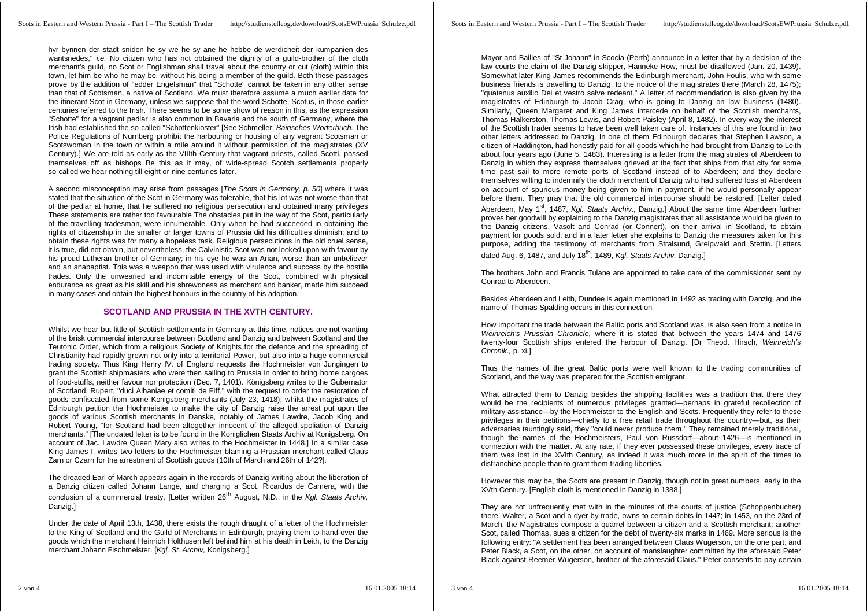hyr bynnen der stadt sniden he sy we he sy ane he hebbe de werdicheit der kumpanien des wantsnedes," *i.e.* No citizen who has not obtained the dignity of <sup>a</sup> guild-brother of the cloth rnerchant's guild, no Scot or Englishman shall travel about the country or cut (cloth) within this town, let him be who he may be, without his being <sup>a</sup> member of the guild. Both these passages prove by the addition of "edder Engelsman" that "Schotte" cannot be taken in any other sense than that of Scotsman, <sup>a</sup> native of Scotland. We must therefore assume <sup>a</sup> much earlier date for the itinerant Scot in Germany, unless we suppose that the word Schotte, Scotus, in those earlier centuries referred to the Irish. There seems to be some show of reason in this, as the expression "Schotte" for <sup>a</sup> vagrant pedlar is also common in Bavaria and the south of Germany, where the Irish had established the so-called "Schottenkioster" [See Schmeller, *Bairisches Worterbuch.* The Police Regulations of Nurnberg prohibit the harbouring or housing of any vagrant Scotsman or Scotswoman in the town or within <sup>a</sup> mile around it without permission of the magistrates (XV Century).] We are told as early as the VIIIth Century that vagrant priests, called Scotti, passed themselves off as bishops Be this as it may, of wide-spread Scotch settlements properly so-called we hear nothing till eight or nine centuries later.

A second misconception may arise from passages [*The Scots in Germany, p. 50*] where it was stated that the situation of the Scot in Germany was tolerable, that his lot was not worse than that of the pedlar at home, that he suffered no religious persecution and obtained many privileges These statements are rather too favourable The obstacles put in the way of the Scot, particularly of the travelling tradesman, were innumerable. Only when he had succeeded in obtaining the rights of citizenship in the smaller or larger towns of Prussia did his difficulties diminish; and to obtain these rights was for many <sup>a</sup> hopeless task. Religious persecutions in the old cruel sense, it is true, did not obtain, but nevertheless, the Calvinistic Scot was not looked upon with favour by his proud Lutheran brother of Germany; in his eye he was an Arian, worse than an unbeliever and an anabaptist. This was <sup>a</sup> weapon that was used with virulence and success by the hostile trades. Only the unwearied and indomitable energy of the Scot, combined with physical endurance as great as his skill and his shrewdness as merchant and banker, made him succeed in many cases and obtain the highest honours in the country of his adoption.

### **SCOTLAND AND PRUSSIA IN THE XVTH CENTURY.**

Whilst we hear but little of Scottish settlements in Germany at this time, notices are not wanting of the brisk commercial intercourse between Scotland and Danzig and between Scotland and the Teutonic Order, which from <sup>a</sup> religious Society of Knights for the defence and the spreading of Christianity had rapidly grown not only into <sup>a</sup> territorial Power, but also into <sup>a</sup> huge commercial trading society. Thus King Henry IV. of England requests the Hochmeister von Jungingen to grant the Scottish shipmasters who were then sailing to Prussia in order to bring home cargoes of food-stuffs, neither favour nor protection (Dec. 7, 1401). Königsberg writes to the Gubernator of Scotland, Rupert, "duci Albaniae et comiti de Fiff," with the request to order the restoration of goods confiscated from some Konigsberg merchants (July 23, 1418); whilst the magistrates of Edinburgh petition the Hochmeister to make the city of Danzig raise the arrest put upon the goods of various Scottish merchants in Danske, notably of James Lawdre, Jacob King and Robert Young, "for Scotland had been altogether innocent of the alleged spoliation of Danzig merchants." [The undated letter is to be found in the Koniglichen Staats Archiv at Konigsberg. On account of Jac. Lawdre Queen Mary also writes to the Hochmeister in 1448.] In <sup>a</sup> similar case King James I. writes two letters to the Hochmeister blaming <sup>a</sup> Prussian merchant called Claus Zarn or Czarn for the arrestment of Scottish goods (10th of March and 26th of 142?].

The dreaded Earl of March appears again in the records of Danzig writing about the liberation of <sup>a</sup> Danzig citizen called Johann Lange, and charging <sup>a</sup> Scot, Ricardus de Camera, with the conclusion of <sup>a</sup> commercial treaty. [Letter written <sup>26</sup>th August, N.D., in the *Kgl. Staats Archiv,* Danzig.]

Under the date of April 13th, 1438, there exists the rough draught of <sup>a</sup> letter of the Hochmeister to the King of Scotland and the Guild of Merchants in Edinburgh, praying them to hand over the goods which the merchant Heinrich Holthusen left behind him at his death in Leith, to the Danzig merchant Johann Fischmeister. [*Kgl. St. Archiv,* Konigsberg.]

Mayor and Bailies of "St Johann" in Scocia (Perth) announce in <sup>a</sup> letter that by <sup>a</sup> decision of the law-courts the claim of the Danzig skipper, Hanneke How, must be disallowed (Jan. 20, 1439). Somewhat later King James recommends the Edinburgh merchant, John Foulis, who with some business friends is travelling to Danzig, to the notice of the magistrates there (March 28, 1475); "quatenus auxilio Dei et vestro salve redeant." A letter of recommendation is also given by the magistrates of Edinburgh to Jacob Crag, who is going to Danzig on law business (1480). Similarly, Queen Margaret and King James intercede on behalf of the Scottish merchants, Thomas Halkerston, Thomas Lewis, and Robert Paisley (April 8, 1482). In every way the interest of the Scottish trader seems to have been well taken care of. Instances of this are found in two other letters addressed to Danzig. In one of them Edinburgh declares that Stephen Lawson, a citizen of Haddington, had honestly paid for all goods which he had brought from Danzig to Leith about four years ago (June 5, 1483). Interesting is <sup>a</sup> letter from the magistrates of Aberdeen to Danzig in which they express themselves grieved at the fact that ships from that city for some time past sail to more remote ports of Scotland instead of to Aberdeen; and they declare themselves willing to indemnify the cloth merchant of Danzig who had suffered loss at Aberdeen on account of spurious money being given to him in payment, if he would personally appear before them. They pray that the old commercial intercourse should be restored. [Letter dated

Aberdeen, May 1st, 1487, *Kgl. Staats Archiv.,* Danzig.] About the same time Aberdeen further proves her goodwill by explaining to the Danzig magistrates that all assistance would be given to the Danzig citizens, Vasolt and Conrad (or Connert), on their arrival in Scotland, to obtain payment for goods sold; and in <sup>a</sup> later letter she explains to Danzig the measures taken for this purpose, adding the testimony of merchants from Stralsund, Greipwald and Stettin. [Letters dated Aug. 6, 1487, and July <sup>18</sup>th, 1489, *Kgl. Staats Archiv,* Danzig.]

The brothers John and Francis Tulane are appointed to take care of the commissioner sent by Conrad to Aberdeen.

Besides Aberdeen and Leith, Dundee is again mentioned in 1492 as trading with Danzig, and the name of Thomas Spalding occurs in this connection.

How important the trade between the Baltic ports and Scotland was, is also seen from <sup>a</sup> notice in *Weinreich's Prussian Chronicle,* where it is stated that between the years 1474 and 1476 twenty-four Scottish ships entered the harbour of Danzig. [Dr Theod. Hirsch, *Weinreich's Chronik.,* p. xi.]

Thus the names of the great Baltic ports were well known to the trading communities of Scotland, and the way was prepared for the Scottish emigrant.

What attracted them to Danzig besides the shipping facilities was a tradition that there they would be the recipients of numerous privileges granted—perhaps in grateful recollection of military assistance—by the Hochmeister to the English and Scots. Frequently they refer to these privileges in their petitions—chiefly to <sup>a</sup> free retail trade throughout the country—but, as their adversaries tauntingly said, they "could never produce them." They remained merely traditional, though the names of the Hochmeisters, Paul von Russdorf—about 1426—is mentioned in connection with the matter. At any rate, if they ever possessed these privileges, every trace of them was lost in the XVIth Century, as indeed it was much more in the spirit of the times to disfranchise people than to grant them trading liberties.

However this may be, the Scots are present in Danzig, though not in great numbers, early in the XVth Century. [English cloth is mentioned in Danzig in 1388.]

They are not unfrequently met with in the minutes of the courts of justice (Schoppenbucher) there. Walter, <sup>a</sup> Scot and <sup>a</sup> dyer by trade, owns to certain debts in 1447; in 1453, on the 23rd of March, the Magistrates compose <sup>a</sup> quarrel between <sup>a</sup> citizen and <sup>a</sup> Scottish merchant; another Scot, called Thomas, sues <sup>a</sup> citizen for the debt of twenty-six marks in 1469. More serious is the following entry: "A settlement has been arranged between Claus Wugerson, on the one part, and Peter Black, <sup>a</sup> Scot, on the other, on account of manslaughter committed by the aforesaid Peter Black against Reemer Wugerson, brother of the aforesaid Claus." Peter consents to pay certain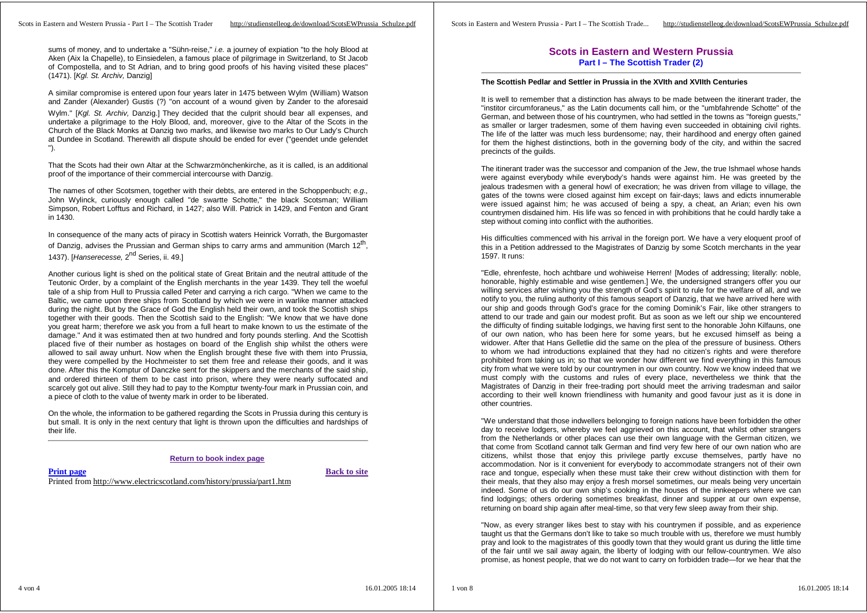sums of money, and to undertake <sup>a</sup> "Sühn-reise," *i.e.* <sup>a</sup> journey of expiation "to the holy Blood at Aken (Aix la Chapelle), to Einsiedelen, <sup>a</sup> famous place of pilgrimage in Switzerland, to St Jacob of Compostella, and to St Adrian, and to bring good proofs of his having visited these places" (1471). [*Kgl. St. Archiv,* Danzig]

A similar compromise is entered upon four years later in 1475 between Wylm (William) Watson and Zander (Alexander) Gustis (?) "on account of <sup>a</sup> wound given by Zander to the aforesaid

Wylm." [*Kgl. St. Archiv,* Danzig.] They decided that the culprit should bear all expenses, and undertake <sup>a</sup> pilgrimage to the Holy Blood, and, moreover, give to the Altar of the Scots in the Church of the Black Monks at Danzig two marks, and likewise two marks to Our Lady's Church at Dundee in Scotland. Therewith all dispute should be ended for ever ("geendet unde gelendet ").

That the Scots had their own Altar at the Schwarzmönchenkirche, as it is called, is an additional proof of the importance of their commercial intercourse with Danzig.

The names of other Scotsmen, together with their debts, are entered in the Schoppenbuch; *e.g.,* John Wylinck, curiously enough called "de swartte Schotte," the black Scotsman; William Simpson, Robert Lofftus and Richard, in 1427; also Will. Patrick in 1429, and Fenton and Grant in 1430.

In consequence of the many acts of piracy in Scottish waters Heinrick Vorrath, the Burgomaster

of Danzig, advises the Prussian and German ships to carry arms and ammunition (March  $12<sup>th</sup>$ , 1437). [*Hanserecesse,* <sup>2</sup>nd Series, ii. 49.]

Another curious light is shed on the political state of Great Britain and the neutral attitude of the Teutonic Order, by <sup>a</sup> complaint of the English merchants in the year 1439. They tell the woeful tale of <sup>a</sup> ship from Hull to Prussia called Peter and carrying <sup>a</sup> rich cargo. "When we came to the Baltic, we came upon three ships from Scotland by which we were in warlike manner attacked during the night. But by the Grace of God the English held their own, and took the Scottish ships together with their goods. Then the Scottish said to the English: "We know that we have done you great harm; therefore we ask you from <sup>a</sup> full heart to make known to us the estimate of the damage." And it was estimated then at two hundred and forty pounds sterling. And the Scottish placed five of their number as hostages on board of the English ship whilst the others were allowed to sail away unhurt. Now when the English brought these five with them into Prussia, they were compelled by the Hochmeister to set them free and release their goods, and it was done. After this the Komptur of Danczke sent for the skippers and the merchants of the said ship, and ordered thirteen of them to be cast into prison, where they were nearly suffocated and scarcely got out alive. Still they had to pay to the Komptur twenty-four mark in Prussian coin, and <sup>a</sup> piece of cloth to the value of twenty mark in order to be liberated.

On the whole, the information to be gathered regarding the Scots in Prussia during this century is but small. It is only in the next century that light is thrown upon the difficulties and hardships of their life.

### **Return to book index page**

### **Print page Back <b>b Back <b>b Back b Back b Back b Back**

Printed from http://www.electricscotland.com/history/prussia/part1.htm

# **Scots in Eastern and Western Prussia Part I – The Scottish Trader (2)**

### **The Scottish Pedlar and Settler in Prussia in the XVIth and XVIIth Centuries**

It is well to remember that <sup>a</sup> distinction has always to be made between the itinerant trader, the "institor circumforaneus," as the Latin documents call him, or the "umbfahrende Schotte" of the German, and between those of his countrymen, who had settled in the towns as "foreign guests," as smaller or larger tradesmen, some of them having even succeeded in obtaining civil rights. The life of the latter was much less burdensome; nay, their hardihood and energy often gained for them the highest distinctions, both in the governing body of the city, and within the sacred precincts of the guilds.

The itinerant trader was the successor and companion of the Jew, the true Ishmael whose hands were against everybody while everybody's hands were against him. He was greeted by the jealous tradesmen with <sup>a</sup> general howl of execration; he was driven from village to village, the gates of the towns were closed against him except on fair-days; laws and edicts innumerable were issued against him; he was accused of being <sup>a</sup> spy, <sup>a</sup> cheat, an Arian; even his own countrymen disdained him. His life was so fenced in with prohibitions that he could hardly take a step without coming into conflict with the authorities.

His difficulties commenced with his arrival in the foreign port. We have <sup>a</sup> very eloquent proof of this in <sup>a</sup> Petition addressed to the Magistrates of Danzig by some Scotch merchants in the year 1597. It runs:

"Edle, ehrenfeste, hoch achtbare und wohiweise Herren! [Modes of addressing; literally: noble, honorable, highly estimable and wise gentlemen.] We, the undersigned strangers offer you our willing services after wishing you the strength of God's spirit to rule for the welfare of all, and we notify to you, the ruling authority of this famous seaport of Danzig, that we have arrived here with our ship and goods through God's grace for the coming Dominik's Fair, like other strangers to attend to our trade and gain our modest profit. But as soon as we left our ship we encountered the difficulty of finding suitable lodgings, we having first sent to the honorable John Kilfauns, one of our own nation, who has been here for some years, but he excused himself as being a widower. After that Hans Gelletlie did the same on the plea of the pressure of business. Others to whom we had introductions explained that they had no citizen's rights and were therefore prohibited from taking us in; so that we wonder how different we find everything in this famous city from what we were told by our countrymen in our own country. Now we know indeed that we must comply with the customs and rules of every place, nevertheless we think that the Magistrates of Danzig in their free-trading port should meet the arriving tradesman and sailor according to their well known friendliness with humanity and good favour just as it is done in other countries.

"We understand that those indwellers belonging to foreign nations have been forbidden the other day to receive lodgers, whereby we feel aggrieved on this account, that whilst other strangers from the Netherlands or other places can use their own language with the German citizen, we that come from Scotland cannot talk German and find very few here of our own nation who are citizens, whilst those that enjoy this privilege partly excuse themselves, partly have no accommodation. Nor is it convenient for everybody to accommodate strangers not of their own race and tongue, especially when these must take their crew without distinction with them for their meals, that they also may enjoy <sup>a</sup> fresh morsel sometimes, our meals being very uncertain indeed. Some of us do our own ship's cooking in the houses of the innkeepers where we can find lodgings; others ordering sometimes breakfast, dinner and supper at our own expense, returning on board ship again after meal-time, so that very few sleep away from their ship.

"Now, as every stranger likes best to stay with his countrymen if possible, and as experience taught us that the Germans don't like to take so much trouble with us, therefore we must humbly pray and look to the magistrates of this goodly town that they would grant us during the little time of the fair until we sail away again, the liberty of lodging with our fellow-countrymen. We also promise, as honest people, that we do not want to carry on forbidden trade—for we hear that the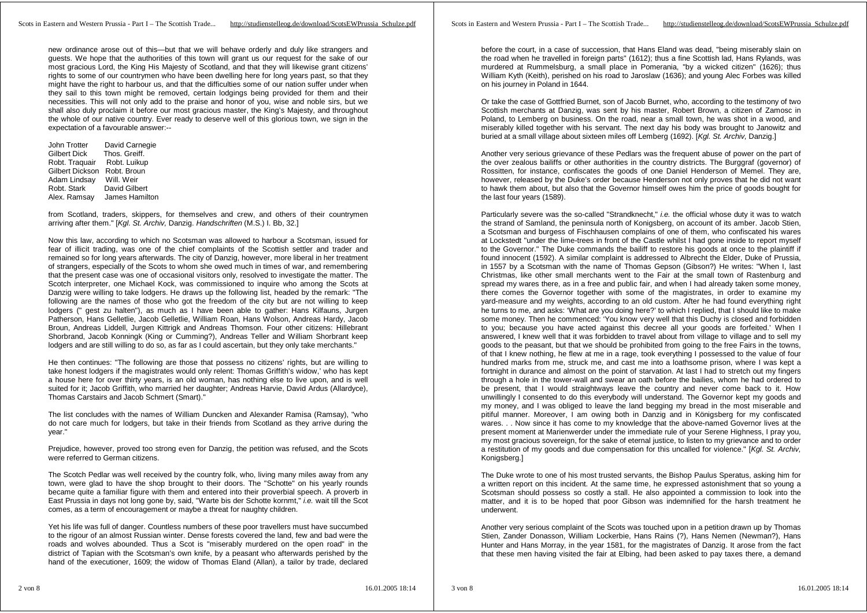new ordinance arose out of this—but that we will behave orderly and duly like strangers and guests. We hope that the authorities of this town will grant us our request for the sake of our most gracious Lord, the King His Majesty of Scotland, and that they will likewise grant citizens' rights to some of our countrymen who have been dwelling here for long years past, so that they might have the right to harbour us, and that the difficulties some of our nation suffer under when they sail to this town might be removed, certain lodgings being provided for them and their necessities. This will not only add to the praise and honor of you, wise and noble sirs, but we shall also duly proclaim it before our most gracious master, the King's Majesty, and throughout the whole of our native country. Ever ready to deserve well of this glorious town, we sign in the expectation of <sup>a</sup> favourable answer:--

John Trotter David Carnegie Gilbert Dick Thos. Greiff. Robt. Traquair Robt. Luikup Gilbert Dickson Robt. Broun Adam Lindsay Will. Weir Robt. Stark David Gilbert Alex. Ramsay James Hamilton

from Scotland, traders, skippers, for themselves and crew, and others of their countrymen arriving after them." [*Kgl. St. Archiv,* Danzig. *Handschriften* (M.S.) I. Bb, 32.]

Now this law, according to which no Scotsman was allowed to harbour <sup>a</sup> Scotsman, issued for fear of illicit trading, was one of the chief complaints of the Scottish settler and trader and remained so for long years afterwards. The city of Danzig, however, more liberal in her treatment of strangers, especially of the Scots to whom she owed much in times of war, and remembering that the present case was one of occasional visitors only, resolved to investigate the matter. The Scotch interpreter, one Michael Kock, was commissioned to inquire who among the Scots at Danzig were willing to take lodgers. He draws up the following list, headed by the remark: "The following are the names of those who got the freedom of the city but are not willing to keep lodgers (" gest zu halten"), as much as I have been able to gather: Hans Kilfauns, Jurgen Patherson, Hans Gelletlie, Jacob Gelletlie, William Roan, Hans Wolson, Andreas Hardy, Jacob Broun, Andreas Liddell, Jurgen Kittrigk and Andreas Thomson. Four other citizens: Hillebrant Shorbrand, Jacob Konningk (King or Cumming?), Andreas Teller and William Shorbrant keep lodgers and are still willing to do so, as far as I could ascertain, but they only take merchants."

He then continues: "The following are those that possess no citizens' rights, but are willing to take honest lodgers if the magistrates would only relent: Thomas Griffith's widow,' who has kept <sup>a</sup> house here for over thirty years, is an old woman, has nothing else to live upon, and is well suited for it; Jacob Griffith, who married her daughter; Andreas Harvie, David Ardus (Allardyce), Thomas Carstairs and Jacob Schmert (Smart)."

The list concludes with the names of William Duncken and Alexander Ramisa (Ramsay), "who do not care much for lodgers, but take in their friends from Scotland as they arrive during the year."

Prejudice, however, proved too strong even for Danzig, the petition was refused, and the Scots were referred to German citizens.

The Scotch Pedlar was well received by the country folk, who, living many miles away from any town, were glad to have the shop brought to their doors. The "Schotte" on his yearly rounds became quite <sup>a</sup> familiar figure with them and entered into their proverbial speech. A proverb in East Prussia in days not long gone by, said, "Warte bis der Schotte kornmt," *i.e.* wait till the Scot comes, as a term of encouragement or maybe <sup>a</sup> threat for naughty children.

Yet his life was full of danger. Countless numbers of these poor travellers must have succumbed to the rigour of an almost Russian winter. Dense forests covered the land, few and bad were the roads and wolves abounded. Thus <sup>a</sup> Scot is "miserably murdered on the open road" in the district of Tapian with the Scotsman's own knife, by <sup>a</sup> peasant who afterwards perished by the hand of the executioner, 1609; the widow of Thomas Eland (Allan), <sup>a</sup> tailor by trade, declared before the court, in <sup>a</sup> case of succession, that Hans Eland was dead, "being miserably slain on the road when he travelled in foreign parts" (1612); thus <sup>a</sup> fine Scottish lad, Hans Rylands, was murdered at Rummelsburg, <sup>a</sup> small place in Pomerania, "by <sup>a</sup> wicked citizen" (1626); thus William Kyth (Keith), perished on his road to Jaroslaw (1636); and young Alec Forbes was killed on his journey in Poland in 1644.

Or take the case of Gottfried Burnet, son of Jacob Burnet, who, according to the testimony of two Scottish merchants at Danzig, was sent by his master, Robert Brown, a citizen of Zamosc in Poland, to Lemberg on business. On the road, near <sup>a</sup> small town, he was shot in <sup>a</sup> wood, and miserably killed together with his servant. The next day his body was brought to Janowitz and buried at <sup>a</sup> small village about sixteen miles off Lemberg (1692). [*Kgl. St. Archiv,* Danzig.]

Another very serious grievance of these Pedlars was the frequent abuse of power on the part of the over zealous bailiffs or other authorities in the country districts. The Burggraf (governor) of Rossitten, for instance, confiscates the goods of one Daniel Henderson of Memel. They are, however, released by the Duke's order because Henderson not only proves that he did not want to hawk them about, but also that the Governor himself owes him the price of goods bought for the last four years (1589).

Particularly severe was the so-called "Strandknecht," *i.e.* the official whose duty it was to watch the strand of Samland, the peninsula north of Konigsberg, on account of its amber. Jacob Stien, <sup>a</sup> Scotsman and burgess of Fischhausen complains of one of them, who confiscated his wares at Lockstedt "under the lime-trees in front of the Castle whilst I had gone inside to report myself to the Governor." The Duke commands the bailiff to restore his goods at once to the plaintiff if found innocent (1592). A similar complaint is addressed to Albrecht the Elder, Duke of Prussia, in 1557 by <sup>a</sup> Scotsman with the name of Thomas Gepson (Gibson?) He writes: "When I, last Christmas, like other small merchants went to the Fair at the small town of Rastenburg and spread my wares there, as in <sup>a</sup> free and public fair, and when I had already taken some money, there comes the Governor together with some of the magistrates, in order to examine my yard-measure and my weights, according to an old custom. After he had found everything right he turns to me, and asks: 'What are you doing here?' to which I replied, that I should like to make some money. Then he commenced: 'You know very well that this Duchy is closed and forbidden to you; because you have acted against this decree all your goods are forfeited.' When I answered, I knew well that it was forbidden to travel about from village to village and to sell my goods to the peasant, but that we should be prohibited from going to the free Fairs in the towns, of that I knew nothing, he flew at me in <sup>a</sup> rage, took everything I possessed to the value of four hundred marks from me, struck me, and cast me into <sup>a</sup> loathsome prison, where I was kept a fortnight in durance and almost on the point of starvation. At last I had to stretch out my fingers through <sup>a</sup> hole in the tower-wall and swear an oath before the bailies, whom he had ordered to be present, that I would straightways leave the country and never come back to it. How unwillingly I consented to do this everybody will understand. The Governor kept my goods and my money, and I was obliged to leave the land begging my bread in the most miserable and pitiful manner. Moreover, I am owing both in Danzig and in Königsberg for my confiscated wares. . . Now since it has come to my knowledge that the above-named Governor lives at the present moment at Marienwerder under the immediate rule of your Serene Highness, I pray you, my most gracious sovereign, for the sake of eternal justice, to listen to my grievance and to order <sup>a</sup> restitution of my goods and due compensation for this uncalled for violence." [*Kgl. St. Archiv,* Konigsberg.]

The Duke wrote to one of his most trusted servants, the Bishop Paulus Speratus, asking him for <sup>a</sup> written report on this incident. At the same time, he expressed astonishment that so young a Scotsman should possess so costly <sup>a</sup> stall. He also appointed <sup>a</sup> commission to look into the matter, and it is to be hoped that poor Gibson was indemnified for the harsh treatment he underwent.

Another very serious complaint of the Scots was touched upon in <sup>a</sup> petition drawn up by Thomas Stien, Zander Donasson, William Lockerbie, Hans Rains (?), Hans Nemen (Newman?), Hans Hunter and Hans Morray, in the year 1581, for the magistrates of Danzig. It arose from the fact that these men having visited the fair at Elbing, had been asked to pay taxes there, <sup>a</sup> demand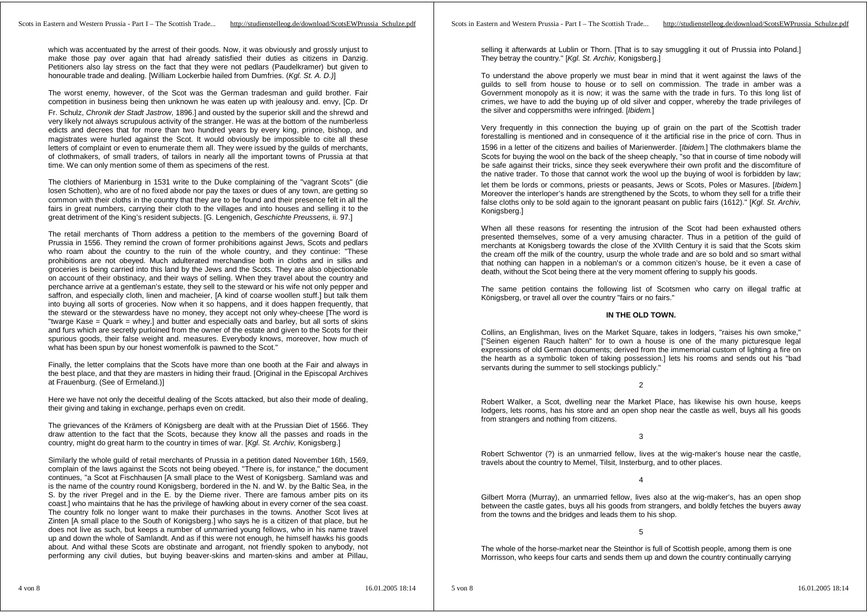which was accentuated by the arrest of their goods. Now, it was obviously and grossly unjust to make those pay over again that had already satisfied their duties as citizens in Danzig. Petitioners also lay stress on the fact that they were not pedlars (Paudelkramer) but given to honourable trade and dealing. [William Lockerbie hailed from Dumfries. (*Kgl. St. A. D.)*]

The worst enemy, however, of the Scot was the German tradesman and guild brother. Fair competition in business being then unknown he was eaten up with jealousy and. envy, [Cp. Dr

Fr. Schulz, *Chronik der Stadt Jastrow,* 1896.] and ousted by the superior skill and the shrewd and very likely not always scrupulous activity of the stranger. He was at the bottom of the numberless edicts and decrees that for more than two hundred years by every king, prince, bishop, and magistrates were hurled against the Scot. It would obviously be impossible to cite all these letters of complaint or even to enumerate them all. They were issued by the guilds of merchants, of clothmakers, of small traders, of tailors in nearly all the important towns of Prussia at that time. We can only mention some of them as specimens of the rest.

The clothiers of Marienburg in 1531 write to the Duke complaining of the "vagrant Scots" (die losen Schotten), who are of no fixed abode nor pay the taxes or dues of any town, are getting so common with their cloths in the country that they are to be found and their presence felt in all the fairs in great numbers, carrying their cloth to the villages and into houses and selling it to the great detriment of the King's resident subjects. [G. Lengenich, *Geschichte Preussens,* ii. 97.]

The retail merchants of Thorn address <sup>a</sup> petition to the members of the governing Board of Prussia in 1556. They remind the crown of former prohibitions against Jews, Scots and pedlars who roam about the country to the ruin of the whole country, and they continue: "These prohibitions are not obeyed. Much adulterated merchandise both in cloths and in silks and groceries is being carried into this land by the Jews and the Scots. They are also objectionable on account of their obstinacy, and their ways of selling. When they travel about the country and perchance arrive at <sup>a</sup> gentleman's estate, they sell to the steward or his wife not only pepper and saffron, and especially cloth, linen and macheier, [A kind of coarse woollen stuff.] but talk them into buying all sorts of groceries. Now when it so happens, and it does happen frequently, that the steward or the stewardess have no money, they accept not only whey-cheese [The word is "twarge Kase <sup>=</sup> Quark <sup>=</sup> whey.] and butter and especially oats and barley, but all sorts of skins and furs which are secretly purloined from the owner of the estate and given to the Scots for their spurious goods, their false weight and. measures. Everybody knows, moreover, how much of what has been spun by our honest womenfolk is pawned to the Scot."

Finally, the letter complains that the Scots have more than one booth at the Fair and always in the best place, and that they are masters in hiding their fraud. [Original in the Episcopal Archives at Frauenburg. (See of Ermeland.)]

Here we have not only the deceitful dealing of the Scots attacked, but also their mode of dealing, their giving and taking in exchange, perhaps even on credit.

The grievances of the Krämers of Königsberg are dealt with at the Prussian Diet of 1566. They draw attention to the fact that the Scots, because they know all the passes and roads in the country, might do great harm to the country in times of war. [*Kgl. St. Archiv,* Konigsberg.]

Similarly the whole guild of retail merchants of Prussia in <sup>a</sup> petition dated November 16th, 1569, complain of the laws against the Scots not being obeyed. "There is, for instance," the document continues, "a Scot at Fischhausen [A small place to the West of Konigsberg. Samland was and is the name of the country round Konigsberg, bordered in the N. and W. by the Baltic Sea, in the S. by the river Pregel and in the E. by the Dieme river. There are famous amber pits on its coast.] who maintains that he has the privilege of hawking about in every corner of the sea coast. The country folk no longer want to make their purchases in the towns. Another Scot lives at Zinten [A small place to the South of Konigsberg.] who says he is <sup>a</sup> citizen of that place, but he does not live as such, but keeps <sup>a</sup> number of unmarried young fellows, who in his name travel up and down the whole of Samlandt. And as if this were not enough, he himself hawks his goods about. And withal these Scots are obstinate and arrogant, not friendly spoken to anybody, not performing any civil duties, but buying beaver-skins and marten-skins and amber at PiIlau, selling it afterwards at Lublin or Thorn. [That is to say smuggling it out of Prussia into Poland.] They betray the country." [*Kgl. St. Archiv,* Konigsberg.]

To understand the above properly we must bear in mind that it went against the laws of the guilds to sell from house to house or to sell on commission. The trade in amber was a Government monopoly as it is now; it was the same with the trade in furs. To this long list of crimes, we have to add the buying up of old silver and copper, whereby the trade privileges of the silver and coppersmiths were infringed. [*Ibidem.*]

Very frequently in this connection the buying up of grain on the part of the Scottish trader forestalling is mentioned and in consequence of it the artificial rise in the price of corn. Thus in

1596 in <sup>a</sup> letter of the citizens and bailies of Marienwerder. [*Ibidem.*] The clothmakers blame the Scots for buying the wool on the back of the sheep cheaply, "so that in course of time nobody will be safe against their tricks, since they seek everywhere their own profit and the discomfiture of the native trader. To those that cannot work the wool up the buying of wool is forbidden by law;

let them be lords or commons, priests or peasants, Jews or Scots, Poles or Masures. [*Ibidem.*] Moreover the interloper's hands are strengthened by the Scots, to whom they sell for <sup>a</sup> trifle their false cloths only to be sold again to the ignorant peasant on public fairs (1612)." [*Kgl. St. Archiv,* Konigsberg.]

When all these reasons for resenting the intrusion of the Scot had been exhausted others presented themselves, some of <sup>a</sup> very amusing character. Thus in <sup>a</sup> petition of the guild of merchants at Konigsberg towards the close of the XVIIth Century it is said that the Scots skim the cream off the milk of the country, usurp the whole trade and are so bold and so smart withal that nothing can happen in <sup>a</sup> nobleman's or <sup>a</sup> common citizen's house, be it even <sup>a</sup> case of death, without the Scot being there at the very moment offering to supply his goods.

The same petition contains the following list of Scotsmen who carry on illegal traffic at Königsberg, or travel all over the country "fairs or no fairs."

### **IN THE OLD TOWN.**

Collins, an Englishman, lives on the Market Square, takes in lodgers, "raises his own smoke," ["Seinen eigenen Rauch halten" for to own <sup>a</sup> house is one of the many picturesque legal expressions of old German documents; derived from the immemorial custom of lighting a fire on the hearth as <sup>a</sup> symbolic token of taking possession.] lets his rooms and sends out his "bad servants during the summer to sell stockings publicly."

### 2

Robert Walker, <sup>a</sup> Scot, dwelling near the Market Place, has likewise his own house, keeps lodgers, lets rooms, has his store and an open shop near the castle as well, buys all his goods from strangers and nothing from citizens.

3

Robert Schwentor (?) is an unmarried fellow, lives at the wig-maker's house near the castle, travels about the country to Memel, Tilsit, Insterburg, and to other places.

4

Gilbert Morra (Murray), an unmarried fellow, lives also at the wig-maker's, has an open shop between the castle gates, buys all his goods from strangers, and boldly fetches the buyers away from the towns and the bridges and leads them to his shop.

5

The whole of the horse-market near the Steinthor is full of Scottish people, among them is one Morrisson, who keeps four carts and sends them up and down the country continually carrying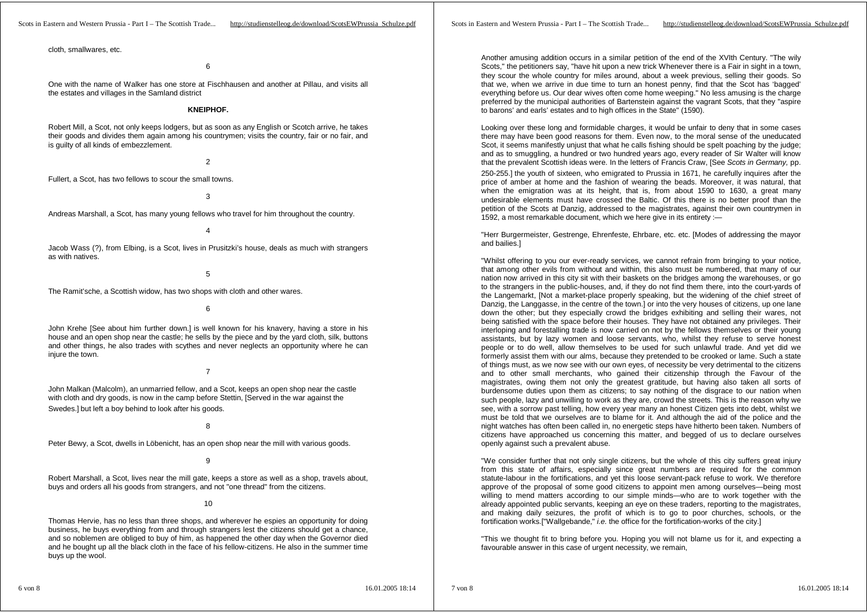cloth, smallwares, etc.

### 6

One with the name of Walker has one store at Fischhausen and another at Pillau, and visits all the estates and villages in the Samland district

### **KNEIPHOF.**

Robert Mill, <sup>a</sup> Scot, not only keeps lodgers, but as soon as any English or Scotch arrive, he takes their goods and divides them again among his countrymen; visits the country, fair or no fair, and is guilty of all kinds of embezzlement.

 $\mathfrak{p}$ 

Fullert, <sup>a</sup> Scot, has two fellows to scour the small towns.

 $\mathbf{z}$ 

Andreas Marshall, <sup>a</sup> Scot, has many young fellows who travel for him throughout the country.

### 4

Jacob Wass (?), from Elbing, is <sup>a</sup> Scot, lives in Prusitzki's house, deals as much with strangers as with natives.

5

The Ramit'sche, <sup>a</sup> Scottish widow, has two shops with cloth and other wares.

6

John Krehe [See about him further down.] is well known for his knavery, having <sup>a</sup> store in his house and an open shop near the castle; he sells by the piece and by the yard cloth, silk, buttons and other things, he also trades with scythes and never neglects an opportunity where he can injure the town.

7

John Malkan (Malcolm), an unmarried fellow, and <sup>a</sup> Scot, keeps an open shop near the castle with cloth and dry goods, is now in the camp before Stettin, [Served in the war against the Swedes.] but left a boy behind to look after his goods.

### 8

Peter Bewy, <sup>a</sup> Scot, dwells in Löbenicht, has an open shop near the mill with various goods.

### $\alpha$

Robert Marshall, <sup>a</sup> Scot, lives near the mill gate, keeps <sup>a</sup> store as well as <sup>a</sup> shop, travels about, buys and orders all his goods from strangers, and not "one thread" from the citizens.

### 10

Thomas Hervie, has no less than three shops, and wherever he espies an opportunity for doing business, he buys everything from and through strangers lest the citizens should get <sup>a</sup> chance, and so noblemen are obliged to buy of him, as happened the other day when the Governor died and he bought up all the black cloth in the face of his fellow-citizens. He also in the summer time buys up the wool.

Another amusing addition occurs in <sup>a</sup> similar petition of the end of the XVIth Century. "The wily Scots," the petitioners say, "have hit upon <sup>a</sup> new trick Whenever there is <sup>a</sup> Fair in sight in a town, they scour the whole country for miles around, about <sup>a</sup> week previous, selling their goods. So that we, when we arrive in due time to turn an honest penny, find that the Scot has 'bagged' everything before us. Our dear wives often come home weeping." No less amusing is the charge preferred by the municipal authorities of Bartenstein against the vagrant Scots, that they "aspire to barons' and earls' estates and to high offices in the State" (1590).

Looking over these long and formidable charges, it would be unfair to deny that in some cases there may have been good reasons for them. Even now, to the moral sense of the uneducated Scot, it seems manifestly unjust that what he calls fishing should be spelt poaching by the judge; and as to smuggling, <sup>a</sup> hundred or two hundred years ago, every reader of Sir Walter will know that the prevalent Scottish ideas were. In the letters of Francis Craw, [See *Scots in Germany,* pp.

250-255.] the youth of sixteen, who emigrated to Prussia in 1671, he carefully inquires after the price of amber at home and the fashion of wearing the beads. Moreover, it was natural, that when the emigration was at its height, that is, from about 1590 to 1630, <sup>a</sup> great many undesirable elements must have crossed the Baltic. Of this there is no better proof than the petition of the Scots at Danzig, addressed to the magistrates, against their own countrymen in 1592, <sup>a</sup> most remarkable document, which we here give in its entirety :—

"Herr Burgermeister, Gestrenge, Ehrenfeste, Ehrbare, etc. etc. [Modes of addressing the mayor and bailies.]

"Whilst offering to you our ever-ready services, we cannot refrain from bringing to your notice, that among other evils from without and within, this also must be numbered, that many of our nation now arrived in this city sit with their baskets on the bridges among the warehouses, or go to the strangers in the public-houses, and, if they do not find them there, into the court-yards of the Langemarkt, [Not <sup>a</sup> market-place properly speaking, but the widening of the chief street of Danzig, the Langgasse, in the centre of the town.] or into the very houses of citizens, up one lane down the other; but they especially crowd the bridges exhibiting and selling their wares, not being satisfied with the space before their houses. They have not obtained any privileges. Their interloping and forestalling trade is now carried on not by the fellows themselves or their young assistants, but by lazy women and loose servants, who, whilst they refuse to serve honest people or to do well, allow themselves to be used for such unlawful trade. And yet did we formerly assist them with our alms, because they pretended to be crooked or lame. Such <sup>a</sup> state of things must, as we now see with our own eyes, of necessity be very detrimental to the citizens and to other small merchants, who gained their citizenship through the Favour of the magistrates, owing them not only the greatest gratitude, but having also taken all sorts of burdensome duties upon them as citizens; to say nothing of the disgrace to our nation when such people, lazy and unwilling to work as they are, crowd the streets. This is the reason why we see, with <sup>a</sup> sorrow past telling, how every year many an honest Citizen gets into debt, whilst we must be told that we ourselves are to blame for it. And although the aid of the police and the night watches has often been called in, no energetic steps have hitherto been taken. Numbers of citizens have approached us concerning this matter, and begged of us to declare ourselves openly against such <sup>a</sup> prevalent abuse.

"We consider further that not only single citizens, but the whole of this city suffers great injury from this state of affairs, especially since great numbers are required for the common statute-labour in the fortifications, and yet this loose servant-pack refuse to work. We therefore approve of the proposal of some good citizens to appoint men among ourselves—being most willing to mend matters according to our simple minds—who are to work together with the already appointed public servants, keeping an eye on these traders, reporting to the magistrates, and making daily seizures, the profit of which is to go to poor churches, schools, or the fortification works.["Wallgebande," *i.e.* the office for the fortification-works of the city.]

"This we thought fit to bring before you. Hoping you will not blame us for it, and expecting a favourable answer in this case of urgent necessity, we remain,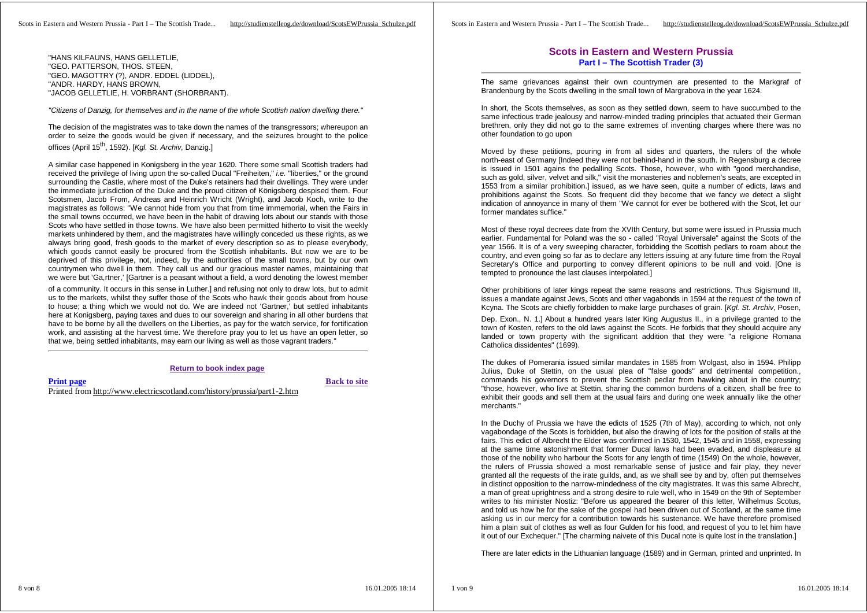"HANS KILFAUNS, HANS GELLETLIE, "GEO. PATTERSON, THOS. STEEN, "GEO. MAGOTTRY (?), ANDR. EDDEL (LIDDEL), "ANDR. HARDY, HANS BROWN, "JACOB GELLETLIE, H. VORBRANT (SHORBRANT).

"Citizens of Danzig, for themselves and in the name of the whole Scottish nation dwelling there."

The decision of the magistrates was to take down the names of the transgressors; whereupon an order to seize the goods would be given if necessary, and the seizures brought to the police offices (April <sup>15</sup>th, 1592). [*Kgl. St. Archiv,* Danzig.]

A similar case happened in Konigsberg in the year 1620. There some small Scottish traders had received the privilege of living upon the so-called Ducal "Freiheiten," *i.e.* "liberties," or the ground surrounding the Castle, where most of the Duke's retainers had their dwellings. They were under the immediate jurisdiction of the Duke and the proud citizen of Königsberg despised them. Four Scotsmen, Jacob From, Andreas and Heinrich Wricht (Wright), and Jacob Koch, write to the magistrates as follows: "We cannot hide from you that from time immemorial, when the Fairs in the small towns occurred, we have been in the habit of drawing lots about our stands with those Scots who have settled in those towns. We have also been permitted hitherto to visit the weekly markets unhindered by them, and the magistrates have willingly conceded us these rights, as we always bring good, fresh goods to the market of every description so as to please everybody, which goods cannot easily be procured from the Scottish inhabitants. But now we are to be deprived of this privilege, not, indeed, by the authorities of the small towns, but by our own countrymen who dwell in them. They call us and our gracious master names, maintaining that we were but 'Ga,rtner,' [Gartner is <sup>a</sup> peasant without a field, <sup>a</sup> word denoting the lowest member

of <sup>a</sup> community. It occurs in this sense in Luther.] and refusing not only to draw lots, but to admit us to the markets, whilst they suffer those of the Scots who hawk their goods about from house to house; <sup>a</sup> thing which we would not do. We are indeed not 'Gartner,' but settled inhabitants here at Konigsberg, paying taxes and dues to our sovereign and sharing in all other burdens that have to be borne by all the dwellers on the Liberties, as pay for the watch service, for fortification work, and assisting at the harvest time. We therefore pray you to let us have an open letter, so that we, being settled inhabitants, may earn our living as well as those vagrant traders."

### **Return to book index page**

Printed from http://www.electricscotland.com/history/prussia/part1-2.htm

**Print page Back to site** 

# **Scots in Eastern and Western Prussia Part I – The Scottish Trader (3)**

The same grievances against their own countrymen are presented to the Markgraf of Brandenburg by the Scots dwelling in the small town of Margrabova in the year 1624.

In short, the Scots themselves, as soon as they settled down, seem to have succumbed to the same infectious trade jealousy and narrow-minded trading principles that actuated their German brethren, only they did not go to the same extremes of inventing charges where there was no other foundation to go upon

Moved by these petitions, pouring in from all sides and quarters, the rulers of the whole north-east of Germany [Indeed they were not behind-hand in the south. In Regensburg <sup>a</sup> decree is issued in 1501 agains the pedalling Scots. Those, however, who with "good merchandise, such as gold, silver, velvet and silk," visit the monasteries and noblemen's seats, are excepted in 1553 from <sup>a</sup> similar prohibition.] issued, as we have seen, quite <sup>a</sup> number of edicts, laws and prohibitions against the Scots. So frequent did they become that we fancy we detect <sup>a</sup> slight indication of annoyance in many of them "We cannot for ever be bothered with the Scot, let our former mandates suffice."

Most of these royal decrees date from the XVIth Century, but some were issued in Prussia much earlier. Fundamental for Poland was the so - called "Royal Universale" against the Scots of the year 1566. It is of <sup>a</sup> very sweeping character, forbidding the Scottish pedlars to roam about the country, and even going so far as to declare any letters issuing at any future time from the Royal Secretary's Office and purporting to convey different opinions to be null and void. [One is tempted to pronounce the last clauses interpolated.]

Other prohibitions of later kings repeat the same reasons and restrictions. Thus Sigismund III, issues <sup>a</sup> mandate against Jews, Scots and other vagabonds in 1594 at the request of the town of Kcyna. The Scots are chiefly forbidden to make large purchases of grain. [*Kgl. St. Archiv,* Posen,

Dep. Exon., N. 1.] About <sup>a</sup> hundred years later King Augustus II., in <sup>a</sup> privilege granted to the town of Kosten, refers to the old laws against the Scots. He forbids that they should acquire any landed or town property with the significant addition that they were "a religione Romana Catholica dissidentes" (1699).

The dukes of Pomerania issued similar mandates in 1585 from Wolgast, also in 1594. Philipp Julius, Duke of Stettin, on the usual plea of "false goods" and detrimental competition., commands his governors to prevent the Scottish pedlar from hawking about in the country; "those, however, who live at Stettin, sharing the common burdens of <sup>a</sup> citizen, shall be free to exhibit their goods and sell them at the usual fairs and during one week annually like the other merchants."

In the Duchy of Prussia we have the edicts of 1525 (7th of May), according to which, not only vagabondage of the Scots is forbidden, but also the drawing of lots for the position of stalls at the fairs. This edict of Albrecht the Elder was confirmed in 1530, 1542, 1545 and in 1558, expressing at the same time astonishment that former Ducal laws had been evaded, and displeasure at those of the nobility who harbour the Scots for any length of time (1549) On the whole, however, the rulers of Prussia showed <sup>a</sup> most remarkable sense of justice and fair play, they never granted all the requests of the irate guilds, and, as we shall see by and by, often put themselves in distinct opposition to the narrow-mindedness of the city magistrates. It was this same Albrecht, <sup>a</sup> man of great uprightness and <sup>a</sup> strong desire to rule well, who in 1549 on the 9th of September writes to his minister Nostiz: "Before us appeared the bearer of this letter, Wilhelmus Scotus, and told us how he for the sake of the gospel had been driven out of Scotland, at the same time asking us in our mercy for <sup>a</sup> contribution towards his sustenance. We have therefore promised him <sup>a</sup> plain suit of clothes as well as four Gulden for his food, and request of you to let him have it out of our Exchequer." [The charming naivete of this Ducal note is quite lost in the translation.]

There are later edicts in the Lithuanian language (1589) and in German, printed and unprinted. In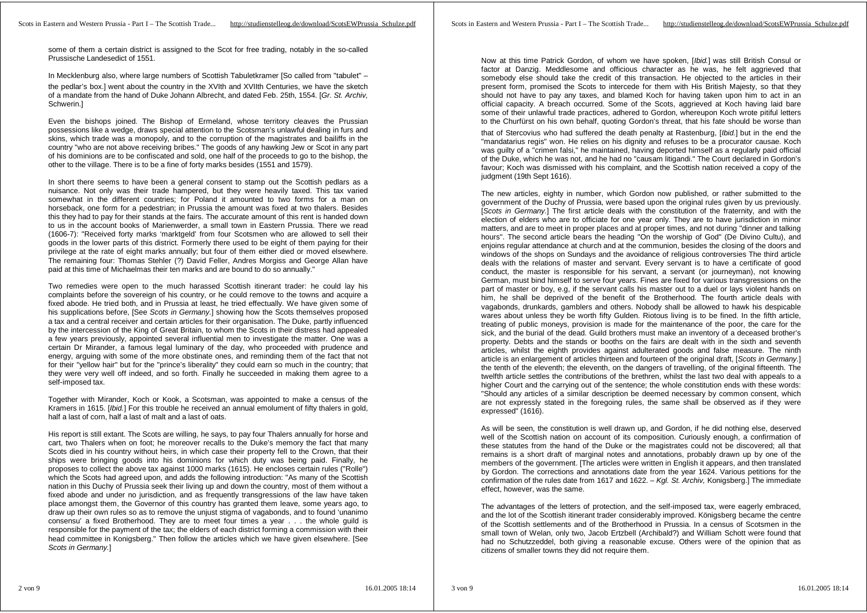some of them <sup>a</sup> certain district is assigned to the Scot for free trading, notably in the so-called Prussische Landesedict of 1551.

In Mecklenburg also, where large numbers of Scottish Tabuletkramer [So called from "tabulet" –

the pedlar's box.] went about the country in the XVIth and XVIIth Centuries, we have the sketch of <sup>a</sup> mandate from the hand of Duke Johann Albrecht, and dated Feb. 25th, 1554. [*Gr. St. Archiv,* Schwerin.]

Even the bishops joined. The Bishop of Ermeland, whose territory cleaves the Prussian possessions like <sup>a</sup> wedge, draws special attention to the Scotsman's unlawful dealing in furs and skins, which trade was <sup>a</sup> monopoly, and to the corruption of the magistrates and bailiffs in the country "who are not above receiving bribes." The goods of any hawking Jew or Scot in any part of his dominions are to be confiscated and sold, one half of the proceeds to go to the bishop, the other to the village. There is to be <sup>a</sup> fine of forty marks besides (1551 and 1579).

In short there seems to have been <sup>a</sup> general consent to stamp out the Scottish pedlars as a nuisance. Not only was their trade hampered, but they were heavily taxed. This tax varied somewhat in the different countries; for Poland it amounted to two forms for <sup>a</sup> man on horseback, one form for <sup>a</sup> pedestrian; in Prussia the amount was fixed at two thalers. Besides this they had to pay for their stands at the fairs. The accurate amount of this rent is handed down to us in the account books of Marienwerder, <sup>a</sup> small town in Eastern Prussia. There we read (1606-7): "Received forty marks 'marktgeld' from four Scotsmen who are allowed to sell their goods in the lower parts of this district. Formerly there used to be eight of them paying for their privilege at the rate of eight marks annually; but four of them either died or moved elsewhere. The remaining four: Thomas Stehler (?) David Feller, Andres Morgiss and George Allan have paid at this time of Michaelmas their ten marks and are bound to do so annually."

Two remedies were open to the much harassed Scottish itinerant trader: he could lay his complaints before the sovereign of his country, or he could remove to the towns and acquire a fixed abode. He tried both, and in Prussia at least, he tried effectually. We have given some of his supplications before, [See *Scots in Germany.*] showing how the Scots themselves proposed a tax and <sup>a</sup> central receiver and certain articles for their organisation. The Duke, partly influenced by the intercession of the King of Great Britain, to whom the Scots in their distress had appealed <sup>a</sup> few years previously, appointed several influential men to investigate the matter. One was a certain Dr Mirander, <sup>a</sup> famous legal luminary of the day, who proceeded with prudence and energy, arguing with some of the more obstinate ones, and reminding them of the fact that not for their "yellow hair" but for the "prince's liberality" they could earn so much in the country; that they were very well off indeed, and so forth. Finally he succeeded in making them agree to a self-imposed tax.

Together with Mirander, Koch or Kook, <sup>a</sup> Scotsman, was appointed to make <sup>a</sup> census of the Kramers in 1615. [*Ibid.*] For this trouble he received an annual emolument of fifty thalers in gold, half <sup>a</sup> last of corn, half <sup>a</sup> last of malt and <sup>a</sup> last of oats.

His report is still extant. The Scots are willing, he says, to pay four Thalers annually for horse and cart, two Thalers when on foot; he moreover recalls to the Duke's memory the fact that many Scots died in his country without heirs, in which case their property fell to the Crown, that their ships were bringing goods into his dominions for which duty was being paid. Finally, he proposes to collect the above tax against 1000 marks (1615). He encloses certain rules ("Rolle") which the Scots had agreed upon, and adds the following introduction: "As many of the Scottish nation in this Duchy of Prussia seek their living up and down the country, most of them without a fixed abode and under no jurisdiction, and as frequently transgressions of the law have taken place amongst them, the Governor of this country has granted them leave, some years ago, to draw up their own rules so as to remove the unjust stigma of vagabonds, and to found 'unanimo consensu' <sup>a</sup> fixed Brotherhood. They are to meet four times <sup>a</sup> year . . . the whole guild is responsible for the payment of the tax; the elders of each district forming <sup>a</sup> commission with their head committee in Konigsberg." Then follow the articles which we have given elsewhere. [See *Scots in Germany.*]

Now at this time Patrick Gordon, of whom we have spoken, [*Ibid.*] was still British Consul or factor at Danzig. Meddlesome and officious character as he was, he felt aggrieved that somebody else should take the credit of this transaction. He objected to the articles in their present form, promised the Scots to intercede for them with His British Majesty, so that they should not have to pay any taxes, and blamed Koch for having taken upon him to act in an official capacity. A breach occurred. Some of the Scots, aggrieved at Koch having laid bare some of their unlawful trade practices, adhered to Gordon, whereupon Koch wrote pitiful letters to the Churfürst on his own behalf, quoting Gordon's threat, that his fate should be worse than

that of Stercovius who had suffered the death penalty at Rastenburg, [*Ibid.*] but in the end the "mandatarius regis" won. He relies on his dignity and refuses to be <sup>a</sup> procurator causae. Koch was guilty of <sup>a</sup> "crimen falsi," he maintained, having deported himself as <sup>a</sup> regularly paid official of the Duke, which he was not, and he had no "causam litigandi." The Court declared in Gordon's favour; Koch was dismissed with his complaint, and the Scottish nation received <sup>a</sup> copy of the judgment (19th Sept 1616).

The new articles, eighty in number, which Gordon now published, or rather submitted to the government of the Duchy of Prussia, were based upon the original rules given by us previously. [*Scots in Germany.*] The first article deals with the constitution of the fraternity, and with the election of elders who are to officiate for one year only. They are to have jurisdiction in minor matters, and are to meet in proper places and at proper times, and not during "dinner and talking hours". The second article bears the heading "On the worship of God" (De Divino Cultu), and enjoins regular attendance at church and at the communion, besides the closing of the doors and windows of the shops on Sundays and the avoidance of religious controversies The third article deals with the relations of master and servant. Every servant is to have <sup>a</sup> certificate of good conduct, the master is responsible for his servant, <sup>a</sup> servant (or journeyman), not knowing German, must bind himself to serve four years. Fines are fixed for various transgressions on the part of master or boy, e.g, if the servant calls his master out to <sup>a</sup> duel or lays violent hands on him, he shall be deprived of the benefit of the Brotherhood. The fourth article deals with vagabonds, drunkards, gamblers and others. Nobody shall be allowed to hawk his despicable wares about unless they be worth fifty Gulden. Riotous living is to be fined. In the fifth article, treating of public moneys, provision is made for the maintenance of the poor, the care for the sick, and the burial of the dead. Guild brothers must make an inventory of <sup>a</sup> deceased brother's property. Debts and the stands or booths on the fairs are dealt with in the sixth and seventh articles, whilst the eighth provides against adulterated goods and false measure. The ninth article is an enlargement of articles thirteen and fourteen of the original draft, [*Scots in Germany.*] the tenth of the eleventh; the eleventh, on the dangers of travelling, of the original fifteenth. The twelfth article settles the contributions of the brethren, whilst the last two deal with appeals to a higher Court and the carrying out of the sentence; the whole constitution ends with these words: "Should any articles of <sup>a</sup> similar description be deemed necessary by common consent, which are not expressly stated in the foregoing rules, the same shall be observed as if they were expressed" (1616).

As will be seen, the constitution is well drawn up, and Gordon, if he did nothing else, deserved well of the Scottish nation on account of its composition. Curiously enough, <sup>a</sup> confirmation of these statutes from the hand of the Duke or the magistrates could not be discovered; all that remains is <sup>a</sup> short draft of marginal notes and annotations, probably drawn up by one of the members of the government. [The articles were written in English it appears, and then translated by Gordon. The corrections and annotations date from the year 1624. Various petitions for the confirmation of the rules date from 1617 and 1622. – *Kgl. St. Archiv,* Konigsberg.] The immediate effect, however, was the same.

The advantages of the letters of protection, and the self-imposed tax, were eagerly embraced, and the lot of the Scottish itinerant trader considerably improved. Königsberg became the centre of the Scottish settlements and of the Brotherhood in Prussia. In a census of Scotsmen in the small town of Welan, only two, Jacob Ertzbell (Archibald?) and William Schott were found that had no Schutzzeddel, both giving <sup>a</sup> reasonable excuse. Others were of the opinion that as citizens of smaller towns they did not require them.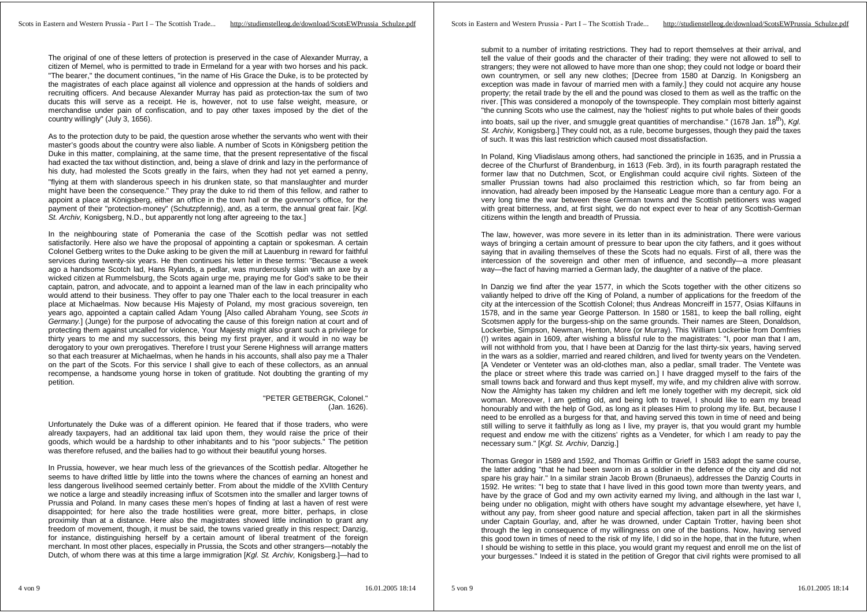The original of one of these letters of protection is preserved in the case of Alexander Murray, a citizen of Memel, who is permitted to trade in Ermeland for <sup>a</sup> year with two horses and his pack. "The bearer," the document continues, "in the name of His Grace the Duke, is to be protected by the magistrates of each place against all violence and oppression at the hands of soldiers and recruiting officers. And because Alexander Murray has paid as protection-tax the sum of two ducats this will serve as <sup>a</sup> receipt. He is, however, not to use false weight, measure, or merchandise under pain of confiscation, and to pay other taxes imposed by the diet of the country willingly" (July 3, 1656).

As to the protection duty to be paid, the question arose whether the servants who went with their master's goods about the country were also liable. A number of Scots in Königsberg petition the Duke in this matter, complaining, at the same time, that the present representative of the fiscal had exacted the tax without distinction, and, being <sup>a</sup> slave of drink and lazy in the performance of his duty, had molested the Scots greatly in the fairs, when they had not yet earned <sup>a</sup> penny,

"flying at them with slanderous speech in his drunken state, so that manslaughter and murder might have been the consequence." They pray the duke to rid them of this fellow, and rather to appoint <sup>a</sup> place at Königsberg, either an office in the town hall or the governor's office, for the payment of their "protection-money" (Schutzpfennig), and, as <sup>a</sup> term, the annual great fair. [*Kgl. St. Archiv,* Konigsberg, N.D., but apparently not long after agreeing to the tax.]

In the neighbouring state of Pomerania the case of the Scottish pedlar was not settled satisfactorily. Here also we have the proposal of appointing <sup>a</sup> captain or spokesman. A certain Colonel Getberg writes to the Duke asking to be given the mill at Lauenburg in reward for faithful services during twenty-six years. He then continues his letter in these terms: "Because <sup>a</sup> week ago <sup>a</sup> handsome Scotch lad, Hans Rylands, <sup>a</sup> pedlar, was murderously slain with an axe by a wicked citizen at Rummelsburg, the Scots again urge me, praying me for God's sake to be their captain, patron, and advocate, and to appoint <sup>a</sup> learned man of the law in each principality who would attend to their business. They offer to pay one Thaler each to the local treasurer in each place at Michaelmas. Now because His Majesty of Poland, my most gracious sovereign, ten years ago, appointed <sup>a</sup> captain called Adam Young [Also called Abraham Young, see *Scots in Germany.*] (Junge) for the purpose of advocating the cause of this foreign nation at court and of protecting them against uncalled for violence, Your Majesty might also grant such <sup>a</sup> privilege for thirty years to me and my successors, this being my first prayer, and it would in no way be derogatory to your own prerogatives. Therefore I trust your Serene Highness will arrange matters so that each treasurer at Michaelmas, when he hands in his accounts, shall also pay me <sup>a</sup> Thaler on the part of the Scots. For this service I shall give to each of these collectors, as an annual recompense, <sup>a</sup> handsome young horse in token of gratitude. Not doubting the granting of my petition.

### "PETER GETBERGK, Colonel." (Jan. 1626).

Unfortunately the Duke was of <sup>a</sup> different opinion. He feared that if those traders, who were already taxpayers, had an additional tax laid upon them, they would raise the price of their goods, which would be <sup>a</sup> hardship to other inhabitants and to his "poor subjects." The petition was therefore refused, and the bailies had to go without their beautiful young horses.

In Prussia, however, we hear much less of the grievances of the Scottish pedlar. Altogether he seems to have drifted little by little into the towns where the chances of earning an honest and less dangerous livelihood seemed certainly better. From about the middle of the XVIIth Century we notice <sup>a</sup> large and steadily increasing influx of Scotsmen into the smaller and larger towns of Prussia and Poland. In many cases these men's hopes of finding at last <sup>a</sup> haven of rest were disappointed; for here also the trade hostilities were great, more bitter, perhaps, in close proximity than at <sup>a</sup> distance. Here also the magistrates showed little inclination to grant any freedom of movement, though, it must be said, the towns varied greatly in this respect; Danzig, for instance, distinguishing herself by <sup>a</sup> certain amount of liberal treatment of the foreign merchant. In most other places, especially in Prussia, the Scots and other strangers—notably the Dutch, of whom there was at this time <sup>a</sup> large immigration [*Kgl. St. Archiv,* Konigsberg.]—had to

submit to <sup>a</sup> number of irritating restrictions. They had to report themselves at their arrival, and tell the value of their goods and the character of their trading; they were not allowed to sell to strangers; they were not allowed to have more than one shop; they could not lodge or board their own countrymen, or sell any new clothes; [Decree from 1580 at Danzig. In Konigsberg an exception was made in favour of married men with <sup>a</sup> family.] they could not acquire any house property; the retail trade by the ell and the pound was closed to them as well as the traffic on the river. [This was considered <sup>a</sup> monopoly of the townspeople. They complain most bitterly against "the cunning Scots who use the calmest, nay the 'holiest' nights to put whole bales of their goods

into boats, sail up the river, and smuggle great quantities of merchandise." (1678 Jan. 18<sup>th</sup>), *Kgl. St. Archiv,* Konigsberg.] They could not, as <sup>a</sup> rule, become burgesses, though they paid the taxes of such. It was this last restriction which caused most dissatisfaction.

In Poland, King Vliadislaus among others, had sanctioned the principle in 1635, and in Prussia a decree of the Churfurst of Brandenburg, in 1613 (Feb. 3rd), in its fourth paragraph restated the former law that no Dutchmen, Scot, or Englishman could acquire civil rights. Sixteen of the smaller Prussian towns had also proclaimed this restriction which, so far from being an innovation, had already been imposed by the Hanseatic League more than <sup>a</sup> century ago. For a very long time the war between these German towns and the Scottish petitioners was waged with great bitterness, and, at first sight, we do not expect ever to hear of any Scottish-German citizens within the length and breadth of Prussia.

The law, however, was more severe in its letter than in its administration. There were various ways of bringing <sup>a</sup> certain amount of pressure to bear upon the city fathers, and it goes without saying that in availing themselves of these the Scots had no equals. First of all, there was the intercession of the sovereign and other men of influence, and secondly—a more pleasant way—the fact of having married a German lady, the daughter of <sup>a</sup> native of the place.

In Danzig we find after the year 1577, in which the Scots together with the other citizens so valiantly helped to drive off the King of Poland, <sup>a</sup> number of applications for the freedom of the city at the intercession of the Scottish Colonel; thus Andreas Moncreiff in 1577, Osias Kilfauns in 1578, and in the same year George Patterson. In 1580 or 1581, to keep the ball rolling, eight Scotsmen apply for the burgess-ship on the same grounds. Their names are Steen, Donaldson, Lockerbie, Simpson, Newman, Henton, More (or Murray). This William Lockerbie from Domfries (!) writes again in 1609, after wishing <sup>a</sup> blissful rule to the magistrates: "I, poor man that I am, will not withhold from you, that I have been at Danzig for the last thirty-six years, having served in the wars as <sup>a</sup> soldier, married and reared children, and lived for twenty years on the Vendeten. [A Vendeter or Venteter was an old-clothes man, also <sup>a</sup> pedlar, small trader. The Ventete was the place or street where this trade was carried on.] I have dragged myself to the fairs of the small towns back and forward and thus kept myself, my wife, and my children alive with sorrow. Now the Almighty has taken my children and left me lonely together with my decrepit, sick old woman. Moreover, I am getting old, and being loth to travel, I should like to earn my bread honourably and with the help of God, as long as it pleases Him to prolong my life. But, because I need to be enrolled as <sup>a</sup> burgess for that, and having served this town in time of need and being still willing to serve it faithfully as long as I live, my prayer is, that you would grant my humble request and endow me with the citizens' rights as <sup>a</sup> Vendeter, for which I am ready to pay the necessary sum." [*Kgl. St. Archiv,* Danzig.]

Thomas Gregor in 1589 and 1592, and Thomas Griffin or Grieff in 1583 adopt the same course, the latter adding "that he had been sworn in as <sup>a</sup> soldier in the defence of the city and did not spare his gray hair." In <sup>a</sup> similar strain Jacob Brown (Brunaeus), addresses the Danzig Courts in 1592. He writes: "I beg to state that I have lived in this good town more than twenty years, and have by the grace of God and my own activity earned my living, and although in the last war I, being under no obligation, might with others have sought my advantage elsewhere, yet have I, without any pay, from sheer good nature and special affection, taken part in all the skirmishes under Captain Gourlay, and, after he was drowned, under Captain Trotter, having been shot through the leg in consequence of my willingness on one of the bastions. Now, having served this good town in times of need to the risk of my life, I did so in the hope, that in the future, when I should be wishing to settle in this place, you would grant my request and enroll me on the list of your burgesses." Indeed it is stated in the petition of Gregor that civil rights were promised to all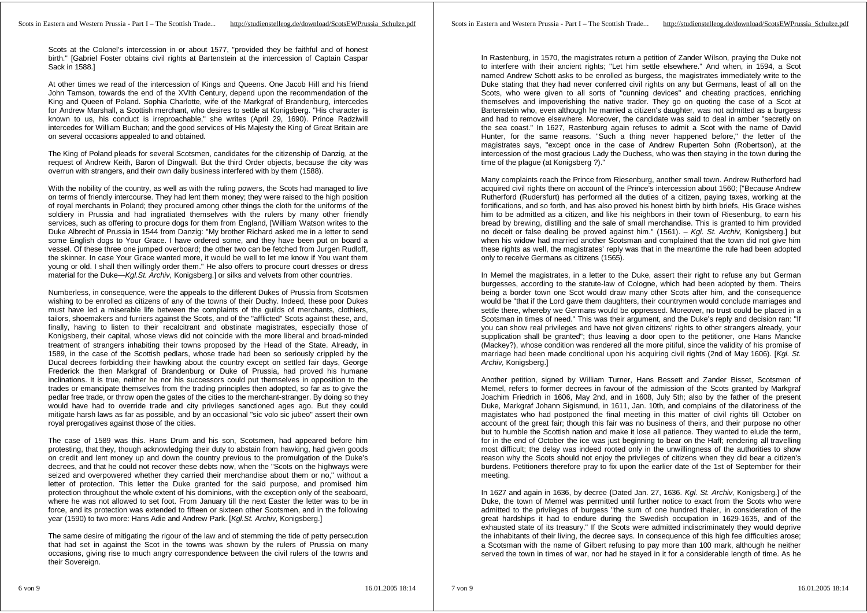Scots at the Colonel's intercession in or about 1577, "provided they be faithful and of honest birth." [Gabriel Foster obtains civil rights at Bartenstein at the intercession of Captain Caspar Sack in 1588.]

At other times we read of the intercession of Kings and Queens. One Jacob Hill and his friend John Tamson, towards the end of the XVIth Century, depend upon the recommendation of the King and Queen of Poland. Sophia Charlotte, wife of the Markgraf of Brandenburg, intercedes for Andrew Marshall, <sup>a</sup> Scottish merchant, who desires to settle at Konigsberg. "His character is known to us, his conduct is irreproachable," she writes (April 29, 1690). Prince Radziwill intercedes for William Buchan; and the good services of His Majesty the King of Great Britain are on several occasions appealed to and obtained.

The King of Poland pleads for several Scotsmen, candidates for the citizenship of Danzig, at the request of Andrew Keith, Baron of Dingwall. But the third Order objects, because the city was overrun with strangers, and their own daily business interfered with by them (1588).

With the nobility of the country, as well as with the ruling powers, the Scots had managed to live on terms of friendly intercourse. They had lent them money; they were raised to the high position of royal merchants in Poland; they procured among other things the cloth for the uniforms of the soldiery in Prussia and had ingratiated themselves with the rulers by many other friendly services, such as offering to procure dogs for them from England, [William Watson writes to the Duke Albrecht of Prussia in 1544 from Danzig: "My brother Richard asked me in <sup>a</sup> letter to send some English dogs to Your Grace. I have ordered some, and they have been put on board a vessel. Of these three one jumped overboard; the other two can be fetched from Jurgen Rudloff, the skinner. In case Your Grace wanted more, it would be well to let me know if You want them young or old. I shall then willingly order them." He also offers to procure court dresses or dress material for the Duke—*Kgl.St. Archiv,* Konigsberg.] or silks and velvets from other countries.

Numberless, in consequence, were the appeals to the different Dukes of Prussia from Scotsmen wishing to be enrolled as citizens of any of the towns of their Duchy. Indeed, these poor Dukes must have led <sup>a</sup> miserable life between the complaints of the guilds of merchants, clothiers, tailors, shoemakers and furriers against the Scots, and of the "afflicted" Scots against these, and, finally, having to listen to their recalcitrant and obstinate magistrates, especially those of Konigsberg, their capital, whose views did not coincide with the more liberal and broad-minded treatment of strangers inhabiting their towns proposed by the Head of the State. Already, in 1589, in the case of the Scottish pedlars, whose trade had been so seriously crippled by the Ducal decrees forbidding their hawking about the country except on settled fair days, George Frederick the then Markgraf of Brandenburg or Duke of Prussia, had proved his humane inclinations. It is true, neither he nor his successors could put themselves in opposition to the trades or emancipate themselves from the trading principles then adopted, so far as to give the pedlar free trade, or throw open the gates of the cities to the merchant-stranger. By doing so they would have had to override trade and city privileges sanctioned ages ago. But they could mitigate harsh laws as far as possible, and by an occasional "sic volo sic jubeo" assert their own royal prerogatives against those of the cities.

The case of 1589 was this. Hans Drum and his son, Scotsmen, had appeared before him protesting, that they, though acknowledging their duty to abstain from hawking, had given goods on credit and lent money up and down the country previous to the promulgation of the Duke's decrees, and that he could not recover these debts now, when the "Scots on the highways were seized and overpowered whether they carried their merchandise about them or no," without a letter of protection. This letter the Duke granted for the said purpose, and promised him protection throughout the whole extent of his dominions, with the exception only of the seaboard, where he was not allowed to set foot. From January till the next Easter the letter was to be in force, and its protection was extended to fifteen or sixteen other Scotsmen, and in the following year (1590) to two more: Hans Adie and Andrew Park. [*Kgl.St. Archiv,* Konigsberg.]

The same desire of mitigating the rigour of the law and of stemming the tide of petty persecution that had set in against the Scot in the towns was shown by the rulers of Prussia on many occasions, giving rise to much angry correspondence between the civil rulers of the towns and their Sovereign.

In Rastenburg, in 1570, the magistrates return <sup>a</sup> petition of Zander Wilson, praying the Duke not to interfere with their ancient rights; "Let him settle elsewhere." And when, in 1594, <sup>a</sup> Scot named Andrew Schott asks to be enrolled as burgess, the magistrates immediately write to the Duke stating that they had never conferred civil rights on any but Germans, least of all on the Scots, who were given to all sorts of "cunning devices" and cheating practices, enriching themselves and impoverishing the native trader. They go on quoting the case of <sup>a</sup> Scot at Bartenstein who, even although he married a citizen's daughter, was not admitted as a burgess and had to remove elsewhere. Moreover, the candidate was said to deal in amber "secretly on the sea coast." In 1627, Rastenburg again refuses to admit <sup>a</sup> Scot with the name of David Hunter, for the same reasons. "Such <sup>a</sup> thing never happened before," the letter of the magistrates says, "except once in the case of Andrew Ruperten Sohn (Robertson), at the intercession of the most gracious Lady the Duchess, who was then staying in the town during the time of the plague (at Konigsberg ?)."

Many complaints reach the Prince from Riesenburg, another small town. Andrew Rutherford had acquired civil rights there on account of the Prince's intercession about 1560; ["Because Andrew Rutherford (Rudersfurt) has performed all the duties of <sup>a</sup> citizen, paying taxes, working at the fortifications, and so forth, and has also proved his honest birth by birth briefs, His Grace wishes him to be admitted as <sup>a</sup> citizen, and like his neighbors in their town of Riesenburg, to earn his bread by brewing, distilling and the sale of small merchandise. This is granted to him provided no deceit or false dealing be proved against him." (1561). – *Kgl. St. Archiv,* Konigsberg.] but when his widow had married another Scotsman and complained that the town did not give him these rights as well, the magistrates' reply was that in the meantime the rule had been adopted only to receive Germans as citizens (1565).

In Memel the magistrates, in <sup>a</sup> letter to the Duke, assert their right to refuse any but German burgesses, according to the statute-law of Cologne, which had been adopted by them. Theirs being <sup>a</sup> border town one Scot would draw many other Scots after him, and the consequence would be "that if the Lord gave them daughters, their countrymen would conclude marriages and settle there, whereby we Germans would be oppressed. Moreover, no trust could be placed in a Scotsman in times of need." This was their argument, and the Duke's reply and decision ran: "If you can show real privileges and have not given citizens' rights to other strangers already, your supplication shall be granted"; thus leaving <sup>a</sup> door open to the petitioner, one Hans Mancke (Mackey?), whose condition was rendered all the more pitiful, since the validity of his promise of marriage had been made conditional upon his acquiring civil rights (2nd of May 1606). [*Kgl. St. Archiv,* Konigsberg.]

Another petition, signed by William Turner, Hans Bessett and Zander Bisset, Scotsmen of Memel, refers to former decrees in favour of the admission of the Scots granted by Markgraf Joachim Friedrich in 1606, May 2nd, and in 1608, July 5th; also by the father of the present Duke, Markgraf Johann Sigismund, in 1611, Jan. 10th, and complains of the dilatoriness of the magistates who had postponed the final meeting in this matter of civil rights till October on account of the great fair; though this fair was no business of theirs, and their purpose no other but to humble the Scottish nation and make it lose all patience. They wanted to elude the term, for in the end of October the ice was just beginning to bear on the Haff; rendering all travelling most difficult; the delay was indeed rooted only in the unwillingness of the authorities to show reason why the Scots should not enjoy the privileges of citizens when they did bear <sup>a</sup> citizen's burdens. Petitioners therefore pray to fix upon the earlier date of the 1st of September for their meeting.

In 1627 and again in 1636, by decree {Dated Jan. 27, 1636. *Kgl. St. Archiv,* Konigsberg.] of the Duke, the town of Memel was permitted until further notice to exact from the Scots who were admitted to the privileges of burgess "the sum of one hundred thaler, in consideration of the great hardships it had to endure during the Swedish occupation in 1629-1635, and of the exhausted state of its treasury." If the Scots were admitted indiscriminately they would deprive the inhabitants of their living, the decree says. In consequence of this high fee difficulties arose; <sup>a</sup> Scotsman with the name of Gilbert refusing to pay more than 100 mark, although he neither served the town in times of war, nor had he stayed in it for <sup>a</sup> considerable length of time. As he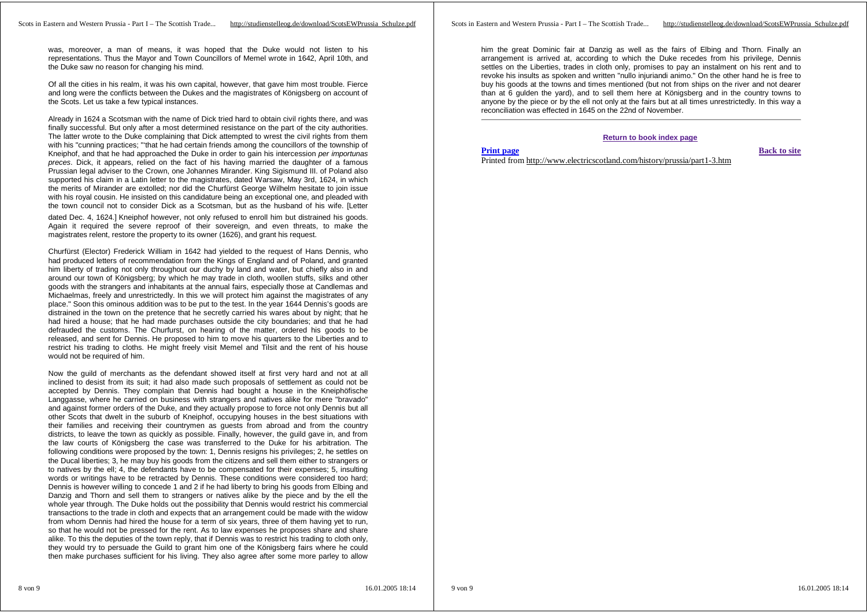was, moreover, <sup>a</sup> man of means, it was hoped that the Duke would not listen to his representations. Thus the Mayor and Town Councillors of Memel wrote in 1642, April 10th, and the Duke saw no reason for changing his mind.

Of all the cities in his realm, it was his own capital, however, that gave him most trouble. Fierce and long were the conflicts between the Dukes and the magistrates of Königsberg on account of the Scots. Let us take <sup>a</sup> few typical instances.

Already in 1624 <sup>a</sup> Scotsman with the name of Dick tried hard to obtain civil rights there, and was finally successful. But only after <sup>a</sup> most determined resistance on the part of the city authorities. The latter wrote to the Duke complaining that Dick attempted to wrest the civil rights from them with his "cunning practices; "'that he had certain friends among the councillors of the township of Kneiphof, and that he had approached the Duke in order to gain his intercession *per importunas preces*. Dick, it appears, relied on the fact of his having married the daughter of <sup>a</sup> famous Prussian legal adviser to the Crown, one Johannes Mirander. King Sigismund III. of Poland also supported his claim in <sup>a</sup> Latin letter to the magistrates, dated Warsaw, May 3rd, 1624, in which the merits of Mirander are extolled; nor did the Churfürst George Wilhelm hesitate to join issue with his royal cousin. He insisted on this candidature being an exceptional one, and pleaded with the town council not to consider Dick as <sup>a</sup> Scotsman, but as the husband of his wife. [Letter

dated Dec. 4, 1624.] Kneiphof however, not only refused to enroll him but distrained his goods. Again it required the severe reproof of their sovereign, and even threats, to make the magistrates relent, restore the property to its owner (1626), and grant his request.

Churfürst (Elector) Frederick William in 1642 had yielded to the request of Hans Dennis, who had produced letters of recommendation from the Kings of England and of Poland, and granted him liberty of trading not only throughout our duchy by land and water, but chiefly also in and around our town of Königsberg; by which he may trade in cloth, woollen stuffs, silks and other goods with the strangers and inhabitants at the annual fairs, especially those at Candlemas and Michaelmas, freely and unrestrictedly. In this we will protect him against the magistrates of any place." Soon this ominous addition was to be put to the test. In the year 1644 Dennis's goods are distrained in the town on the pretence that he secretly carried his wares about by night; that he had hired <sup>a</sup> house; that he had made purchases outside the city boundaries; and that he had defrauded the customs. The Churfurst, on hearing of the matter, ordered his goods to be released, and sent for Dennis. He proposed to him to move his quarters to the Liberties and to restrict his trading to cloths. He might freely visit Memel and Tilsit and the rent of his house would not be required of him.

Now the guild of merchants as the defendant showed itself at first very hard and not at all inclined to desist from its suit; it had also made such proposals of settlement as could not be accepted by Dennis. They complain that Dennis had bought <sup>a</sup> house in the Kneiphöfische Langgasse, where he carried on business with strangers and natives alike for mere "bravado" and against former orders of the Duke, and they actually propose to force not only Dennis but all other Scots that dwelt in the suburb of Kneiphof, occupying houses in the best situations with their families and receiving their countrymen as guests from abroad and from the country districts, to leave the town as quickly as possible. Finally, however, the guild gave in, and from the law courts of Königsberg the case was transferred to the Duke for his arbitration. The following conditions were proposed by the town: 1, Dennis resigns his privileges; 2, he settles on the Ducal liberties; 3, he may buy his goods from the citizens and sell them either to strangers or to natives by the ell; 4, the defendants have to be compensated for their expenses; 5, insulting words or writings have to be retracted by Dennis. These conditions were considered too hard; Dennis is however willing to concede 1 and 2 if he had liberty to bring his goods from Elbing and Danzig and Thorn and sell them to strangers or natives alike by the piece and by the ell the whole year through. The Duke holds out the possibility that Dennis would restrict his commercial transactions to the trade in cloth and expects that an arrangement could be made with the widow from whom Dennis had hired the house for <sup>a</sup> term of six years, three of them having yet to run, so that he would not be pressed for the rent. As to law expenses he proposes share and share alike. To this the deputies of the town reply, that if Dennis was to restrict his trading to cloth only, they would try to persuade the Guild to grant him one of the Königsberg fairs where he could then make purchases sufficient for his living. They also agree after some more parley to allow him the great Dominic fair at Danzig as well as the fairs of Elbing and Thorn. Finally an arrangement is arrived at, according to which the Duke recedes from his privilege, Dennis settles on the Liberties, trades in cloth only, promises to pay an instalment on his rent and to revoke his insults as spoken and written "nullo injuriandi animo." On the other hand he is free to buy his goods at the towns and times mentioned (but not from ships on the river and not dearer than at 6 gulden the yard), and to sell them here at Königsberg and in the country towns to anyone by the piece or by the ell not only at the fairs but at all times unrestrictedly. In this way a reconciliation was effected in 1645 on the 22nd of November.

### **Return to book index page**

**Print page Back <b>Back Back <b>Back Back Back Back** 

Printed from http://www.electricscotland.com/history/prussia/part1-3.htm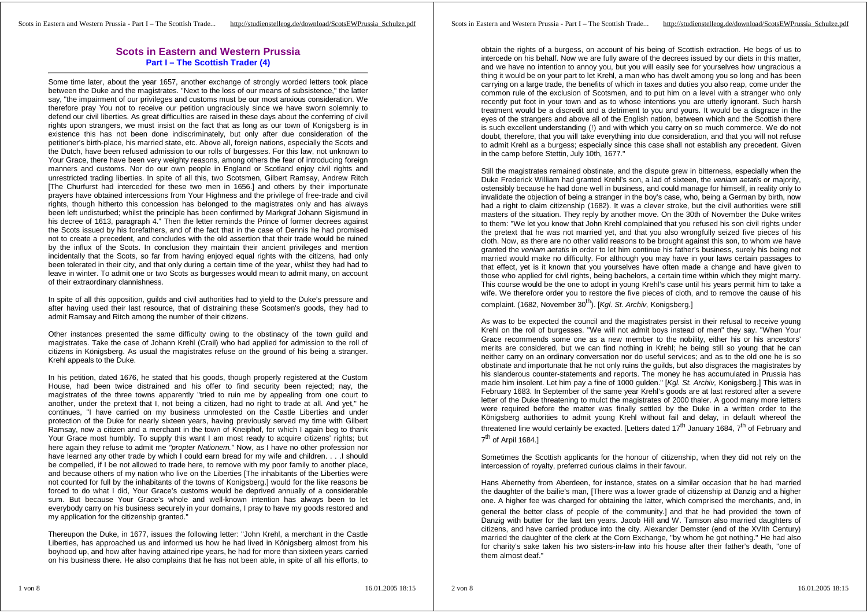# **Scots in Eastern and Western Prussia Part I – The Scottish Trader (4)**

Some time later, about the year 1657, another exchange of strongly worded letters took place between the Duke and the magistrates. "Next to the loss of our means of subsistence," the latter say, "the impairment of our privileges and customs must be our most anxious consideration. We therefore pray You not to receive our petition ungraciously since we have sworn solemnly to defend our civil liberties. As great difficulties are raised in these days about the conferring of civil rights upon strangers, we must insist on the fact that as long as our town of Konigsberg is in existence this has not been done indiscriminately, but only after due consideration of the petitioner's birth-place, his married state, etc. Above all, foreign nations, especially the Scots and the Dutch, have been refused admission to our rolls of burgesses. For this law, not unknown to Your Grace, there have been very weighty reasons, among others the fear of introducing foreign manners and customs. Nor do our own people in England or Scotland enjoy civil rights and unrestricted trading liberties. In spite of all this, two Scotsmen, Gilbert Ramsay, Andrew Ritch [The Churfurst had interceded for these two men in 1656.] and others by their importunate prayers have obtained intercessions from Your Highness and the privilege of free-trade and civil rights, though hitherto this concession has belonged to the magistrates only and has always been left undisturbed; whilst the principle has been confirmed by Markgraf Johann Sigismund in his decree of 1613, paragraph 4." Then the letter reminds the Prince of former decrees against the Scots issued by his forefathers, and of the fact that in the case of Dennis he had promised not to create <sup>a</sup> precedent, and concludes with the old assertion that their trade would be ruined by the influx of the Scots. In conclusion they maintain their ancient privileges and mention incidentally that the Scots, so far from having enjoyed equal rights with the citizens, had only been tolerated in their city, and that only during <sup>a</sup> certain time of the year, whilst they had had to leave in winter. To admit one or two Scots as burgesses would mean to admit many, on account of their extraordinary clannishness.

In spite of all this opposition, guilds and civil authorities had to yield to the Duke's pressure and after having used their last resource, that of distraining these Scotsmen's goods, they had to admit Ramsay and Ritch among the number of their citizens.

Other instances presented the same difficulty owing to the obstinacy of the town guild and magistrates. Take the case of Johann Krehl (Crail) who had applied for admission to the roll of citizens in Königsberg. As usual the magistrates refuse on the ground of his being <sup>a</sup> stranger. Krehl appeals to the Duke.

In his petition, dated 1676, he stated that his goods, though properly registered at the Custom House, had been twice distrained and his offer to find security been rejected; nay, the magistrates of the three towns apparently "tried to ruin me by appealing from one court to another, under the pretext that I, not being <sup>a</sup> citizen, had no right to trade at all. And yet," he continues, "I have carried on my business unmolested on the Castle Liberties and under protection of the Duke for nearly sixteen years, having previously served my time with Gilbert Ramsay, now <sup>a</sup> citizen and <sup>a</sup> merchant in the town of Kneiphof, for which I again beg to thank Your Grace most humbly. To supply this want I am most ready to acquire citizens' rights; but here again they refuse to admit me *"propter Nationem."* Now, as I have no other profession nor have learned any other trade by which I could earn bread for my wife and children. . . .I should be compelled, if I be not allowed to trade here, to remove with my poor family to another place, and because others of my nation who live on the Liberties [The inhabitants of the Liberties were not counted for full by the inhabitants of the towns of Konigsberg.] would for the like reasons be forced to do what I did, Your Grace's customs would be deprived annually of <sup>a</sup> considerable sum. But because Your Grace's whole and well-known intention has always been to let everybody carry on his business securely in your domains, I pray to have my goods restored and my application for the citizenship granted."

Thereupon the Duke, in 1677, issues the following letter: "John Krehl, <sup>a</sup> merchant in the Castle Liberties, has approached us and informed us how he had lived in Königsberg almost from his boyhood up, and how after having attained ripe years, he had for more than sixteen years carried on his business there. He also complains that he has not been able, in spite of all his efforts, to

obtain the rights of <sup>a</sup> burgess, on account of his being of Scottish extraction. He begs of us to intercede on his behalf. Now we are fully aware of the decrees issued by our diets in this matter, and we have no intention to annoy you, but you will easily see for yourselves how ungracious a thing it would be on your part to let Krehl, <sup>a</sup> man who has dwelt among you so long and has been carrying on <sup>a</sup> large trade, the benefits of which in taxes and duties you also reap, come under the common rule of the exclusion of Scotsmen, and to put him on <sup>a</sup> level with <sup>a</sup> stranger who only recently put foot in your town and as to whose intentions you are utterly ignorant. Such harsh treatment would be <sup>a</sup> discredit and <sup>a</sup> detriment to you and yours. It would be <sup>a</sup> disgrace in the eyes of the strangers and above all of the English nation, between which and the Scottish there is such excellent understanding (!) and with which you carry on so much commerce. We do not doubt, therefore, that you will take everything into due consideration, and that you will not refuse to admit Krehl as <sup>a</sup> burgess; especially since this case shall not establish any precedent. Given in the camp before Stettin, July 10th, 1677."

Still the magistrates remained obstinate, and the dispute grew in bitterness, especially when the Duke Frederick William had granted Krehl's son, <sup>a</sup> lad of sixteen, the *veniam aetatis* or majority, ostensibly because he had done well in business, and could manage for himself, in reality only to invalidate the objection of being <sup>a</sup> stranger in the boy's case, who, being <sup>a</sup> German by birth, now had <sup>a</sup> right to claim citizenship (1682). It was <sup>a</sup> clever stroke, but the civil authorities were still masters of the situation. They reply by another move. On the 30th of November the Duke writes to them: "We let you know that John Krehl complained that you refused his son civil rights under the pretext that he was not married yet, and that you also wrongfully seized five pieces of his cloth. Now, as there are no other valid reasons to be brought against this son, to whom we have granted the *veniam aetatis* in order to let him continue his father's business, surely his being not married would make no difficulty. For although you may have in your laws certain passages to that effect, yet is it known that you yourselves have often made <sup>a</sup> change and have given to those who applied for civil rights, being bachelors, <sup>a</sup> certain time within which they might marry. This course would be the one to adopt in young Krehl's case until his years permit him to take a wife. We therefore order you to restore the five pieces of cloth, and to remove the cause of his complaint. (1682, November 30<sup>th</sup>). [*Kgl. St. Archiv, Konigsberg.*]

As was to be expected the council and the magistrates persist in their refusal to receive young Krehl on the roll of burgesses. "We will not admit boys instead of men" they say. "When Your Grace recommends some one as <sup>a</sup> new member to the nobility, either his or his ancestors' merits are considered, but we can find nothing in Krehl; he being still so young that he can neither carry on an ordinary conversation nor do useful services; and as to the old one he is so obstinate and importunate that he not only ruins the guilds, but also disgraces the magistrates by his slanderous counter-statements and reports. The money he has accumulated in Prussia has made him insolent. Let him pay a fine of 1000 gulden." [*Kgl. St. Archiv,* Konigsberg.] This was in February 1683. In September of the same year Krehl's goods are at last restored after <sup>a</sup> severe letter of the Duke threatening to mulct the magistrates of 2000 thaler. A good many more letters were required before the matter was finally settled by the Duke in <sup>a</sup> written order to the Königsberg authorities to admit young Krehl without fail and delay, in default whereof the threatened line would certainly be exacted. [Letters dated  $17<sup>th</sup>$  January 1684,  $7<sup>th</sup>$  of February and 7<sup>th</sup> of Arpil 1684.1

Sometimes the Scottish applicants for the honour of citizenship, when they did not rely on the intercession of royalty, preferred curious claims in their favour.

Hans Abernethy from Aberdeen, for instance, states on <sup>a</sup> similar occasion that he had married the daughter of the bailie's man, [There was <sup>a</sup> lower grade of citizenship at Danzig and <sup>a</sup> higher one. A higher fee was charged for obtaining the latter, which comprised the merchants, and, in general the better class of people of the community.] and that he had provided the town of Danzig with butter for the last ten years. Jacob Hill and W. Tamson also married daughters of citizens, and have carried produce into the city. Alexander Demster (end of the XVIth Century) married the daughter of the clerk at the Corn Exchange, "by whom he got nothing." He had also for charity's sake taken his two sisters-in-law into his house after their father's death, "one of them almost deaf."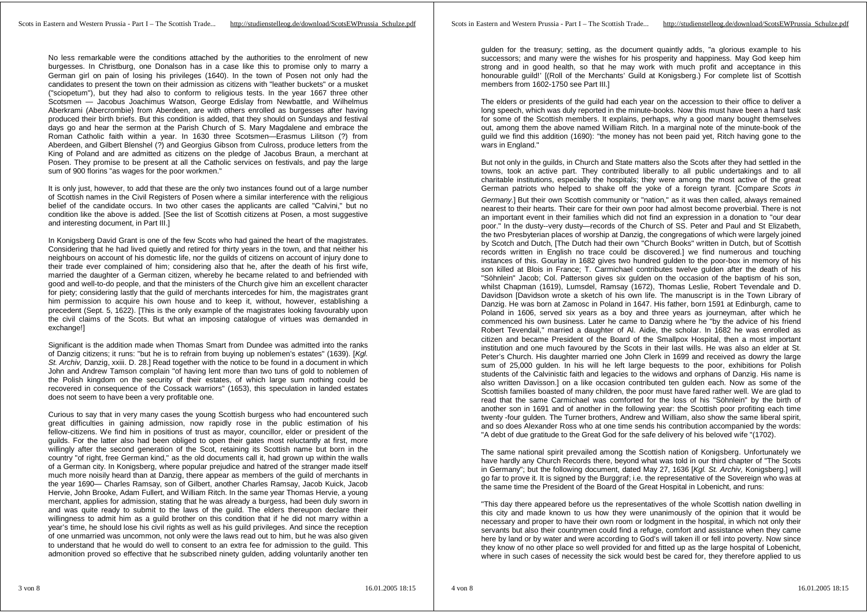No less remarkable were the conditions attached by the authorities to the enrolment of new burgesses. In Christburg, one Donalson has in <sup>a</sup> case like this to promise only to marry a German girl on pain of losing his privileges (1640). In the town of Posen not only had the candidates to present the town on their admission as citizens with "leather buckets" or <sup>a</sup> musket ("sciopetum"), but they had also to conform to religious tests. In the year 1667 three other Scotsmen — Jacobus Joachimus Watson, George Edislay from Newbattle, and Wilhelmus Aberkrami (Abercrombie) from Aberdeen, are with others enrolled as burgesses after having produced their birth briefs. But this condition is added, that they should on Sundays and festival days go and hear the sermon at the Parish Church of S. Mary Magdalene and embrace the Roman Catholic faith within <sup>a</sup> year. In 1630 three Scotsmen—Erasmus Lilitson (?) from Aberdeen, and Gilbert Blenshel (?) and Georgius Gibson from Culross, produce letters from the King of Poland and are admitted as citizens on the pledge of Jacobus Braun, <sup>a</sup> merchant at Posen. They promise to be present at all the Catholic services on festivals, and pay the large sum of 900 florins "as wages for the poor workmen."

It is only just, however, to add that these are the only two instances found out of <sup>a</sup> large number of Scottish names in the Civil Registers of Posen where <sup>a</sup> similar interference with the religious belief of the candidate occurs. In two other cases the applicants are called "Calvini," but no condition like the above is added. [See the list of Scottish citizens at Posen, <sup>a</sup> most suggestive and interesting document, in Part III.]

In Konigsberg David Grant is one of the few Scots who had gained the heart of the magistrates. Considering that he had lived quietly and retired for thirty years in the town, and that neither his neighbours on account of his domestic life, nor the guilds of citizens on account of injury done to their trade ever complained of him; considering also that he, after the death of his first wife, married the daughter of <sup>a</sup> German citizen, whereby he became related to and befriended with good and well-to-do people, and that the ministers of the Church give him an excellent character for piety; considering lastly that the guild of merchants intercedes for him, the magistrates grant him permission to acquire his own house and to keep it, without, however, establishing a precedent (Sept. 5, 1622). [This is the only example of the magistrates looking favourably upon the civil claims of the Scots. But what an imposing catalogue of virtues was demanded in exchange!]

Significant is the addition made when Thomas Smart from Dundee was admitted into the ranks of Danzig citizens; it runs: "but he is to refrain from buying up noblemen's estates" (1639). [*Kgl. St. Archiv,* Danzig, xxiii. D. 28.] Read together with the notice to be found in <sup>a</sup> document in which John and Andrew Tamson complain "of having lent more than two tuns of gold to noblemen of the Polish kingdom on the security of their estates, of which large sum nothing could be recovered in consequence of the Cossack warriors" (1653), this speculation in landed estates does not seem to have been <sup>a</sup> very profitable one.

Curious to say that in very many cases the young Scottish burgess who had encountered such great difficulties in gaining admission, now rapidly rose in the public estimation of his fellow-citizens. We find him in positions of trust as mayor, councillor, elder or president of the guilds. For the latter also had been obliged to open their gates most reluctantly at first, more willingly after the second generation of the Scot, retaining its Scottish name but born in the country "of right, free German kind," as the old documents call it, had grown up within the walls of <sup>a</sup> German city. In Konigsberg, where popular prejudice and hatred of the stranger made itself much more noisily heard than at Danzig, there appear as members of the guild of merchants in the year 1690— Charles Ramsay, son of Gilbert, another Charles Ramsay, Jacob Kuick, Jacob Hervie, John Brooke, Adam Fullert, and William Ritch. In the same year Thomas Hervie, <sup>a</sup> young merchant, applies for admission, stating that he was already <sup>a</sup> burgess, had been duly sworn in and was quite ready to submit to the laws of the guild. The elders thereupon declare their willingness to admit him as <sup>a</sup> guild brother on this condition that if he did not marry within a year's time, he should lose his civil rights as well as his guild privileges. And since the reception of one unmarried was uncommon, not only were the laws read out to him, but he was also given to understand that he would do well to consent to an extra fee for admission to the guild. This admonition proved so effective that he subscribed ninety gulden, adding voluntarily another ten

gulden for the treasury; setting, as the document quaintly adds, "a glorious example to his successors; and many were the wishes for his prosperity and happiness. May God keep him strong and in good health, so that he may work with much profit and acceptance in this honourable guild!' [(Roll of the Merchants' Guild at Konigsberg.) For complete list of Scottish members from 1602-1750 see Part III.]

The elders or presidents of the guild had each year on the accession to their office to deliver a long speech, which was duly reported in the minute-books. Now this must have been <sup>a</sup> hard task for some of the Scottish members. It explains, perhaps, why <sup>a</sup> good many bought themselves out, among them the above named William Ritch. In <sup>a</sup> marginal note of the minute-book of the guild we find this addition (1690): "the money has not been paid yet, Ritch having gone to the wars in England."

But not only in the guilds, in Church and State matters also the Scots after they had settled in the towns, took an active part. They contributed liberally to all public undertakings and to all charitable institutions, especially the hospitals; they were among the most active of the great German patriots who helped to shake off the yoke of <sup>a</sup> foreign tyrant. [Compare *Scots in Germany.*] But their own Scottish community or "nation," as it was then called, always remained nearest to their hearts. Their care for their own poor had almost become proverbial. There is not an important event in their families which did not find an expression in <sup>a</sup> donation to "our dear poor." In the dusty--very dusty—records of the Church of SS. Peter and Paul and St Elizabeth, the two Presbyterian places of worship at Danzig, the congregations of which were largely joined by Scotch and Dutch, [The Dutch had their own "Church Books" written in Dutch, but of Scottish records written in English no trace could be discovered.] we find numerous and touching instances of this. Gourlay in 1682 gives two hundred gulden to the poor-box in memory of his son killed at Blois in France; T. Carmichael contributes twelve gulden after the death of his "Söhnlein" Jacob; Col. Patterson gives six gulden on the occasion of the baptism of his son, whilst Chapman (1619), Lumsdel, Ramsay (1672), Thomas Leslie, Robert Tevendale and D. Davidson [Davidson wrote <sup>a</sup> sketch of his own life. The manuscript is in the Town Library of Danzig. He was born at Zamosc in Poland in 1647. His father, born 1591 at Edinburgh, came to Poland in 1606, served six years as <sup>a</sup> boy and three years as journeyman, after which he commenced his own business. Later he came to Danzig where he "by the advice of his friend Robert Tevendail," married <sup>a</sup> daughter of Al. Aidie, the scholar. In 1682 he was enrolled as citizen and became President of the Board of the Smallpox Hospital, then <sup>a</sup> most important institution and one much favoured by the Scots in their last wills. He was also an elder at St. Peter's Church. His daughter married one John Clerk in 1699 and received as dowry the large sum of 25,000 gulden. In his will he left large bequests to the poor, exhibitions for Polish students of the Calvinistic faith and legacies to the widows and orphans of Danzig. His name is also written Davisson.] on <sup>a</sup> like occasion contributed ten gulden each. Now as some of the Scottish families boasted of many children, the poor must have fared rather well. We are glad to read that the same Carmichael was comforted for the loss of his "Söhnlein" by the birth of another son in 1691 and of another in the following year: the Scottish poor profiting each time twenty -four gulden. The Turner brothers, Andrew and William, also show the same liberal spirit, and so does Alexander Ross who at one time sends his contribution accompanied by the words: "A debt of due gratitude to the Great God for the safe delivery of his beloved wife "(1702).

The same national spirit prevailed among the Scottish nation of Konigsberg. Unfortunately we have hardly any Church Records there, beyond what was told in our third chapter of "The Scots in Germany"; but the following document, dated May 27, 1636 [*Kgl. St. Archiv,* Konigsberg.] will go far to prove it. It is signed by the Burggraf; i.e. the representative of the Sovereign who was at the same time the President of the Board of the Great Hospital in Lobenicht, and runs:

"This day there appeared before us the representatives of the whole Scottish nation dwelling in this city and made known to us how they were unanimously of the opinion that it would be necessary and proper to have their own room or lodgment in the hospital, in which not only their servants but also their countrymen could find <sup>a</sup> refuge, comfort and assistance when they came here by land or by water and were according to God's will taken ill or fell into poverty. Now since they know of no other place so well provided for and fitted up as the large hospital of Lobenicht, where in such cases of necessity the sick would best be cared for, they therefore applied to us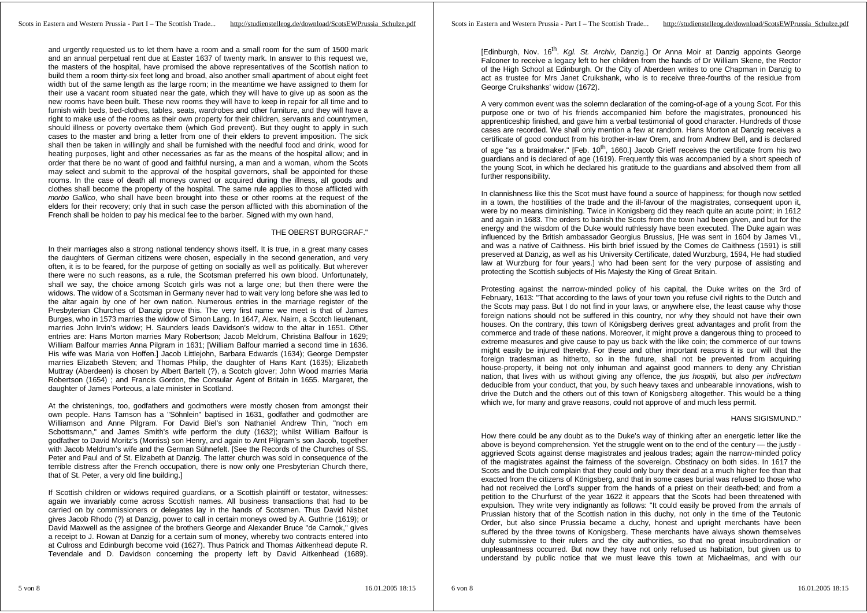and urgently requested us to let them have <sup>a</sup> room and <sup>a</sup> small room for the sum of 1500 mark and an annual perpetual rent due at Easter 1637 of twenty mark. In answer to this request we, the masters of the hospital, have promised the above representatives of the Scottish nation to build them <sup>a</sup> room thirty-six feet long and broad, also another small apartment of about eight feet width but of the same length as the large room; in the meantime we have assigned to them for their use <sup>a</sup> vacant room situated near the gate, which they will have to give up as soon as the new rooms have been built. These new rooms they will have to keep in repair for all time and to furnish with beds, bed-clothes, tables, seats, wardrobes and other furniture, and they will have a right to make use of the rooms as their own property for their children, servants and countrymen, should illness or poverty overtake them (which God prevent). But they ought to apply in such cases to the master and bring <sup>a</sup> letter from one of their elders to prevent imposition. The sick shall then be taken in willingly and shall be furnished with the needful food and drink, wood for heating purposes, light and other necessaries as far as the means of the hospital allow; and in order that there be no want of good and faithful nursing, <sup>a</sup> man and <sup>a</sup> woman, whom the Scots may select and submit to the approval of the hospital governors, shall be appointed for these rooms. In the case of death all moneys owned or acquired during the illness, all goods and clothes shall become the property of the hospital. The same rule applies to those afflicted with *morbo Gallico*, who shall have been brought into these or other rooms at the request of the elders for their recovery; only that in such case the person afflicted with this abomination of the French shall be holden to pay his medical fee to the barber. Signed with my own hand,

### THE OBERST BURGGRAF."

In their marriages also <sup>a</sup> strong national tendency shows itself. It is true, in <sup>a</sup> great many cases the daughters of German citizens were chosen, especially in the second generation, and very often, it is to be feared, for the purpose of getting on socially as well as politically. But wherever there were no such reasons, as <sup>a</sup> rule, the Scotsman preferred his own blood. Unfortunately, shall we say, the choice among Scotch girls was not <sup>a</sup> large one; but then there were the widows. The widow of <sup>a</sup> Scotsman in Germany never had to wait very long before she was led to the altar again by one of her own nation. Numerous entries in the marriage register of the Presbyterian Churches of Danzig prove this. The very first name we meet is that of James Burges, who in 1573 marries the widow of Simon Lang. In 1647, Alex. Nairn, <sup>a</sup> Scotch lieutenant, marries John Irvin's widow; H. Saunders leads Davidson's widow to the altar in 1651. Other entries are: Hans Morton marries Mary Robertson; Jacob Meldrum, Christina Balfour in 1629; William Balfour marries Anna Pilgram in 1631; [William Balfour married <sup>a</sup> second time in 1636. His wife was Maria von Hoffen.] Jacob Littlejohn, Barbara Edwards (1634); George Dempster marries Elizabeth Steven; and Thomas Philip, the daughter of Hans Kant (1635); Elizabeth Muttray (Aberdeen) is chosen by Albert Bartelt (?), <sup>a</sup> Scotch glover; John Wood marries Maria Robertson (1654) ; and Francis Gordon, the Consular Agent of Britain in 1655. Margaret, the daughter of James Porteous, <sup>a</sup> late minister in Scotland.

At the christenings, too, godfathers and godmothers were mostly chosen from amongst their own people. Hans Tamson has <sup>a</sup> "Söhnlein" baptised in 1631, godfather and godmother are Williamson and Anne Pilgram. For David Biel's son Nathaniel Andrew Thin, "noch em Scbottsmann," and James Smith's wife perform the duty (1632); whilst William Balfour is godfather to David Moritz's (Morriss) son Henry, and again to Arnt Pilgram's son Jacob, together with Jacob Meldrum's wife and the German Sühnefelt. [See the Records of the Churches of SS. Peter and Paul and of St. Elizabeth at Danzig. The latter church was sold in consequence of the terrible distress after the French occupation, there is now only one Presbyterian Church there, that of St. Peter, <sup>a</sup> very old fine building.]

If Scottish children or widows required guardians, or <sup>a</sup> Scottish plaintiff or testator, witnesses: again we invariably come across Scottish names. All business transactions that had to be carried on by commissioners or delegates lay in the hands of Scotsmen. Thus David Nisbet gives Jacob Rhodo (?) at Danzig, power to call in certain moneys owed by A. Guthrie (1619); or David Maxwell as the assignee of the brothers George and Alexander Bruce "de Carnok," gives <sup>a</sup> receipt to J. Rowan at Danzig for <sup>a</sup> certain sum of money, whereby two contracts entered into at Culross and Edinburgh become void (1627). Thus Patrick and Thomas Aitkenhead depute R. Tevendale and D. Davidson concerning the property left by David Aitkenhead (1689).

[Edinburgh, Nov. 16<sup>th</sup>, *Kgl. St. Archiv*, Danzig.] Or Anna Moir at Danzig appoints George Falconer to receive <sup>a</sup> legacy left to her children from the hands of Dr William Skene, the Rector of the High School at Edinburgh. Or the City of Aberdeen writes to one Chapman in Danzig to act as trustee for Mrs Janet Cruikshank, who is to receive three-fourths of the residue from George Cruikshanks' widow (1672).

A very common event was the solemn declaration of the coming-of-age of <sup>a</sup> young Scot. For this purpose one or two of his friends accompanied him before the magistrates, pronounced his apprenticeship finished, and gave him <sup>a</sup> verbal testimonial of good character. Hundreds of those cases are recorded. We shall only mention <sup>a</sup> few at random. Hans Morton at Danzig receives a certificate of good conduct from his brother-in-law Orem, and from Andrew Bell, and is declared of age "as a braidmaker." [Feb. 10<sup>th</sup>, 1660.] Jacob Grieff receives the certificate from his two guardians and is declared of age (1619). Frequently this was accompanied by <sup>a</sup> short speech of the young Scot, in which he declared his gratitude to the guardians and absolved them from all further responsibility.

In clannishness like this the Scot must have found <sup>a</sup> source of happiness; for though now settled in <sup>a</sup> town, the hostilities of the trade and the ill-favour of the magistrates, consequent upon it, were by no means diminishing. Twice in Konigsberg did they reach quite an acute point; in 1612 and again in 1683. The orders to banish the Scots from the town had been given, and but for the energy and the wisdom of the Duke would ruthlessly have been executed. The Duke again was influenced by the British ambassador Georgius Brussius, [He was sent in 1604 by James VI., and was <sup>a</sup> native of Caithness. His birth brief issued by the Comes de Caithness (1591) is still preserved at Danzig, as well as his University Certificate, dated Wurzburg, 1594, He had studied law at Wurzburg for four years.] who had been sent for the very purpose of assisting and protecting the Scottish subjects of His Majesty the King of Great Britain.

Protesting against the narrow-minded policy of his capital, the Duke writes on the 3rd of February, 1613: "That according to the laws of your town you refuse civil rights to the Dutch and the Scots may pass. But I do not find in your laws, or anywhere else, the least cause why those foreign nations should not be suffered in this country, nor why they should not have their own houses. On the contrary, this town of Königsberg derives great advantages and profit from the commerce and trade of these nations. Moreover, it might prove <sup>a</sup> dangerous thing to proceed to extreme measures and give cause to pay us back with the like coin; the commerce of our towns might easily be injured thereby. For these and other important reasons it is our will that the foreign tradesman as hitherto, so in the future, shall not be prevented from acquiring house-property, it being not only inhuman and against good manners to deny any Christian nation, that lives with us without giving any offence, the *jus hospitii,* but also *per indirectum* deducible from your conduct, that you, by such heavy taxes and unbearable innovations, wish to drive the Dutch and the others out of this town of Konigsberg altogether. This would be <sup>a</sup> thing which we, for many and grave reasons, could not approve of and much less permit.

### HANS SIGISMUND."

How there could be any doubt as to the Duke's way of thinking after an energetic letter like the above is beyond comprehension. Yet the struggle went on to the end of the century — the justly aggrieved Scots against dense magistrates and jealous trades; again the narrow-minded policy of the magistrates against the fairness of the sovereign. Obstinacy on both sides. In 1617 the Scots and the Dutch complain that they could only bury their dead at a much higher fee than that exacted from the citizens of Königsberg, and that in some cases burial was refused to those who had not received the Lord's supper from the hands of <sup>a</sup> priest on their death-bed; and from a petition to the Churfurst of the year 1622 it appears that the Scots had been threatened with expulsion. They write very indignantly as follows: "It could easily be proved from the annals of Prussian history that of the Scottish nation in this duchy, not only in the time of the Teutonic Order, but also since Prussia became <sup>a</sup> duchy, honest and upright merchants have been suffered by the three towns of Konigsberg. These merchants have always shown themselves duly submissive to their rulers and the city authorities, so that no great insubordination or unpleasantness occurred. But now they have not only refused us habitation, but given us to understand by public notice that we must leave this town at Michaelmas, and with our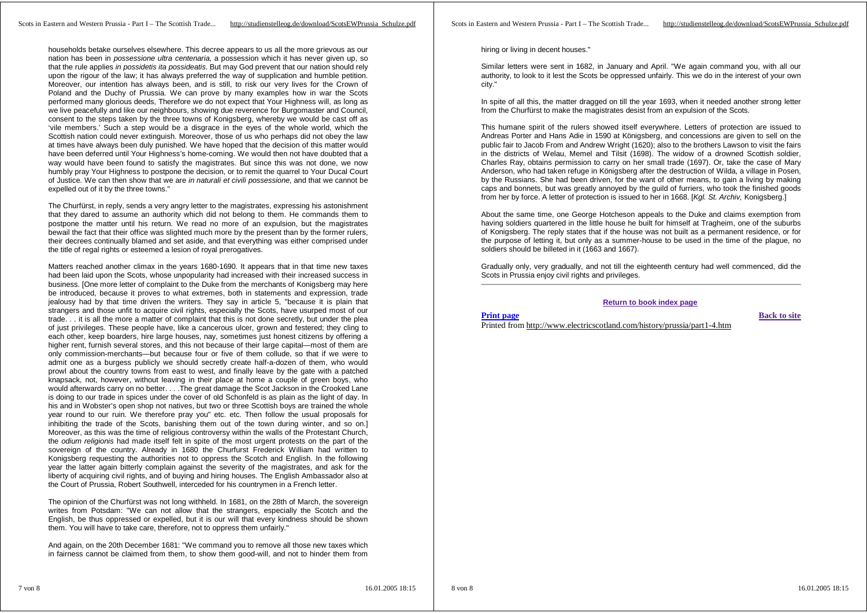households betake ourselves elsewhere. This decree appears to us all the more grievous as our nation has been in *possessione ultra centenaria*, <sup>a</sup> possession which it has never given up, so that the rule applies *in possidetis ita possideatis*. But may God prevent that our nation should rely upon the rigour of the law; it has always preferred the way of supplication and humble petition. Moreover, our intention has always been, and is still, to risk our very lives for the Crown of Poland and the Duchy of Prussia. We can prove by many examples how in war the Scots performed many glorious deeds, Therefore we do not expect that Your Highness will, as long as we live peacefully and like our neighbours, showing due reverence for Burgomaster and Council, consent to the steps taken by the three towns of Konigsberg, whereby we would be cast off as 'vile members.' Such <sup>a</sup> step would be <sup>a</sup> disgrace in the eyes of the whole world, which the Scottish nation could never extinguish. Moreover, those of us who perhaps did not obey the law at times have always been duly punished. We have hoped that the decision of this matter would have been deferred until Your Highness's home-coming. We would then not have doubted that a way would have been found to satisfy the magistrates. But since this was not done, we now humbly pray Your Highness to postpone the decision, or to remit the quarrel to Your Ducal Court of Justice. We can then show that we are *in naturali et civili possessione*, and that we cannot be expelled out of it by the three towns."

The Churfürst, in reply, sends <sup>a</sup> very angry letter to the magistrates, expressing his astonishment that they dared to assume an authority which did not belong to them. He commands them to postpone the matter until his return. We read no more of an expulsion, but the magistrates bewail the fact that their office was slighted much more by the present than by the former rulers, their decrees continually blamed and set aside, and that everything was either comprised under the title of regal rights or esteemed <sup>a</sup> lesion of royal prerogatives.

Matters reached another climax in the years 1680-1690. It appears that in that time new taxes had been laid upon the Scots, whose unpopularity had increased with their increased success in business. [One more letter of complaint to the Duke from the merchants of Konigsberg may here be introduced, because it proves to what extremes, both in statements and expression, trade jealousy had by that time driven the writers. They say in article 5, "because it is plain that strangers and those unfit to acquire civil rights, especially the Scots, have usurped most of our trade. . . it is all the more <sup>a</sup> matter of complaint that this is not done secretly, but under the plea of just privileges. These people have, like <sup>a</sup> cancerous ulcer, grown and festered; they cling to each other, keep boarders, hire large houses, nay, sometimes just honest citizens by offering a higher rent, furnish several stores, and this not because of their large capital—most of them are only commission-merchants—but because four or five of them collude, so that if we were to admit one as <sup>a</sup> burgess publicly we should secretly create half-a-dozen of them, who would prowl about the country towns from east to west, and finally leave by the gate with <sup>a</sup> patched knapsack, not, however, without leaving in their place at home <sup>a</sup> couple of green boys, who would afterwards carry on no better. . . .The great damage the Scot Jackson in the Crooked Lane is doing to our trade in spices under the cover of old Schonfeld is as plain as the light of day. In his and in Wobster's open shop not natives, but two or three Scottish boys are trained the whole year round to our ruin. We therefore pray you" etc. etc. Then follow the usual proposals for inhibiting the trade of the Scots, banishing them out of the town during winter, and so on.] Moreover, as this was the time of religious controversy within the walls of the Protestant Church, the *odium religionis* had made itself felt in spite of the most urgent protests on the part of the sovereign of the country. Already in 1680 the Churfurst Frederick William had written to Konigsberg requesting the authorities not to oppress the Scotch and English. In the following year the latter again bitterly complain against the severity of the magistrates, and ask for the liberty of acquiring civil rights, and of buying and hiring houses. The English Ambassador also at the Court of Prussia, Robert Southwell, interceded for his countrymen in <sup>a</sup> French letter.

The opinion of the Churfürst was not long withheld. In 1681, on the 28th of March, the sovereign writes from Potsdam: "We can not allow that the strangers, especially the Scotch and the English, be thus oppressed or expelled, but it is our will that every kindness should be shown them. You will have to take care, therefore, not to oppress them unfairly."

And again, on the 20th December 1681: "We command you to remove all those new taxes which in fairness cannot be claimed from them, to show them good-will, and not to hinder them from hiring or living in decent houses."

Similar letters were sent in 1682, in January and April. "We again command you, with all our authority, to look to it lest the Scots be oppressed unfairly. This we do in the interest of your own city."

In spite of all this, the matter dragged on till the year 1693, when it needed another strong letter from the Churfürst to make the magistrates desist from an expulsion of the Scots.

This humane spirit of the rulers showed itself everywhere. Letters of protection are issued to Andreas Porter and Hans Adie in 1590 at Königsberg, and concessions are given to sell on the public fair to Jacob From and Andrew Wright (1620); also to the brothers Lawson to visit the fairs in the districts of Welau, Memel and Tilsit (1698). The widow of <sup>a</sup> drowned Scottish soldier, Charles Ray, obtains permission to carry on her small trade (1697). Or, take the case of Mary Anderson, who had taken refuge in Königsberg after the destruction of Wilda, <sup>a</sup> village in Posen, by the Russians. She had been driven, for the want of other means, to gain <sup>a</sup> living by making caps and bonnets, but was greatly annoyed by the guild of furriers, who took the finished goods from her by force. A letter of protection is issued to her in 1668. [*Kgl. St. Archiv,* Konigsberg.]

About the same time, one George Hotcheson appeals to the Duke and claims exemption from having soldiers quartered in the little house he built for himself at Tragheim, one of the suburbs of Konigsberg. The reply states that if the house was not built as <sup>a</sup> permanent residence, or for the purpose of letting it, but only as <sup>a</sup> summer-house to be used in the time of the plague, no soldiers should be billeted in it (1663 and 1667).

Gradually only, very gradually, and not till the eighteenth century had well commenced, did the Scots in Prussia enjoy civil rights and privileges.

### **Return to book index page**

**Print page Back <b>Back Back <b>Back Back Back** 

Printed from http://www.electricscotland.com/history/prussia/part1-4.htm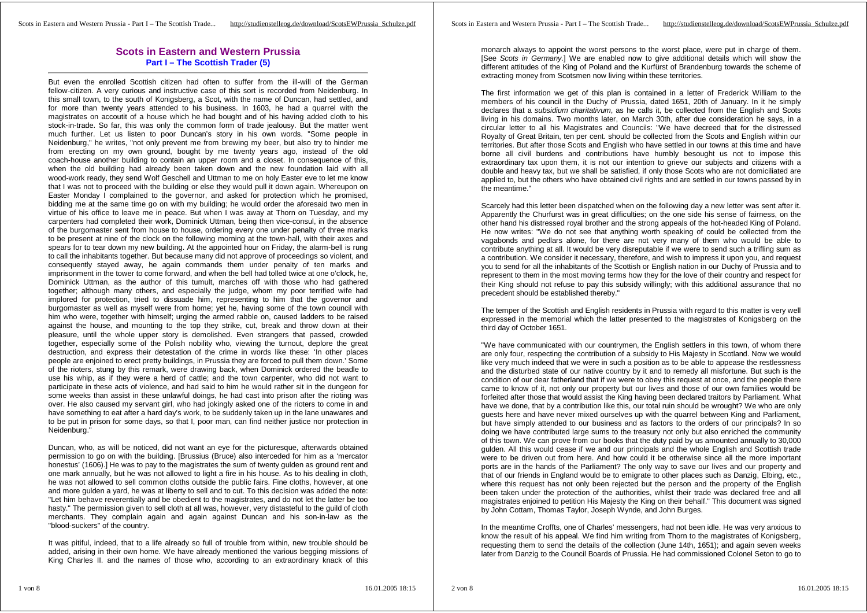# **Scots in Eastern and Western Prussia Part I – The Scottish Trader (5)**

But even the enrolled Scottish citizen had often to suffer from the ill-will of the German fellow-citizen. A very curious and instructive case of this sort is recorded from Neidenburg. In this small town, to the south of Konigsberg, <sup>a</sup> Scot, with the name of Duncan, had settled, and for more than twenty years attended to his business. In 1603, he had <sup>a</sup> quarrel with the magistrates on accoutit of <sup>a</sup> house which he had bought and of his having added cloth to his stock-in-trade. So far, this was only the common form of trade jealousy. But the matter went much further. Let us listen to poor Duncan's story in his own words. "Some people in Neidenburg," he writes, "not only prevent me from brewing my beer, but also try to hinder me from erecting on my own ground, bought by me twenty years ago, instead of the old coach-house another building to contain an upper room and <sup>a</sup> closet. In consequence of this, when the old building had already been taken down and the new foundation laid with all wood-work ready, they send Wolf Geschell and Uttman to me on holy Easter eve to let me know that I was not to proceed with the building or else they would pull it down again. Whereupon on Easter Monday I complained to the governor, and asked for protection which he promised, bidding me at the same time go on with my building; he would order the aforesaid two men in virtue of his office to leave me in peace. But when I was away at Thorn on Tuesday, and my carpenters had completed their work, Dominick Uttman, being then vice-consul, in the absence of the burgomaster sent from house to house, ordering every one under penalty of three marks to be present at nine of the clock on the following morning at the town-hall, with their axes and spears for to tear down my new building. At the appointed hour on Friday, the alarm-bell is rung to call the inhabitants together. But because many did not approve of proceedings so violent, and consequently stayed away, he again commands them under penalty of ten marks and imprisonment in the tower to come forward, and when the bell had tolled twice at one <sup>o</sup>'clock, he, Dominick Uttman, as the author of this tumult, marches off with those who had gathered together; although many others, and especially the judge, whom my poor terrified wife had implored for protection, tried to dissuade him, representing to him that the governor and burgomaster as well as myself were from home; yet he, having some of the town council with him who were, together with himself; urging the armed rabble on, caused ladders to be raised against the house, and mounting to the top they strike, cut, break and throw down at their pleasure, until the whole upper story is demolished. Even strangers that passed, crowded together, especially some of the Polish nobility who, viewing the turnout, deplore the great destruction, and express their detestation of the crime in words like these: 'In other places people are enjoined to erect pretty buildings, in Prussia they are forced to pull them down.' Some of the rioters, stung by this remark, were drawing back, when Dominick ordered the beadle to use his whip, as if they were <sup>a</sup> herd of cattle; and the town carpenter, who did not want to participate in these acts of violence, and had said to him he would rather sit in the dungeon for some weeks than assist in these unlawful doings, he had cast into prison after the rioting was over. He also caused my servant girl, who had jokingly asked one of the rioters to come in and have something to eat after <sup>a</sup> hard day's work, to be suddenly taken up in the lane unawares and to be put in prison for some days, so that I, poor man, can find neither justice nor protection in Neidenburg."

Duncan, who, as will be noticed, did not want an eye for the picturesque, afterwards obtained permission to go on with the building. [Brussius (Bruce) also interceded for him as <sup>a</sup> 'mercator honestus' (1606).] He was to pay to the magistrates the sum of twenty gulden as ground rent and one mark annually, but he was not allowed to light <sup>a</sup> fire in his house. As to his dealing in cloth, he was not allowed to sell common cloths outside the public fairs. Fine cloths, however, at one and more gulden <sup>a</sup> yard, he was at liberty to sell and to cut. To this decision was added the note: "Let him behave reverentially and be obedient to the magistrates, and do not let the latter be too hasty." The permission given to sell cloth at all was, however, very distasteful to the guild of cloth merchants. They complain again and again against Duncan and his son-in-law as the "blood-suckers" of the country.

It was pitiful, indeed, that to <sup>a</sup> life already so full of trouble from within, new trouble should be added, arising in their own home. We have already mentioned the various begging missions of King Charles II. and the names of those who, according to an extraordinary knack of this monarch always to appoint the worst persons to the worst place, were put in charge of them. [See *Scots in Germany.*] We are enabled now to give additional details which will show the different attitudes of the King of Poland and the Kurfürst of Brandenburg towards the scheme of extracting money from Scotsmen now living within these territories.

The first information we get of this plan is contained in <sup>a</sup> letter of Frederick William to the members of his council in the Duchy of Prussia, dated 1651, 20th of January. In it he simply declares that <sup>a</sup> *subsidium charitativum*, as he calls it, be collected from the English and Scots living in his domains. Two months later, on March 30th, after due consideration he says, in a circular letter to all his Magistrates and Councils: "We have decreed that for the distressed Royalty of Great Britain, ten per cent. should be collected from the Scots and English within our territories. But after those Scots and English who have settled in our towns at this time and have borne all civil burdens and contributions have humbly besought us not to impose this extraordinary tax upon them, it is not our intention to grieve our subjects and citizens with a double and heavy tax, but we shall be satisfied, if only those Scots who are not domiciliated are applied to, but the others who have obtained civil rights and are settled in our towns passed by in the meantime."

Scarcely had this letter been dispatched when on the following day <sup>a</sup> new letter was sent after it. Apparently the Churfurst was in great difficulties; on the one side his sense of fairness, on the other hand his distressed royal brother and the strong appeals of the hot-headed King of Poland. He now writes: "We do not see that anything worth speaking of could be collected from the vagabonds and pedlars alone, for there are not very many of them who would be able to contribute anything at all. It would be very disreputable if we were to send such <sup>a</sup> trifling sum as <sup>a</sup> contribution. We consider it necessary, therefore, and wish to impress it upon you, and request you to send for all the inhabitants of the Scottish or English nation in our Duchy of Prussia and to represent to them in the most moving terms how they for the love of their country and respect for their King should not refuse to pay this subsidy willingly; with this additional assurance that no precedent should be established thereby."

The temper of the Scottish and English residents in Prussia with regard to this matter is very well expressed in the memorial which the latter presented to the magistrates of Konigsberg on the third day of October 1651.

"We have communicated with our countrymen, the English settlers in this town, of whom there are only four, respecting the contribution of <sup>a</sup> subsidy to His Majesty in Scotland. Now we would like very much indeed that we were in such <sup>a</sup> position as to be able to appease the restlessness and the disturbed state of our native country by it and to remedy all misfortune. But such is the condition of our dear fatherland that if we were to obey this request at once, and the people there came to know of it, not only our property but our lives and those of our own families would be forfeited after those that would assist the King having been declared traitors by Parliament. What have we done, that by <sup>a</sup> contribution like this, our total ruin should be wrought? We who are only guests here and have never mixed ourselves up with the quarrel between King and Parliament, but have simply attended to our business and as factors to the orders of our principals? In so doing we have contributed large sums to the treasury not only but also enriched the community of this town. We can prove from our books that the duty paid by us amounted annually to 30,000 gulden. All this would cease if we and our principals and the whole English and Scottish trade were to be driven out from here. And how could it be otherwise since all the more important ports are in the hands of the Parliament? The only way to save our lives and our property and that of our friends in England would be to emigrate to other places such as Danzig, Elbing, etc., where this request has not only been rejected but the person and the property of the English been taken under the protection of the authorities, whilst their trade was declared free and all magistrates enjoined to petition His Majesty the King on their behalf." This document was signed by John Cottam, Thomas Taylor, Joseph Wynde, and John Burges.

In the meantime Croffts, one of Charles' messengers, had not been idle. He was very anxious to know the result of his appeal. We find him writing from Thorn to the magistrates of Konigsberg, requesting them to send the details of the collection (June 14th, 1651); and again seven weeks later from Danzig to the Council Boards of Prussia. He had commissioned Colonel Seton to go to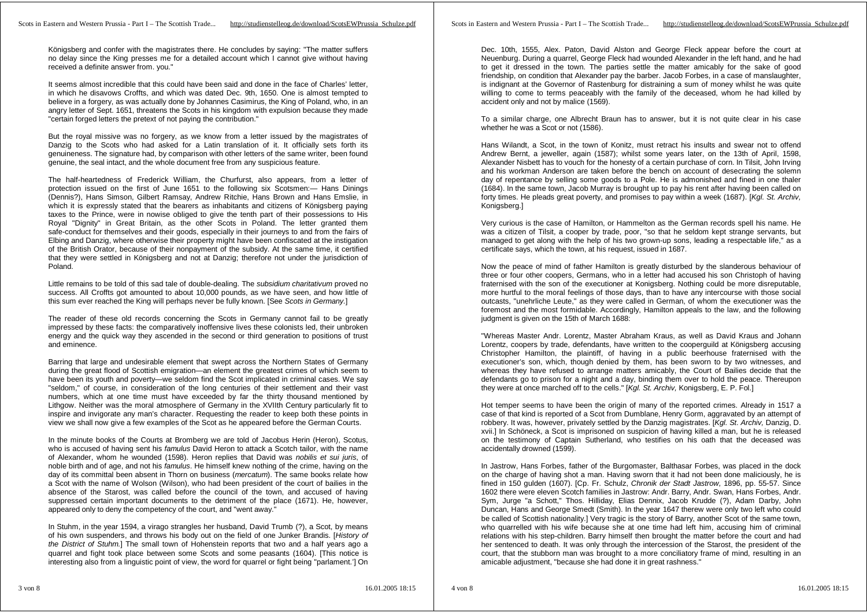Königsberg and confer with the magistrates there. He concludes by saying: "The matter suffers no delay since the King presses me for <sup>a</sup> detailed account which I cannot give without having received <sup>a</sup> definite answer from. you."

It seems almost incredible that this could have been said and done in the face of Charles' letter, in which he disavows Croffts, and which was dated Dec. 9th, 1650. One is almost tempted to believe in a forgery, as was actually done by Johannes Casimirus, the King of Poland, who, in an angry letter of Sept. 1651, threatens the Scots in his kingdom with expulsion because they made "certain forged letters the pretext of not paying the contribution."

But the royal missive was no forgery, as we know from <sup>a</sup> letter issued by the magistrates of Danzig to the Scots who had asked for <sup>a</sup> Latin translation of it. It officially sets forth its genuineness. The signature had, by comparison with other letters of the same writer, been found genuine, the seal intact, and the whole document free from any suspicious feature.

The half-heartedness of Frederick William, the Churfurst, also appears, from <sup>a</sup> letter of protection issued on the first of June 1651 to the following six Scotsmen:— Hans Dinings (Dennis?), Hans Simson, Gilbert Ramsay, Andrew Ritchie, Hans Brown and Hans Emslie, in which it is expressly stated that the bearers as inhabitants and citizens of Königsberg paying taxes to the Prince, were in nowise obliged to give the tenth part of their possessions to His Royal "Dignity" in Great Britain, as the other Scots in Poland. The letter granted them safe-conduct for themselves and their goods, especially in their journeys to and from the fairs of Elbing and Danzig, where otherwise their property might have been confiscated at the instigation of the British Orator, because of their nonpayment of the subsidy. At the same time, it certified that they were settled in Königsberg and not at Danzig; therefore not under the jurisdiction of Poland.

Little remains to be told of this sad tale of double-dealing. The *subsidium charitativum* proved no success. All Croffts got amounted to about 10,000 pounds, as we have seen, and how little of this sum ever reached the King will perhaps never be fully known. [See *Scots in Germany.*]

The reader of these old records concerning the Scots in Germany cannot fail to be greatly impressed by these facts: the comparatively inoffensive lives these colonists led, their unbroken energy and the quick way they ascended in the second or third generation to positions of trust and eminence.

Barring that large and undesirable element that swept across the Northern States of Germany during the great flood of Scottish emigration—an element the greatest crimes of which seem to have been its youth and poverty—we seldom find the Scot implicated in criminal cases. We say "seldom," of course, in consideration of the long centuries of their settlement and their vast numbers, which at one time must have exceeded by far the thirty thousand mentioned by Lithgow. Neither was the moral atmosphere of Germany in the XVIIth Century particularly fit to inspire and invigorate any man's character. Requesting the reader to keep both these points in view we shall now give <sup>a</sup> few examples of the Scot as he appeared before the German Courts.

In the minute books of the Courts at Bromberg we are told of Jacobus Herin (Heron), Scotus, who is accused of having sent his *famulus* David Heron to attack <sup>a</sup> Scotch tailor, with the name of Alexander, whom he wounded (1598). Heron replies that David was *nobilis et sui juris*, of noble birth and of age, and not his *famulus*. He himself knew nothing of the crime, having on the day of its committal been absent in Thorn on business (*mercatum*). The same books relate how <sup>a</sup> Scot with the name of Wolson (Wilson), who had been president of the court of bailies in the absence of the Starost, was called before the council of the town, and accused of having suppressed certain important documents to the detriment of the place (1671). He, however, appeared only to deny the competency of the court, and "went away."

In Stuhm, in the year 1594, <sup>a</sup> virago strangles her husband, David Trumb (?), <sup>a</sup> Scot, by means of his own suspenders, and throws his body out on the field of one Junker Brandis. [*History of the District of Stuhm.*] The small town of Hohenstein reports that two and <sup>a</sup> half years ago a quarrel and fight took place between some Scots and some peasants (1604). [This notice is interesting also from <sup>a</sup> linguistic point of view, the word for quarrel or fight being "parlament.'] On

Dec. 10th, 1555, Alex. Paton, David Alston and George Fleck appear before the court at Neuenburg. During <sup>a</sup> quarrel, George Fleck had wounded Alexander in the left hand, and he had to get it dressed in the town. The parties settle the matter amicably for the sake of good friendship, on condition that Alexander pay the barber. Jacob Forbes, in <sup>a</sup> case of manslaughter, is indignant at the Governor of Rastenburg for distraining <sup>a</sup> sum of money whilst he was quite willing to come to terms peaceably with the family of the deceased, whom he had killed by accident only and not by malice (1569).

To <sup>a</sup> similar charge, one Albrecht Braun has to answer, but it is not quite clear in his case whether he was <sup>a</sup> Scot or not (1586).

Hans Wilandt, <sup>a</sup> Scot, in the town of Konitz, must retract his insults and swear not to offend Andrew Bernt, <sup>a</sup> jeweller, again (1587); whilst some years later, on the 13th of April, 1598, Alexander Nisbett has to vouch for the honesty of <sup>a</sup> certain purchase of corn. In Tilsit, John Irving and his workman Anderson are taken before the bench on account of desecrating the solemn day of repentance by selling some goods to <sup>a</sup> Pole. He is admonished and fined in one thaler (1684). In the same town, Jacob Murray is brought up to pay his rent after having been called on forty times. He pleads great poverty, and promises to pay within <sup>a</sup> week (1687). [*Kgl. St. Archiv,* Konigsberg.]

Very curious is the case of Hamilton, or Hammelton as the German records spell his name. He was <sup>a</sup> citizen of Tilsit, <sup>a</sup> cooper by trade, poor, "so that he seldom kept strange servants, but managed to get along with the help of his two grown-up sons, leading <sup>a</sup> respectable life," as a certificate says, which the town, at his request, issued in 1687.

Now the peace of mind of father Hamilton is greatly disturbed by the slanderous behaviour of three or four other coopers, Germans, who in <sup>a</sup> letter had accused his son Christoph of having fraternised with the son of the executioner at Konigsberg. Nothing could be more disreputable, more hurtful to the moral feelings of those days, than to have any intercourse with those social outcasts, "unehrliche Leute," as they were called in German, of whom the executioner was the foremost and the most formidable. Accordingly, Hamilton appeals to the law, and the following judgment is given on the 15th of March 1688:

"Whereas Master Andr. Lorentz, Master Abraham Kraus, as well as David Kraus and Johann Lorentz, coopers by trade, defendants, have written to the cooperguild at Königsberg accusing Christopher Hamilton, the plaintiff, of having in <sup>a</sup> public beerhouse fraternised with the executioner's son, which, though denied by them, has been sworn to by two witnesses, and whereas they have refused to arrange matters amicably, the Court of Bailies decide that the defendants go to prison for <sup>a</sup> night and <sup>a</sup> day, binding them over to hold the peace. Thereupon they were at once marched off to the cells." [*Kgl. St. Archiv,* Konigsberg, E. P. Fol.]

Hot temper seems to have been the origin of many of the reported crimes. Already in 1517 a case of that kind is reported of <sup>a</sup> Scot from Dumblane, Henry Gorm, aggravated by an attempt of robbery. It was, however, privately settled by the Danzig magistrates. [*Kgl. St. Archiv,* Danzig, D. xvii.] In Schöneck, <sup>a</sup> Scot is imprisoned on suspicion of having killed <sup>a</sup> man, but he is released on the testimony of Captain Sutherland, who testifies on his oath that the deceased was accidentally drowned (1599).

In Jastrow, Hans Forbes, father of the Burgomaster, Balthasar Forbes, was placed in the dock on the charge of having shot <sup>a</sup> man. Having sworn that it had not been done maliciously, he is fined in 150 gulden (1607). [Cp. Fr. Schulz, *Chronik der Stadt Jastrow,* 1896, pp. 55-57. Since 1602 there were eleven Scotch families in Jastrow: Andr. Barry, Andr. Swan, Hans Forbes, Andr. Sym, Jurge "a Schott," Thos. Hilliday, Elias Dennix, Jacob Krudde (?), Adam Darby, John Duncan, Hans and George Smedt (Smith). In the year 1647 therew were only two left who could be called of Scottish nationality.] Very tragic is the story of Barry, another Scot of the same town, who quarrelled with his wife because she at one time had left him, accusing him of criminal relations with his step-children. Barry himself then brought the matter before the court and had her sentenced to death. It was only through the intercession of the Starost, the president of the court, that the stubborn man was brought to <sup>a</sup> more conciliatory frame of mind, resulting in an amicable adjustment, "because she had done it in great rashness."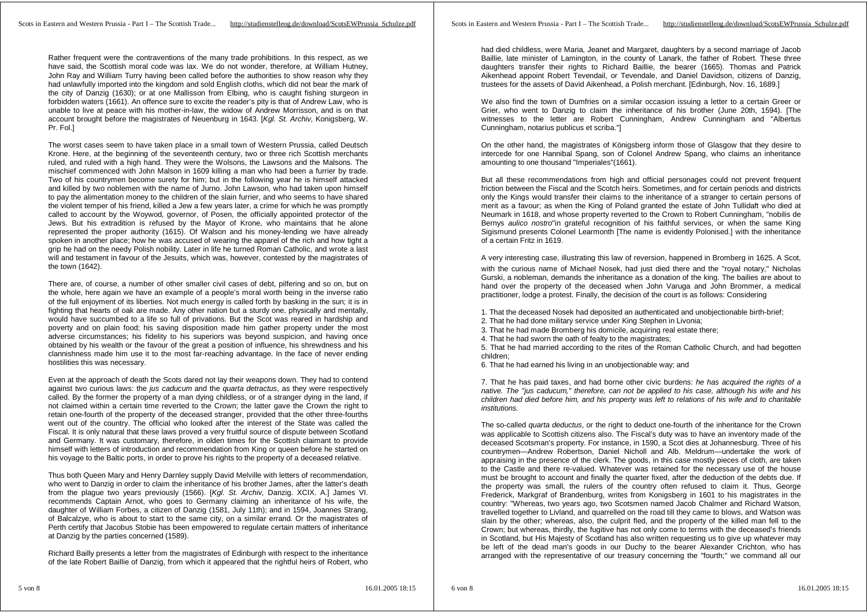Rather frequent were the contraventions of the many trade prohibitions. In this respect, as we have said, the Scottish moral code was lax. We do not wonder, therefore, at William Hutney, John Ray and William Turry having been called before the authorities to show reason why they had unlawfully imported into the kingdom and sold English cloths, which did not bear the mark of the city of Danzig (1630); or at one Mallisson from Elbing, who is caught fishing sturgeon in forbidden waters (1661). An offence sure to excite the reader's pity is that of Andrew Law, who is unable to live at peace with his mother-in-law, the widow of Andrew Morrisson, and is on that account brought before the magistrates of Neuenburg in 1643. [*Kgl. St. Archiv,* Konigsberg, W. Pr. Fol.]

The worst cases seem to have taken place in <sup>a</sup> small town of Western Prussia, called Deutsch Krone. Here, at the beginning of the seventeenth century, two or three rich Scottish merchants ruled, and ruled with <sup>a</sup> high hand. They were the Wolsons, the Lawsons and the Malsons. The mischief commenced with John Malson in 1609 killing <sup>a</sup> man who had been <sup>a</sup> furrier by trade. Two of his countrymen become surety for him; but in the following year he is himself attacked and killed by two noblemen with the name of Jurno. John Lawson, who had taken upon himself to pay the alimentation money to the children of the slain furrier, and who seems to have shared the violent temper of his friend, killed <sup>a</sup> Jew a few years later, <sup>a</sup> crime for which he was promptly called to account by the Woywod, governor, of Posen, the officially appointed protector of the Jews. But his extradition is refused by the Mayor of Krone, who maintains that he alone represented the proper authority (1615). Of Walson and his money-lending we have already spoken in another place; how he was accused of wearing the apparel of the rich and how tight a grip he had on the needy Polish nobility. Later in life he turned Roman Catholic, and wrote <sup>a</sup> last will and testament in favour of the Jesuits, which was, however, contested by the magistrates of the town (1642).

There are, of course, <sup>a</sup> number of other smaller civil cases of debt, pilfering and so on, but on the whole, here again we have an example of <sup>a</sup> people's moral worth being in the inverse ratio of the full enjoyment of its liberties. Not much energy is called forth by basking in the sun; it is in fighting that hearts of oak are made. Any other nation but <sup>a</sup> sturdy one, physically and mentally, would have succumbed to <sup>a</sup> life so full of privations. But the Scot was reared in hardship and poverty and on plain food; his saving disposition made him gather property under the most adverse circumstances; his fidelity to his superiors was beyond suspicion, and having once obtained by his wealth or the favour of the great <sup>a</sup> position of influence, his shrewdness and his clannishness made him use it to the most far-reaching advantage. In the face of never ending hostilities this was necessary.

Even at the approach of death the Scots dared not lay their weapons down. They had to contend against two curious laws: the *jus caducum* and the *quarta detractus*, as they were respectively called. By the former the property of <sup>a</sup> man dying childless, or of <sup>a</sup> stranger dying in the land, if not claimed within <sup>a</sup> certain time reverted to the Crown; the latter gave the Crown the right to retain one-fourth of the property of the deceased stranger, provided that the other three-fourths went out of the country. The official who looked after the interest of the State was called the Fiscal. It is only natural that these laws proved <sup>a</sup> very fruitful source of dispute between Scotland and Germany. It was customary, therefore, in olden times for the Scottish claimant to provide himself with letters of introduction and recommendation from King or queen before he started on his voyage to the Baltic ports, in order to prove his rights to the property of <sup>a</sup> deceased relative.

Thus both Queen Mary and Henry Darnley supply David Melville with letters of recommendation, who went to Danzig in order to claim the inheritance of his brother James, after the latter's death from the plague two years previously (1566). [*Kgl. St. Archiv,* Danzig. XCIX. A.] James VI. recommends Captain Arnot, who goes to Germany claiming an inheritance of his wife, the daughter of William Forbes, <sup>a</sup> citizen of Danzig (1581, July 11th); and in 1594, Joannes Strang, of Balcalzye, who is about to start to the same city, on <sup>a</sup> similar errand. Or the magistrates of Perth certify that Jacobus Stobie has been empowered to regulate certain matters of inheritance at Danzig by the parties concerned (1589).

Richard Bailly presents <sup>a</sup> letter from the magistrates of Edinburgh with respect to the inheritance of the late Robert Baillie of Danzig, from which it appeared that the rightful heirs of Robert, who had died childless, were Maria, Jeanet and Margaret, daughters by <sup>a</sup> second marriage of Jacob Baillie, late minister of Lamington, in the county of Lanark, the father of Robert. These three daughters transfer their rights to Richard Baillie, the bearer (1665). Thomas and Patrick Aikenhead appoint Robert Tevendail, or Tevendale, and Daniel Davidson, citizens of Danzig, trustees for the assets of David Aikenhead, <sup>a</sup> Polish merchant. [Edinburgh, Nov. 16, 1689.]

We also find the town of Dumfries on <sup>a</sup> similar occasion issuing <sup>a</sup> letter to <sup>a</sup> certain Greer or Grier, who went to Danzig to claim the inheritance of his brother (June 20th, 1594). [The witnesses to the letter are Robert Cunningham, Andrew Cunningham and "Albertus Cunningham, notarius publicus et scriba."]

On the other hand, the magistrates of Königsberg inform those of Glasgow that they desire to intercede for one Hannibal Spang, son of Colonel Andrew Spang, who claims an inheritance amounting to one thousand "Imperiales"(1661).

But all these recommendations from high and official personages could not prevent frequent friction between the Fiscal and the Scotch heirs. Sometimes, and for certain periods and districts only the Kings would transfer their claims to the inheritance of <sup>a</sup> stranger to certain persons of merit as <sup>a</sup> favour; as when the King of Poland granted the estate of John Tullidaft who died at Neumark in 1618, and whose property reverted to the Crown to Robert Cunningham, "nobilis de Bernys *aulico nostro*"in grateful recognition of his faithful services, or when the same King Sigismund presents Colonel Learmonth [The name is evidently Polonised.] with the inheritance of a certain Fritz in 1619.

A very interesting case, illustrating this law of reversion, happened in Bromberg in 1625. A Scot,

with the curious name of Michael Nosek, had just died there and the "royal notary," Nicholas Gurski, <sup>a</sup> nobleman, demands the inheritance as <sup>a</sup> donation of the king. The bailies are about to hand over the property of the deceased when John Varuga and John Brommer, <sup>a</sup> medical practitioner, lodge <sup>a</sup> protest. Finally, the decision of the court is as follows: Considering

1. That the deceased Nosek had deposited an authenticated and unobjectionable birth-brief;

2. That he had done military service under King Stephen in Livonia;

3. That he had made Bromberg his domicile, acquiring real estate there;

4. That he had sworn the oath of fealty to the magistrates;

5. That he had married according to the rites of the Roman Catholic Church, and had begotten children;

6. That he had earned his living in an unobjectionable way; and

7. That he has paid taxes, and had borne other civic burdens: *he has acquired the rights of a* native. The "jus caducum," therefore, can not be applied to his case, although his wife and his children had died before him, and his property was left to relations of his wife and to charitable *institutions.*

The so-called *quarta deductus*, or the right to deduct one-fourth of the inheritance for the Crown was applicable to Scottish citizens also. The Fiscal's duty was to have an inventory made of the deceased Scotsman's property. For instance, in 1590, <sup>a</sup> Scot dies at Johannesburg. Three of his countrymen—Andrew Robertson, Daniel Nicholl and Alb. Meldrum—undertake the work of appraising in the presence of the clerk. The goods, in this case mostly pieces of cloth, are taken to the Castle and there re-valued. Whatever was retained for the necessary use of the house must be brought to account and finally the quarter fixed, after the deduction of the debts due. If the property was small, the rulers of the country often refused to claim it. Thus, George Frederick, Markgraf of Brandenburg, writes from Konigsberg in 1601 to his magistrates in the country: "Whereas, two years ago, two Scotsmen named Jacob Chalmer and Richard Watson, travelled together to Livland, and quarrelled on the road till they came to blows, and Watson was slain by the other; whereas, also, the culprit fled, and the property of the killed man fell to the Crown; but whereas, thirdly, the fugitive has not only come to terms with the deceased's friends in Scotland, but His Majesty of Scotland has also written requesting us to give up whatever may be left of the dead man's goods in our Duchy to the bearer Alexander Crichton, who has arranged with the representative of our treasury concerning the "fourth;" we command all our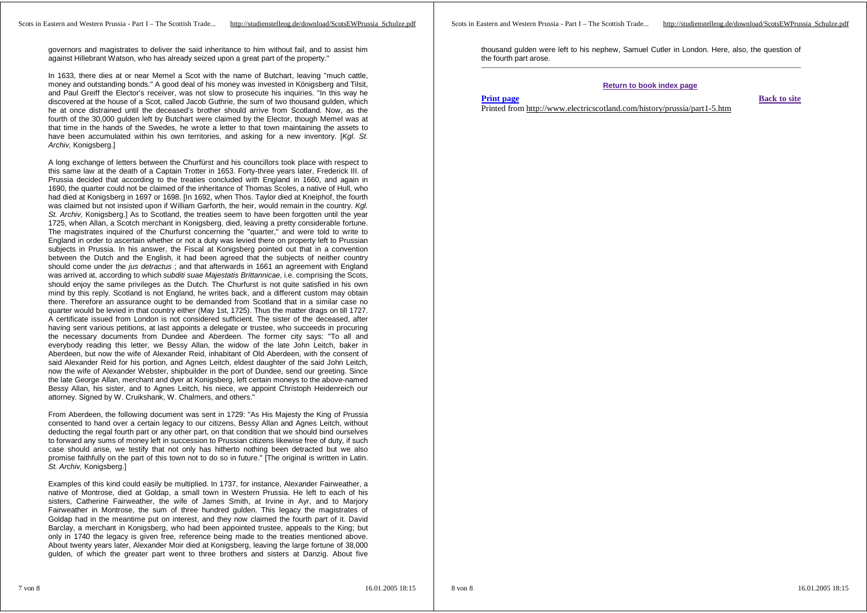governors and magistrates to deliver the said inheritance to him without fail, and to assist him against Hillebrant Watson, who has already seized upon <sup>a</sup> great part of the property."

In 1633, there dies at or near Memel a Scot with the name of Butchart, leaving "much cattle, money and outstanding bonds." A good deal of his money was invested in Königsberg and Tilsit, and Paul Greiff the Elector's receiver, was not slow to prosecute his inquiries. "In this way he discovered at the house of <sup>a</sup> Scot, called Jacob Guthrie, the sum of two thousand gulden, which he at once distrained until the deceased's brother should arrive from Scotland. Now, as the fourth of the 30,000 gulden left by Butchart were claimed by the Elector, though Memel was at that time in the hands of the Swedes, he wrote <sup>a</sup> letter to that town maintaining the assets to have been accumulated within his own territories, and asking for <sup>a</sup> new inventory. [*Kgl. St. Archiv,* Konigsberg.]

A long exchange of letters between the Churfürst and his councillors took place with respect to this same law at the death of <sup>a</sup> Captain Trotter in 1653. Forty-three years later, Frederick III. of Prussia decided that according to the treaties concluded with England in 1660, and again in 1690, the quarter could not be claimed of the inheritance of Thomas Scoles, <sup>a</sup> native of Hull, who had died at Konigsberg in 1697 or 1698. [In 1692, when Thos. Taylor died at Kneiphof, the fourth was claimed but not insisted upon if William Garforth, the heir, would remain in the country. *Kgl. St. Archiv,* Konigsberg.] As to Scotland, the treaties seem to have been forgotten until the year 1725, when Allan, <sup>a</sup> Scotch merchant in Konigsberg, died, leaving <sup>a</sup> pretty considerable fortune. The magistrates inquired of the Churfurst concerning the "quarter," and were told to write to England in order to ascertain whether or not <sup>a</sup> duty was levied there on property left to Prussian subjects in Prussia. In his answer, the Fiscal at Konigsberg pointed out that in <sup>a</sup> convention between the Dutch and the English, it had been agreed that the subjects of neither country should come under the *jus detractus* ; and that afterwards in 1661 an agreement with England was arrived at, according to which *subditi suae Majestatis Brittannicae*, i.e. comprising the Scots, should enjoy the same privileges as the Dutch. The Churfurst is not quite satisfied in his own mind by this reply. Scotland is not England, he writes back, and <sup>a</sup> different custom may obtain there. Therefore an assurance ought to be demanded from Scotland that in <sup>a</sup> similar case no quarter would be levied in that country either (May 1st, 1725). Thus the matter drags on till 1727. A certificate issued from London is not considered sufficient. The sister of the deceased, after having sent various petitions, at last appoints <sup>a</sup> delegate or trustee, who succeeds in procuring the necessary documents from Dundee and Aberdeen. The former city says: "To all and everybody reading this letter, we Bessy Allan, the widow of the late John Leitch, baker in Aberdeen, but now the wife of Alexander Reid, inhabitant of Old Aberdeen, with the consent of said Alexander Reid for his portion, and Agnes Leitch, eldest daughter of the said John Leitch, now the wife of Alexander Webster, shipbuilder in the port of Dundee, send our greeting. Since the late George Allan, merchant and dyer at Konigsberg, left certain moneys to the above-named Bessy Allan, his sister, and to Agnes Leitch, his niece, we appoint Christoph Heidenreich our attorney. Signed by W. Cruikshank, W. Chalmers, and others."

From Aberdeen, the following document was sent in 1729: "As His Majesty the King of Prussia consented to hand over <sup>a</sup> certain legacy to our citizens, Bessy Allan and Agnes Leitch, without deducting the regal fourth part or any other part, on that condition that we should bind ourselves to forward any sums of money left in succession to Prussian citizens likewise free of duty, if such case should arise, we testify that not only has hitherto nothing been detracted but we also promise faithfully on the part of this town not to do so in future." [The original is written in Latin. *St. Archiv,* Konigsberg.]

Examples of this kind could easily be multiplied. In 1737, for instance, Alexander Fairweather, a native of Montrose, died at Goldap, <sup>a</sup> small town in Western Prussia. He left to each of his sisters, Catherine Fairweather, the wife of James Smith, at Irvine in Ayr, and to Marjory Fairweather in Montrose, the sum of three hundred gulden. This legacy the magistrates of Goldap had in the meantime put on interest, and they now claimed the fourth part of it. David Barclay, <sup>a</sup> merchant in Konigsberg, who had been appointed trustee, appeals to the King; but only in 1740 the legacy is given free, reference being made to the treaties mentioned above. About twenty years later, Alexander Moir died at Konigsberg, leaving the large fortune of 38,000 gulden, of which the greater part went to three brothers and sisters at Danzig. About five

thousand gulden were left to his nephew, Samuel Cutler in London. Here, also, the question of the fourth part arose.

### **Return to book index page**

**Print page Back <b>Back Back Back Back Back** 

Printed from http://www.electricscotland.com/history/prussia/part1-5.htm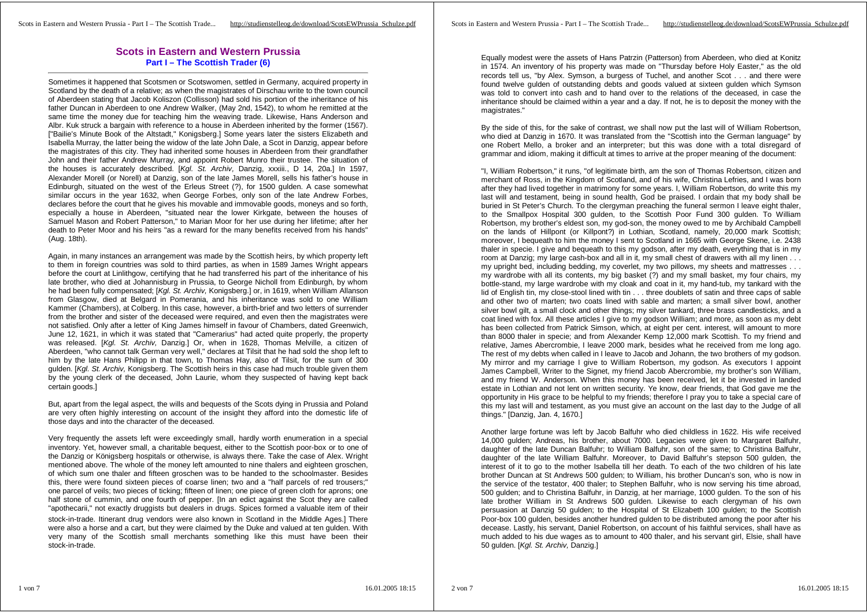# **Scots in Eastern and Western Prussia Part I – The Scottish Trader (6)**

Sometimes it happened that Scotsmen or Scotswomen, settled in Germany, acquired property in Scotland by the death of <sup>a</sup> relative; as when the magistrates of Dirschau write to the town council of Aberdeen stating that Jacob Koliszon (Collisson) had sold his portion of the inheritance of his father Duncan in Aberdeen to one Andrew Walker, (May 2nd, 1542), to whom he remitted at the same time the money due for teaching him the weaving trade. Likewise, Hans Anderson and Albr. Kuk struck <sup>a</sup> bargain with reference to <sup>a</sup> house in Aberdeen inherited by the former (1567). ["Bailie's Minute Book of the Altstadt," Konigsberg.] Some years later the sisters Elizabeth and Isabella Murray, the latter being the widow of the late John Dale, <sup>a</sup> Scot in Danzig, appear before the magistrates of this city. They had inherited some houses in Aberdeen from their grandfather John and their father Andrew Murray, and appoint Robert Munro their trustee. The situation of the houses is accurately described. [*Kgl. St. Archiv,* Danzig, xxxiii., D 14, 20a.] In 1597, Alexander Morell (or Norell) at Danzig, son of the late James Morell, sells his father's house in Edinburgh, situated on the west of the Erleus Street (?), for 1500 gulden. A case somewhat similar occurs in the year 1632, when George Forbes, only son of the late Andrew Forbes, declares before the court that he gives his movable and immovable goods, moneys and so forth, especially <sup>a</sup> house in Aberdeen, "situated near the lower Kirkgate, between the houses of Samuel Mason and Robert Patterson," to Marian Moor for her use during her lifetime; after her death to Peter Moor and his heirs "as <sup>a</sup> reward for the many benefits received from his hands" (Aug. 18th).

Again, in many instances an arrangement was made by the Scottish heirs, by which property left to them in foreign countries was sold to third parties, as when in 1589 James Wright appears before the court at Linlithgow, certifying that he had transferred his part of the inheritance of his late brother, who died at Johannisburg in Prussia, to George Nicholl from Edinburgh, by whom he had been fully compensated; [*Kgl. St. Archiv,* Konigsberg.] or, in 1619, when William Allanson from Glasgow, died at Belgard in Pomerania, and his inheritance was sold to one William Kammer (Chambers), at Colberg. In this case, however, <sup>a</sup> birth-brief and two letters of surrender from the brother and sister of the deceased were required, and even then the magistrates were not satisfied. Only after <sup>a</sup> letter of King James himself in favour of Chambers, dated Greenwich, June 12, 1621, in which it was stated that "Camerarius" had acted quite properly, the property was released. [*Kgl. St. Archiv,* Danzig.] Or, when in 1628, Thomas Melville, <sup>a</sup> citizen of Aberdeen, "who cannot talk German very well," declares at Tilsit that he had sold the shop left to him by the late Hans Philipp in that town, to Thomas Hay, also of Tilsit, for the sum of 300 gulden. [*Kgl. St. Archiv,* Konigsberg. The Scottish heirs in this case had much trouble given them by the young clerk of the deceased, John Laurie, whom they suspected of having kept back certain goods.]

But, apart from the legal aspect, the wills and bequests of the Scots dying in Prussia and Poland are very often highly interesting on account of the insight they afford into the domestic life of those days and into the character of the deceased.

Very frequently the assets left were exceedingly small, hardly worth enumeration in <sup>a</sup> special inventory. Yet, however small, <sup>a</sup> charitable bequest, either to the Scottish poor-box or to one of the Danzig or Königsberg hospitals or otherwise, is always there. Take the case of Alex. Wright mentioned above. The whole of the money left amounted to nine thalers and eighteen groschen, of which sum one thaler and fifteen groschen was to be handed to the schoolmaster. Besides this, there were found sixteen pieces of coarse linen; two and <sup>a</sup> "half parcels of red trousers;" one parcel of veils; two pieces of ticking; fifteen of linen; one piece of green cloth for aprons; one half stone of cummin, and one fourth of pepper. [In an edict against the Scot they are called "apothecarii," not exactly druggists but dealers in drugs. Spices formed <sup>a</sup> valuable item of their stock-in-trade. Itinerant drug vendors were also known in Scotland in the Middle Ages.] There were also <sup>a</sup> horse and <sup>a</sup> cart, but they were claimed by the Duke and valued at ten gulden. With very many of the Scottish small merchants something like this must have been their stock-in-trade.

Equally modest were the assets of Hans Patrzin (Patterson) from Aberdeen, who died at Konitz in 1574. An inventory of his property was made on "Thursday before Holy Easter," as the old records tell us, "by Alex. Symson, <sup>a</sup> burgess of Tuchel, and another Scot . . . and there were found twelve gulden of outstanding debts and goods valued at sixteen gulden which Symson was told to convert into cash and to hand over to the relations of the deceased, in case the inheritance should be claimed within <sup>a</sup> year and <sup>a</sup> day. If not, he is to deposit the money with the magistrates."

By the side of this, for the sake of contrast, we shall now put the last will of William Robertson, who died at Danzig in 1670. It was translated from the "Scottish into the German language" by one Robert Mello, <sup>a</sup> broker and an interpreter; but this was done with <sup>a</sup> total disregard of grammar and idiom, making it difficult at times to arrive at the proper meaning of the document:

"I, William Robertson," it runs, "of legitimate birth, am the son of Thomas Robertson, citizen and merchant of Ross, in the Kingdom of Scotland, and of his wife, Christina Lefries, and I was born after they had lived together in matrimony for some years. I, William Robertson, do write this my last will and testament, being in sound health, God be praised. I ordain that my body shall be buried in St Peter's Church. To the clergyman preaching the funeral sermon I leave eight thaler, to the Smallpox Hospital 300 gulden, to the Scottish Poor Fund 300 gulden. To William Robertson, my brother's eldest son, my god-son, the money owed to me by Archibald Campbell on the lands of Hillpont (or Killpont?) in Lothian, Scotland, namely, 20,000 mark Scottish; moreover, I bequeath to him the money I sent to Scotland in 1665 with George Skene, i.e. 2438 thaler in specie. I give and bequeath to this my godson, after my death, everything that is in my room at Danzig; my large cash-box and all in it, my small chest of drawers with all my linen . . . my upright bed, including bedding, my coverlet, my two pillows, my sheets and mattresses . . . my wardrobe with all its contents, my big basket (?) and my small basket, my four chairs, my bottle-stand, my large wardrobe with my cloak and coat in it, my hand-tub, my tankard with the lid of English tin, my close-stool lined with tin . . . three doublets of satin and three caps of sable and other two of marten; two coats lined with sable and marten; <sup>a</sup> small silver bowl, another silver bowl gilt, <sup>a</sup> small clock and other things; my silver tankard, three brass candlesticks, and a coat lined with fox. All these articles I give to my godson William; and more, as soon as my debt has been collected from Patrick Simson, which, at eight per cent. interest, will amount to more than 8000 thaler in specie; and from Alexander Kemp 12,000 mark Scottish. To my friend and relative, James Abercrombie, I leave 2000 mark, besides what he received from me long ago. The rest of my debts when called in I leave to Jacob and Johann, the two brothers of my godson. My mirror and my carriage I give to William Robertson, my godson. As executors I appoint James Campbell, Writer to the Signet, my friend Jacob Abercrombie, my brother's son William, and my friend W. Anderson. When this money has been received, let it be invested in landed estate in Lothian and not lent on written security. Ye know, dear friends, that God gave me the opportunity in His grace to be helpful to my friends; therefore I pray you to take <sup>a</sup> special care of this my last will and testament, as you must give an account on the last day to the Judge of all things." [Danzig, Jan. 4, 1670.]

Another large fortune was left by Jacob Balfuhr who died childless in 1622. His wife received 14,000 gulden; Andreas, his brother, about 7000. Legacies were given to Margaret Balfuhr, daughter of the late Duncan Balfuhr; to William Balfuhr, son of the same; to Christina Balfuhr, daughter of the late William Balfuhr. Moreover, to David Balfuhr's stepson 500 gulden, the interest of it to go to the mother Isabella till her death. To each of the two children of his late brother Duncan at St Andrews 500 gulden; to William, his brother Duncan's son, who is now in the service of the testator, 400 thaler; to Stephen Balfuhr, who is now serving his time abroad, 500 gulden; and to Christina Balfuhr, in Danzig, at her marriage, 1000 gulden. To the son of his late brother William in St Andrews 500 gulden. Likewise to each clergyman of his own persuasion at Danzig 50 gulden; to the Hospital of St Elizabeth 100 gulden; to the Scottish Poor-box 100 gulden, besides another hundred gulden to be distributed among the poor after his decease. Lastly, his servant, Daniel Robertson, on account of his faithful services, shall have as much added to his due wages as to amount to 400 thaler, and his servant girl, Elsie, shall have 50 gulden. [*Kgl. St. Archiv,* Danzig.]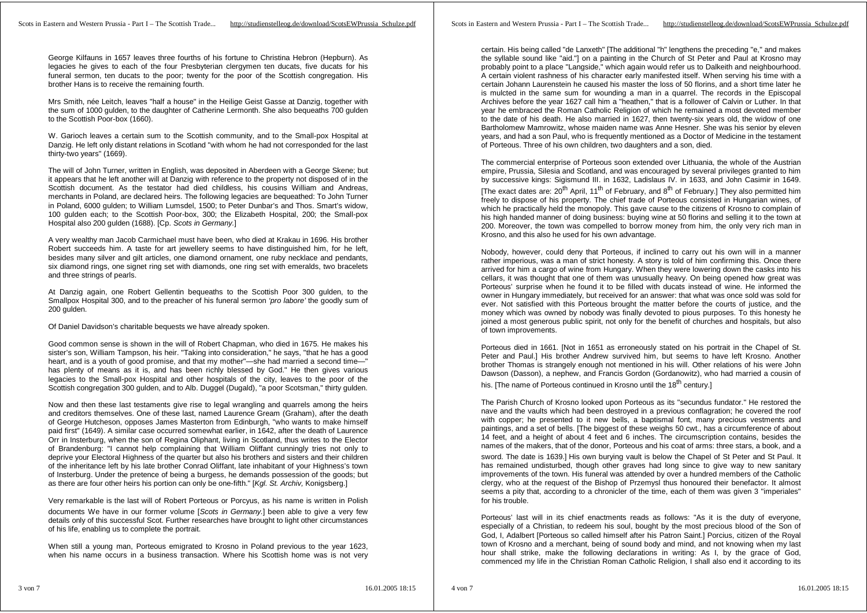George Kilfauns in 1657 leaves three fourths of his fortune to Christina Hebron (Hepburn). As legacies he gives to each of the four Presbyterian clergymen ten ducats, five ducats for his funeral sermon, ten ducats to the poor; twenty for the poor of the Scottish congregation. His brother Hans is to receive the remaining fourth.

Mrs Smith, née Leitch, leaves "half <sup>a</sup> house" in the Heilige Geist Gasse at Danzig, together with the sum of 1000 gulden, to the daughter of Catherine Lermonth. She also bequeaths 700 gulden to the Scottish Poor-box (1660).

W. Garioch leaves <sup>a</sup> certain sum to the Scottish community, and to the Small-pox Hospital at Danzig. He left only distant relations in Scotland "with whom he had not corresponded for the last thirty-two years" (1669).

The will of John Turner, written in English, was deposited in Aberdeen with <sup>a</sup> George Skene; but it appears that he left another will at Danzig with reference to the property not disposed of in the Scottish document. As the testator had died childless, his cousins William and Andreas, merchants in Poland, are declared heirs. The following legacies are bequeathed: To John Turner in Poland, 6000 gulden; to William Lumsdel, 1500; to Peter Dunbar's and Thos. Smart's widow, 100 gulden each; to the Scottish Poor-box, 300; the Elizabeth Hospital, 200; the Small-pox Hospital also 200 gulden (1688). [Cp. *Scots in Germany.*]

A very wealthy man Jacob Carmichael must have been, who died at Krakau in 1696. His brother Robert succeeds him. A taste for art jewellery seems to have distinguished him, for he left, besides many silver and gilt articles, one diamond ornament, one ruby necklace and pendants, six diamond rings, one signet ring set with diamonds, one ring set with emeralds, two bracelets and three strings of pearls.

At Danzig again, one Robert Gellentin bequeaths to the Scottish Poor 300 gulden, to the Smallpox Hospital 300, and to the preacher of his funeral sermon *'pro labore'* the goodly sum of 200 gulden.

Of Daniel Davidson's charitable bequests we have already spoken.

Good common sense is shown in the will of Robert Chapman, who died in 1675. He makes his sister's son, William Tampson, his heir. "Taking into consideration," he says, "that he has <sup>a</sup> good heart, and is a youth of good promise, and that my mother"—she had married a second time—" has plenty of means as it is, and has been richly blessed by God." He then gives various legacies to the Small-pox Hospital and other hospitals of the city, leaves to the poor of the Scottish congregation 300 gulden, and to Alb. Duggel (Dugald), "a poor Scotsman," thirty gulden.

Now and then these last testaments give rise to legal wrangling and quarrels among the heirs and creditors themselves. One of these last, named Laurence Gream (Graham), after the death of George Hutcheson, opposes James Masterton from Edinburgh, "who wants to make himself paid first" (1649). A similar case occurred somewhat earlier, in 1642, after the death of Laurence Orr in Insterburg, when the son of Regina Oliphant, living in Scotland, thus writes to the Elector of Brandenburg: "I cannot help complaining that William Oliffant cunningly tries not only to deprive your Electoral Highness of the quarter but also his brothers and sisters and their children of the inheritance left by his late brother Conrad Oliffant, late inhabitant of your Highness's town of Insterburg. Under the pretence of being <sup>a</sup> burgess, he demands possession of the goods; but as there are four other heirs his portion can only be one-fifth." [*Kgl. St. Archiv,* Konigsberg.]

Very remarkable is the last will of Robert Porteous or Porcyus, as his name is written in Polish documents We have in our former volume [*Scots in Germany.*] been able to give <sup>a</sup> very few details only of this successful Scot. Further researches have brought to light other circumstances of his life, enabling us to complete the portrait.

When still <sup>a</sup> young man, Porteous emigrated to Krosno in Poland previous to the year 1623, when his name occurs in <sup>a</sup> business transaction. Where his Scottish home was is not very

certain. His being called "de Lanxeth" [The additional "h" lengthens the preceding "e," and makes the syllable sound like "aid."] on <sup>a</sup> painting in the Church of St Peter and Paul at Krosno may probably point to <sup>a</sup> place "Langside," which again would refer us to Dalkeith and neighbourhood. A certain violent rashness of his character early manifested itself. When serving his time with a certain Johann Laurenstein he caused his master the loss of 50 florins, and <sup>a</sup> short time later he is mulcted in the same sum for wounding <sup>a</sup> man in <sup>a</sup> quarrel. The records in the Episcopal Archives before the year 1627 call him <sup>a</sup> "heathen," that is <sup>a</sup> follower of Calvin or Luther. In that year he embraced the Roman Catholic Religion of which he remained <sup>a</sup> most devoted member to the date of his death. He also married in 1627, then twenty-six years old, the widow of one Bartholomew Mamrowitz, whose maiden name was Anne Hesner. She was his senior by eleven years, and had <sup>a</sup> son Paul, who is frequently mentioned as <sup>a</sup> Doctor of Medicine in the testament of Porteous. Three of his own children, two daughters and <sup>a</sup> son, died.

The commercial enterprise of Porteous soon extended over Lithuania, the whole of the Austrian empire, Prussia, Silesia and Scotland, and was encouraged by several privileges granted to him by successive kings: Sigismund III. in 1632, Ladislaus IV. in 1633, and John Casimir in 1649. The exact dates are:  $20^{th}$  April, 11<sup>th</sup> of February, and 8<sup>th</sup> of February.] They also permitted him freely to dispose of his property. The chief trade of Porteous consisted in Hungarian wines, of which he practically held the monopoly. This gave cause to the citizens of Krosno to complain of his high handed manner of doing business: buying wine at 50 florins and selling it to the town at 200. Moreover, the town was compelled to borrow money from him, the only very rich man in Krosno, and this also he used for his own advantage.

Nobody, however, could deny that Porteous, if inclined to carry out his own will in <sup>a</sup> manner rather imperious, was <sup>a</sup> man of strict honesty. A story is told of him confirming this. Once there arrived for him <sup>a</sup> cargo of wine from Hungary. When they were lowering down the casks into his cellars, it was thought that one of them was unusually heavy. On being opened how great was Porteous' surprise when he found it to be filled with ducats instead of wine. He informed the owner in Hungary immediately, but received for an answer: that what was once sold was sold for ever. Not satisfied with this Porteous brought the matter before the courts of justice, and the money which was owned by nobody was finally devoted to pious purposes. To this honesty he joined <sup>a</sup> most generous public spirit, not only for the benefit of churches and hospitals, but also of town improvements.

Porteous died in 1661. [Not in 1651 as erroneously stated on his portrait in the Chapel of St. Peter and Paul.] His brother Andrew survived him, but seems to have left Krosno. Another brother Thomas is strangely enough not mentioned in his will. Other relations of his were John Dawson (Dasson), <sup>a</sup> nephew, and Francis Gordon (Gordanowitz), who had married <sup>a</sup> cousin of his. [The name of Porteous continued in Krosno until the 18<sup>th</sup> century.]

The Parish Church of Krosno looked upon Porteous as its "secundus fundator." He restored the nave and the vaults which had been destroyed in <sup>a</sup> previous conflagration; he covered the roof with copper; he presented to it new bells, <sup>a</sup> baptismal font, many precious vestments and paintings, and <sup>a</sup> set of bells. [The biggest of these weighs 50 cwt., has <sup>a</sup> circumference of about 14 feet, and <sup>a</sup> height of about 4 feet and 6 inches. The circumscription contains, besides the names of the makers, that of the donor, Porteous and his coat of arms: three stars, <sup>a</sup> book, and a

sword. The date is 1639.] His own burying vault is below the Chapel of St Peter and St Paul. It has remained undisturbed, though other graves had long since to give way to new sanitary improvements of the town. His funeral was attended by over <sup>a</sup> hundred members of the Catholic clergy, who at the request of the Bishop of Przemysl thus honoured their benefactor. It almost seems <sup>a</sup> pity that, according to <sup>a</sup> chronicler of the time, each of them was given 3 "imperiales" for his trouble.

Porteous' last will in its chief enactments reads as follows: "As it is the duty of everyone, especially of <sup>a</sup> Christian, to redeem his soul, bought by the most precious blood of the Son of God, I, Adalbert [Porteous so called himself after his Patron Saint.] Porcius, citizen of the Royal town of Krosno and <sup>a</sup> merchant, being of sound body and mind, and not knowing when my last hour shall strike, make the following declarations in writing: As I, by the grace of God, commenced my life in the Christian Roman Catholic Religion, I shall also end it according to its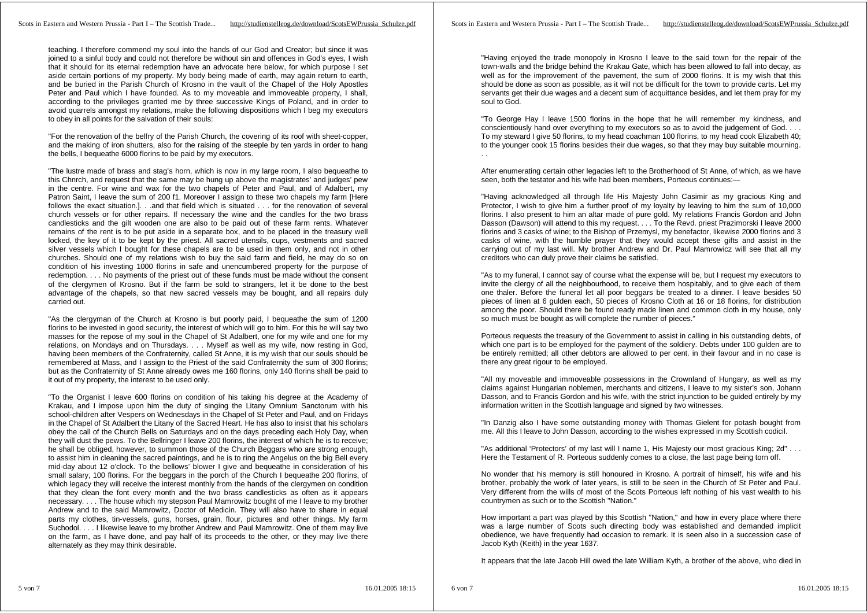teaching. I therefore commend my soul into the hands of our God and Creator; but since it was joined to <sup>a</sup> sinful body and could not therefore be without sin and offences in God's eyes, I wish that it should for its eternal redemption have an advocate here below, for which purpose I set aside certain portions of my property. My body being made of earth, may again return to earth, and be buried in the Parish Church of Krosno in the vault of the Chapel of the Holy Apostles Peter and Paul which I have founded. As to my moveable and immoveable property, I shall, according to the privileges granted me by three successive Kings of Poland, and in order to avoid quarrels amongst my relations, make the following dispositions which I beg my executors to obey in all points for the salvation of their souls:

"For the renovation of the belfry of the Parish Church, the covering of its roof with sheet-copper, and the making of iron shutters, also for the raising of the steeple by ten yards in order to hang the bells, I bequeathe 6000 florins to be paid by my executors.

"The lustre made of brass and stag's horn, which is now in my large room, I also bequeathe to this Chnrch, and request that the same may be hung up above the magistrates' and judges' pew in the centre. For wine and wax for the two chapels of Peter and Paul, and of Adalbert, my Patron Saint, I leave the sum of 200 f1. Moreover I assign to these two chapels my farm [Here follows the exact situation.]. . .and that field which is situated . . . for the renovation of several church vessels or for other repairs. If necessary the wine and the candles for the two brass candlesticks and the gilt wooden one are also to be paid out of these farm rents. Whatever remains of the rent is to be put aside in <sup>a</sup> separate box, and to be placed in the treasury well locked, the key of it to be kept by the priest. All sacred utensils, cups, vestments and sacred silver vessels which I bought for these chapels are to be used in them only, and not in other churches. Should one of my relations wish to buy the said farm and field, he may do so on condition of his investing 1000 florins in safe and unencumbered property for the purpose of redemption. . . . No payments of the priest out of these funds must be made without the consent of the clergymen of Krosno. But if the farm be sold to strangers, let it be done to the best advantage of the chapels, so that new sacred vessels may be bought, and all repairs duly carried out.

"As the clergyman of the Church at Krosno is but poorly paid, I bequeathe the sum of 1200 florins to be invested in good security, the interest of which will go to him. For this he will say two masses for the repose of my soul in the Chapel of St Adalbert, one for my wife and one for my relations, on Mondays and on Thursdays. . . . Myself as well as my wife, now resting in God, having been members of the Confraternity, called St Anne, it is my wish that our souls should be remembered at Mass, and I assign to the Priest of the said Confraternity the sum of 300 florins; but as the Confraternity of St Anne already owes me 160 florins, only 140 florins shall be paid to it out of my property, the interest to be used only.

"To the Organist I leave 600 florins on condition of his taking his degree at the Academy of Krakau, and I impose upon him the duty of singing the Litany Omnium Sanctorum with his school-children after Vespers on Wednesdays in the Chapel of St Peter and Paul, and on Fridays in the Chapel of St Adalbert the Litany of the Sacred Heart. He has also to insist that his scholars obey the call of the Church Bells on Saturdays and on the days preceding each Holy Day, when they will dust the pews. To the Bellringer I leave 200 florins, the interest of which he is to receive; he shall be obliged, however, to summon those of the Church Beggars who are strong enough, to assist him in cleaning the sacred paintings, and he is to ring the Angelus on the big Bell every mid-day about 12 <sup>o</sup>'clock. To the bellows' blower I give and bequeathe in consideration of his small salary, 100 florins. For the beggars in the porch of the Church I bequeathe 200 florins, of which legacy they will receive the interest monthly from the hands of the clergymen on condition that they clean the font every month and the two brass candlesticks as often as it appears necessary. . . . The house which my stepson Paul Mamrowitz bought of me I leave to my brother Andrew and to the said Mamrowitz, Doctor of Medicin. They will also have to share in equal parts my clothes, tin-vessels, guns, horses, grain, flour, pictures and other things. My farm Suchodol. . . . I likewise leave to my brother Andrew and Paul Mamrowitz. One of them may live on the farm, as I have done, and pay half of its proceeds to the other, or they may live there alternately as they may think desirable.

"Having enjoyed the trade monopoly in Krosno I leave to the said town for the repair of the town-walls and the bridge behind the Krakau Gate, which has been allowed to fall into decay, as well as for the improvement of the pavement, the sum of 2000 florins. It is my wish that this should be done as soon as possible, as it will not be difficult for the town to provide carts. Let my servants get their due wages and <sup>a</sup> decent sum of acquittance besides, and let them pray for my soul to God.

"To George Hay I leave 1500 florins in the hope that he will remember my kindness, and conscientiously hand over everything to my executors so as to avoid the judgement of God. . . . To my steward I give 50 florins, to my head coachman 100 florins, to my head cook Elizabeth 40; to the younger cook 15 florins besides their due wages, so that they may buy suitable mourning.

After enumerating certain other legacies left to the Brotherhood of St Anne, of which, as we have seen, both the testator and his wife had been members, Porteous continues:—

"Having acknowledged all through life His Majesty John Casimir as my gracious King and Protector, I wish to give him <sup>a</sup> further proof of my loyalty by leaving to him the sum of 10,000 florins. I also present to him an altar made of pure gold. My relations Francis Gordon and John Dasson (Dawson) will attend to this my request. . . . To the Revd. priest Prazimorski I leave 2000 florins and 3 casks of wine; to the Bishop of Przemysl, my benefactor, likewise 2000 florins and 3 casks of wine, with the humble prayer that they would accept these gifts and assist in the carrying out of my last will. My brother Andrew and Dr. Paul Mamrowicz will see that all my creditors who can duly prove their claims be satisfied.

"As to my funeral, I cannot say of course what the expense will be, but I request my executors to invite the clergy of all the neighbourhood, to receive them hospitably, and to give each of them one thaler. Before the funeral let all poor beggars be treated to <sup>a</sup> dinner. I leave besides 50 pieces of linen at 6 gulden each, 50 pieces of Krosno Cloth at 16 or 18 florins, for distribution among the poor. Should there be found ready made linen and common cloth in my house, only so much must be bought as will complete the number of pieces."

Porteous requests the treasury of the Government to assist in calling in his outstanding debts, of which one part is to be employed for the payment of the soldiery. Debts under 100 gulden are to be entirely remitted; all other debtors are allowed to per cent. in their favour and in no case is there any great rigour to be employed.

"All my moveable and immoveable possessions in the Crownland of Hungary, as well as my claims against Hungarian noblemen, merchants and citizens, I leave to my sister's son, Johann Dasson, and to Francis Gordon and his wife, with the strict injunction to be guided entirely by my information written in the Scottish language and signed by two witnesses.

"In Danzig also I have some outstanding money with Thomas Gielent for potash bought from me. All this I leave to John Dasson, according to the wishes expressed in my Scottish codicil.

"As additional 'Protectors' of my last will I name 1, His Majesty our most gracious King; 2d" . . . Here the Testament of R. Porteous suddenly comes to <sup>a</sup> close, the last page being torn off.

No wonder that his memory is still honoured in Krosno. A portrait of himself, his wife and his brother, probably the work of later years, is still to be seen in the Church of St Peter and Paul. Very different from the wills of most of the Scots Porteous left nothing of his vast wealth to his countrymen as such or to the Scottish "Nation."

How important <sup>a</sup> part was played by this Scottish "Nation," and how in every place where there was <sup>a</sup> large number of Scots such directing body was established and demanded implicit obedience, we have frequently had occasion to remark. It is seen also in <sup>a</sup> succession case of Jacob Kyth (Keith) in the year 1637.

It appears that the late Jacob Hill owed the late William Kyth, <sup>a</sup> brother of the above, who died in

. .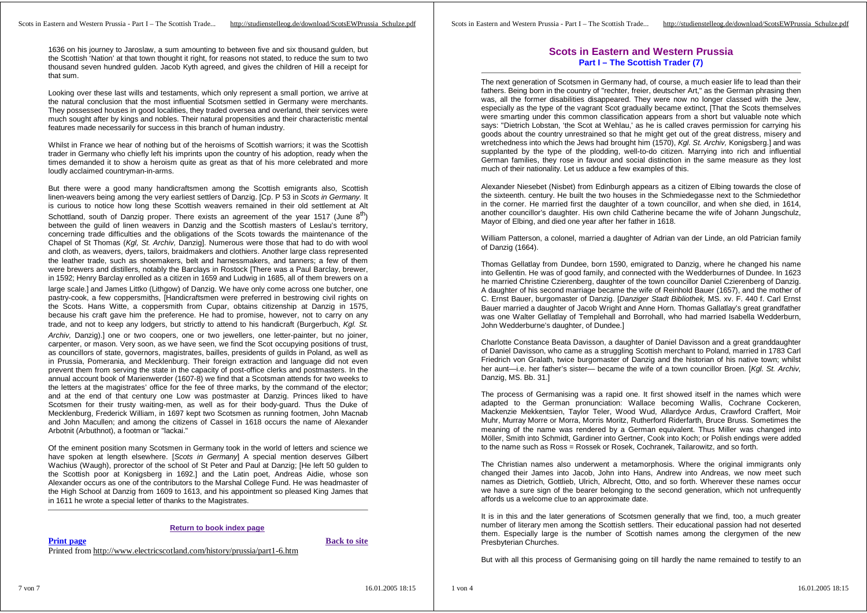1636 on his journey to Jaroslaw, <sup>a</sup> sum amounting to between five and six thousand gulden, but the Scottish 'Nation' at that town thought it right, for reasons not stated, to reduce the sum to two thousand seven hundred gulden. Jacob Kyth agreed, and gives the children of Hill <sup>a</sup> receipt for that sum.

Looking over these last wills and testaments, which only represent <sup>a</sup> small portion, we arrive at the natural conclusion that the most influential Scotsmen settled in Germany were merchants. They possessed houses in good localities, they traded oversea and overland, their services were much sought after by kings and nobles. Their natural propensities and their characteristic mental features made necessarily for success in this branch of human industry.

Whilst in France we hear of nothing but of the heroisms of Scottish warriors; it was the Scottish trader in Germany who chiefly left his imprints upon the country of his adoption, ready when the times demanded it to show <sup>a</sup> heroism quite as great as that of his more celebrated and more loudly acclaimed countryman-in-arms.

But there were <sup>a</sup> good many handicraftsmen among the Scottish emigrants also, Scottish linen-weavers being among the very earliest settlers of Danzig. [Cp. P 53 in *Scots in Germany.* It is curious to notice how long these Scottish weavers remained in their old settlement at Alt

Schottland, south of Danzig proper. There exists an agreement of the year 1517 (June  $8^{th}$ ) between the guild of linen weavers in Danzig and the Scottish masters of Leslau's territory, concerning trade difficulties and the obligations of the Scots towards the maintenance of the Chapel of St Thomas (*Kgl, St. Archiv,* Danzig]. Numerous were those that had to do with wool and cloth, as weavers, dyers, tailors, braidmakers and clothiers. Another large class represented the leather trade, such as shoemakers, belt and harnessmakers, and tanners; <sup>a</sup> few of them were brewers and distillers, notably the Barclays in Rostock [There was <sup>a</sup> Paul Barclay, brewer, in 1592; Henry Barclay enrolled as <sup>a</sup> citizen in 1659 and Ludwig in 1685, all of them brewers on a

large scale.] and James Littko (Lithgow) of Danzig. We have only come across one butcher, one pastry-cook, <sup>a</sup> few coppersmiths, [Handicraftsmen were preferred in bestrowing civil rights on the Scots. Hans Witte, <sup>a</sup> coppersmith from Cupar, obtains citizenship at Danzig in 1575, because his craft gave him the preference. He had to promise, however, not to carry on any trade, and not to keep any lodgers, but strictly to attend to his handicraft (Burgerbuch, *Kgl. St.*

*Archiv,* Danzig).] one or two coopers, one or two jewellers, one letter-painter, but no joiner, carpenter, or mason. Very soon, as we have seen, we find the Scot occupying positions of trust, as councillors of state, governors, magistrates, bailles, presidents of guilds in Poland, as well as in Prussia, Pomerania, and Mecklenburg. Their foreign extraction and language did not even prevent them from serving the state in the capacity of post-office clerks and postmasters. In the annual account book of Marienwerder (1607-8) we find that <sup>a</sup> Scotsman attends for two weeks to the letters at the magistrates' office for the fee of three marks, by the command of the elector; and at the end of that century one Low was postmaster at Danzig. Princes liked to have Scotsmen for their trusty waiting-men, as well as for their body-guard. Thus the Duke of Mecklenburg, Frederick William, in 1697 kept two Scotsmen as running footmen, John Macnab and John Macullen; and among the citizens of Cassel in 1618 occurs the name of Alexander Arbotnit (Arbuthnot), <sup>a</sup> footman or "lackai."

Of the eminent position many Scotsmen in Germany took in the world of letters and science we have spoken at length elsewhere. [*Scots in Germany*] A special mention deserves Gilbert Wachius (Waugh), prorector of the school of St Peter and Paul at Danzig; [He left 50 gulden to the Scottish poor at Konigsberg in 1692.] and the Latin poet, Andreas Aidie, whose son Alexander occurs as one of the contributors to the Marshal College Fund. He was headmaster of the High School at Danzig from 1609 to 1613, and his appointment so pleased King James that in 1611 he wrote <sup>a</sup> special letter of thanks to the Magistrates.

### **Return to book index page**

**Print page Back <b>Back <b>Back Back Back Back** 

Printed from http://www.electricscotland.com/history/prussia/part1-6.htm

# **Scots in Eastern and Western Prussia Part I – The Scottish Trader (7)**

The next generation of Scotsmen in Germany had, of course, <sup>a</sup> much easier life to lead than their fathers. Being born in the country of "rechter, freier, deutscher Art," as the German phrasing then was, all the former disabilities disappeared. They were now no longer classed with the Jew, especially as the type of the vagrant Scot gradually became extinct, [That the Scots themselves were smarting under this common classification appears from <sup>a</sup> short but valuable note which says: "Dietrich Lobstan, 'the Scot at Wehlau,' as he is called craves permission for carrying his goods about the country unrestrained so that he might get out of the great distress, misery and wretchedness into which the Jews had brought him (1570), *Kgl. St. Archiv,* Konigsberg.] and was supplanted by the type of the plodding, well-to-do citizen. Marrying into rich and influential German families, they rose in favour and social distinction in the same measure as they lost much of their nationality. Let us adduce <sup>a</sup> few examples of this.

Alexander Niesebet (Nisbet) from Edinburgh appears as <sup>a</sup> citizen of Elbing towards the close of the sixteenth. century. He built the two houses in the Schmiedegasse next to the Schmiedethor in the corner. He married first the daughter of <sup>a</sup> town councillor, and when she died, in 1614, another councillor's daughter. His own child Catherine became the wife of Johann Jungschulz, Mayor of Elbing, and died one year after her father in 1618.

William Patterson, <sup>a</sup> colonel, married <sup>a</sup> daughter of Adrian van der Linde, an old Patrician family of Danzig (1664).

Thomas Gellatlay from Dundee, born 1590, emigrated to Danzig, where he changed his name into Gellentin. He was of good family, and connected with the Wedderburnes of Dundee. In 1623 he married Christine Czierenberg, daughter of the town councillor Daniel Czierenberg of Danzig. A daughter of his second marriage became the wife of Reinhold Bauer (1657), and the mother of C. Ernst Bauer, burgomaster of Danzig. [*Danziger Stadt Bibliothek,* MS. xv. F. 440 f. Carl Ernst Bauer married <sup>a</sup> daughter of Jacob Wright and Anne Horn. Thomas Gallatlay's great grandfather was one Walter Gellatlay of Templehall and Borrohall, who had married Isabella Wedderburn, John Wedderburne's daughter, of Dundee.]

Charlotte Constance Beata Davisson, <sup>a</sup> daughter of Daniel Davisson and <sup>a</sup> great granddaughter of Daniel Davisson, who came as <sup>a</sup> struggling Scottish merchant to Poland, married in 1783 Carl Friedrich von Gralath, twice burgomaster of Danzig and the historian of his native town; whilst her aunt—i.e. her father's sister— became the wife of <sup>a</sup> town councillor Broen. [*Kgl. St. Archiv,* Danzig, MS. Bb. 31.]

The process of Germanising was <sup>a</sup> rapid one. It first showed itself in the names which were adapted to the German pronunciation: Wallace becoming Wallis, Cochrane Cockeren, Mackenzie Mekkentsien, Taylor Teler, Wood Wud, Allardyce Ardus, Crawford Craffert, Moir Muhr, Murray Morre or Morra, Morris Moritz, Rutherford Riderfarth, Bruce Bruss. Sometimes the meaning of the name was rendered by <sup>a</sup> German equivalent. Thus Miller was changed into Möller, Smith into Schmidt, Gardiner into Gertner, Cook into Koch; or Polish endings were added to the name such as Ross <sup>=</sup> Rossek or Rosek, Cochranek, Tailarowitz, and so forth.

The Christian names also underwent <sup>a</sup> metamorphosis. Where the original immigrants only changed their James into Jacob, John into Hans, Andrew into Andreas, we now meet such names as Dietrich, Gottlieb, Ulrich, Albrecht, Otto, and so forth. Wherever these names occur we have <sup>a</sup> sure sign of the bearer belonging to the second generation, which not unfrequently affords us <sup>a</sup> welcome clue to an approximate date.

It is in this and the later generations of Scotsmen generally that we find, too, <sup>a</sup> much greater number of literary men among the Scottish settlers. Their educational passion had not deserted them. Especially large is the number of Scottish names among the clergymen of the new Presbyterian Churches.

But with all this process of Germanising going on till hardly the name remained to testify to an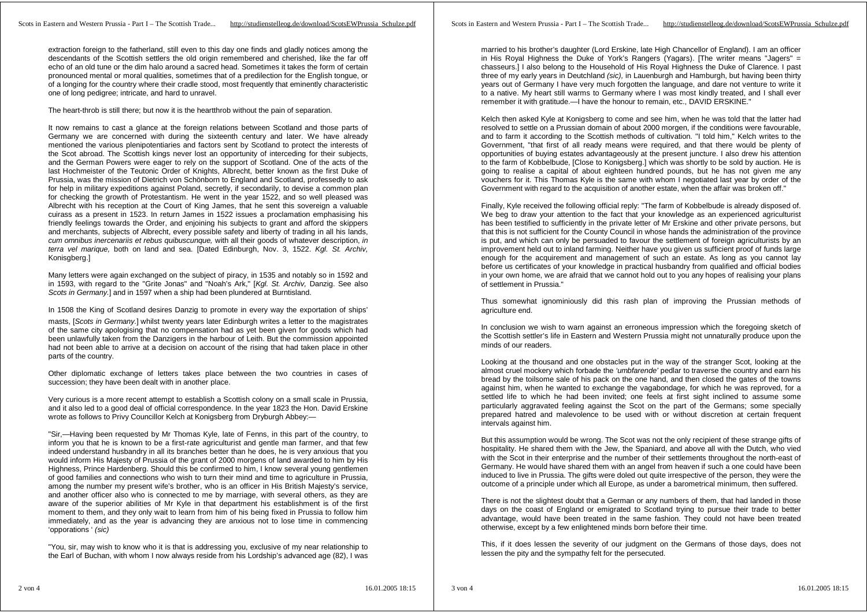extraction foreign to the fatherland, still even to this day one finds and gladly notices among the descendants of the Scottish settlers the old origin remembered and cherished, like the far off echo of an old tune or the dim halo around a sacred head. Sometimes it takes the form of certain pronounced mental or moral qualities, sometimes that of <sup>a</sup> predilection for the English tongue, or of <sup>a</sup> longing for the country where their cradle stood, most frequently that eminently characteristic one of long pedigree; intricate, and hard to unravel.

The heart-throb is still there; but now it is the heartthrob without the pain of separation.

It now remains to cast <sup>a</sup> glance at the foreign relations between Scotland and those parts of Germany we are concerned with during the sixteenth century and later. We have already mentioned the various plenipotentiaries and factors sent by Scotland to protect the interests of the Scot abroad. The Scottish kings never lost an opportunity of interceding for their subjects, and the German Powers were eager to rely on the support of Scotland. One of the acts of the last Hochmeister of the Teutonic Order of Knights, Albrecht, better known as the first Duke of Prussia, was the mission of Dietrich von Schönborn to England and Scotland, professedly to ask for help in military expeditions against Poland, secretly, if secondarily, to devise <sup>a</sup> common plan for checking the growth of Protestantism. He went in the year 1522, and so well pleased was Albrecht with his reception at the Court of King James, that he sent this sovereign <sup>a</sup> valuable cuirass as <sup>a</sup> present in 1523. In return James in 1522 issues <sup>a</sup> proclamation emphasising his friendly feelings towards the Order, and enjoining his subjects to grant and afford the skippers and merchants, subjects of Albrecht, every possible safety and liberty of trading in all his lands, *cum omnibus inercenariis et rebus quibuscunque,* with all their goods of whatever description, *in terra vel marique,* both on land and sea. [Dated Edinburgh, Nov. 3, 1522. *Kgl. St. Archiv,* Konisgberg.]

Many letters were again exchanged on the subject of piracy, in 1535 and notably so in 1592 and in 1593, with regard to the "Grite Jonas" and "Noah's Ark," [*Kgl. St. Archiv,* Danzig. See also Scots in Germany.] and in 1597 when a ship had been plundered at Burntisland.

In 1508 the King of Scotland desires Danzig to promote in every way the exportation of ships'

masts, [*Scots in Germany.*] whilst twenty years later Edinburgh writes <sup>a</sup> letter to the magistrates of the same city apologising that no compensation had as yet been given for goods which had been unlawfully taken from the Danzigers in the harbour of Leith. But the commission appointed had not been able to arrive at <sup>a</sup> decision on account of the rising that had taken place in other parts of the country.

Other diplomatic exchange of letters takes place between the two countries in cases of succession; they have been dealt with in another place.

Very curious is <sup>a</sup> more recent attempt to establish <sup>a</sup> Scottish colony on <sup>a</sup> small scale in Prussia, and it also led to <sup>a</sup> good deal of official correspondence. In the year 1823 the Hon. David Erskine wrote as follows to Privy Councillor Kelch at Konigsberg from Dryburgh Abbey:—

"Sir,—Having been requested by Mr Thomas Kyle, late of Fenns, in this part of the country, to inform you that he is known to be <sup>a</sup> first-rate agriculturist and gentle man farmer, and that few indeed understand husbandry in all its branches better than he does, he is very anxious that you would inform His Majesty of Prussia of the grant of 2000 morgens of land awarded to him by His Highness, Prince Hardenberg. Should this be confirmed to him, I know several young gentlemen of good families and connections who wish to turn their mind and time to agriculture in Prussia, among the number my present wife's brother, who is an officer in His British Majesty's service, and another officer also who is connected to me by marriage, with several others, as they are aware of the superior abilities of Mr Kyle in that department his establishment is of the first moment to them, and they only wait to learn from him of his being fixed in Prussia to follow him immediately, and as the year is advancing they are anxious not to lose time in commencing 'opporations ' *(sic)*

"You, sir, may wish to know who it is that is addressing you, exclusive of my near relationship to the Earl of Buchan, with whom I now always reside from his Lordship's advanced age (82), I was married to his brother's daughter (Lord Erskine, late High Chancellor of England). I am an officer in His Royal Highness the Duke of York's Rangers (Yagars). [The writer means "Jagers" = chasseurs.] I also belong to the Household of His Royal Highness the Duke of Clarence. I past three of my early years in Deutchland *(sic),* in Lauenburgh and Hamburgh, but having been thirty years out of Germany I have very much forgotten the language, and dare not venture to write it to <sup>a</sup> native. My heart still warms to Germany where I was most kindly treated, and I shall ever remember it with gratitude.—I have the honour to remain, etc., DAVID ERSKINE."

Kelch then asked Kyle at Konigsberg to come and see him, when he was told that the latter had resolved to settle on <sup>a</sup> Prussian domain of about 2000 morgen, if the conditions were favourable, and to farm it according to the Scottish methods of cultivation. "I told him," Kelch writes to the Government, "that first of all ready means were required, and that there would be plenty of opportunities of buying estates advantageously at the present juncture. I also drew his attention to the farm of Kobbelbude, [Close to Konigsberg.] which was shortly to be sold by auction. He is going to realise <sup>a</sup> capital of about eighteen hundred pounds, but he has not given me any vouchers for it. This Thomas Kyle is the same with whom I negotiated last year by order of the Government with regard to the acquisition of another estate, when the affair was broken off."

Finally, Kyle received the following official reply: "The farm of Kobbelbude is already disposed of. We beg to draw your attention to the fact that your knowledge as an experienced agriculturist has been testified to sufficiently in the private letter of Mr Erskine and other private persons, but that this is not sufficient for the County Council in whose hands the administration of the province is put, and which can only be persuaded to favour the settlement of foreign agriculturists by an improvement held out to inland farming. Neither have you given us sufficient proof of funds large enough for the acquirement and management of such an estate. As long as you cannot lay before us certificates of your knowledge in practical husbandry from qualified and official bodies in your own home, we are afraid that we cannot hold out to you any hopes of realising your plans of settlement in Prussia."

Thus somewhat ignominiously did this rash plan of improving the Prussian methods of agriculture end.

In conclusion we wish to warn against an erroneous impression which the foregoing sketch of the Scottish settler's life in Eastern and Western Prussia might not unnaturally produce upon the minds of our readers.

Looking at the thousand and one obstacles put in the way of the stranger Scot, looking at the almost cruel mockery which forbade the *'umbfarende'* pedlar to traverse the country and earn his bread by the toilsome sale of his pack on the one hand, and then closed the gates of the towns against him, when he wanted to exchange the vagabondage, for which he was reproved, for a settled life to which he had been invited; one feels at first sight inclined to assume some particularly aggravated feeling against the Scot on the part of the Germans; some specially prepared hatred and malevolence to be used with or without discretion at certain frequent intervals against him.

But this assumption would be wrong. The Scot was not the only recipient of these strange gifts of hospitality. He shared them with the Jew, the Spaniard, and above all with the Dutch, who vied with the Scot in their enterprise and the number of their settlements throughout the north-east of Germany. He would have shared them with an angel from heaven if such <sup>a</sup> one could have been induced to live in Prussia. The gifts were doled out quite irrespective of the person, they were the outcome of <sup>a</sup> principle under which all Europe, as under <sup>a</sup> barometrical minimum, then suffered.

There is not the slightest doubt that <sup>a</sup> German or any numbers of them, that had landed in those days on the coast of England or emigrated to Scotland trying to pursue their trade to better advantage, would have been treated in the same fashion. They could not have been treated otherwise, except by <sup>a</sup> few enlightened minds born before their time.

This, if it does lessen the severity of our judgment on the Germans of those days, does not lessen the pity and the sympathy felt for the persecuted.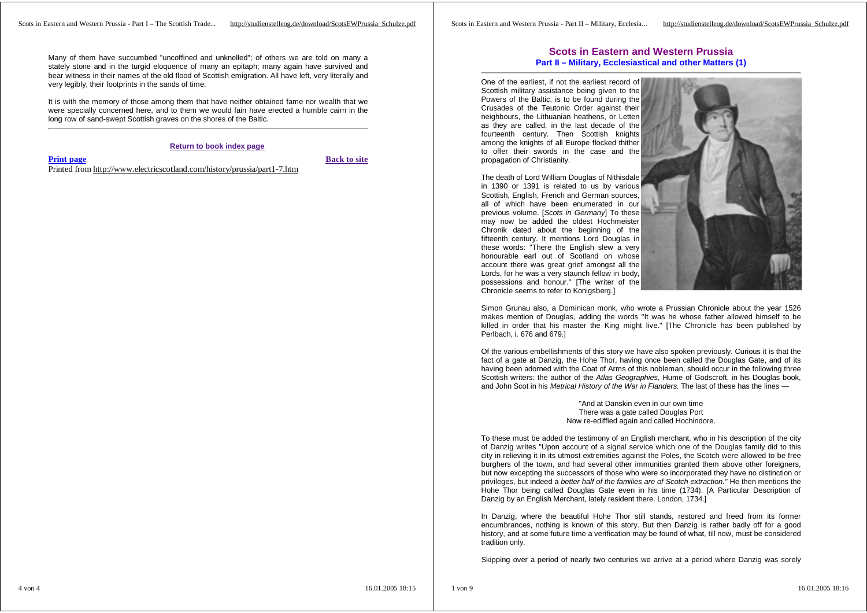Many of them have succumbed "uncoffined and unknelled"; of others we are told on many a stately stone and in the turgid eloquence of many an epitaph; many again have survived and bear witness in their names of the old flood of Scottish emigration. All have left, very literally and very legibly, their footprints in the sands of time.

It is with the memory of those among them that have neither obtained fame nor wealth that we were specially concerned here, and to them we would fain have erected <sup>a</sup> humble cairn in the long row of sand-swept Scottish graves on the shores of the Baltic.

### **Return to book index page**

Printed from http://www.electricscotland.com/history/prussia/part1-7.htm

**Print page Back <b>Back Back <b>Back Back Back** 

# **Scots in Eastern and Western Prussia Part II – Military, Ecclesiastical and other Matters (1)**

One of the earliest, if not the earliest record of Scottish military assistance being given to the Powers of the Baltic, is to be found during the Crusades of the Teutonic Order against their neighbours, the Lithuanian heathens, or Letten as they are called, in the last decade of the fourteenth century. Then Scottish knights among the knights of all Europe flocked thither to offer their swords in the case and the propagation of Christianity.

The death of Lord William Douglas of Nithisdale in 1390 or 1391 is related to us by various Scottish, English, French and German sources, all of which have been enumerated in our previous volume. [*Scots in Germany*] To these may now be added the oldest Hochmeister Chronik dated about the beginning of the fifteenth century. It mentions Lord Douglas in these words: "There the English slew <sup>a</sup> very honourable earl out of Scotland on whose account there was great grief amongst all the Lords, for he was <sup>a</sup> very staunch fellow in body, possessions and honour." [The writer of the Chronicle seems to refer to Konigsberg.]



Simon Grunau also, <sup>a</sup> Dominican monk, who wrote <sup>a</sup> Prussian Chronicle about the year 1526 makes mention of Douglas, adding the words "It was he whose father allowed himself to be killed in order that his master the King might live." [The Chronicle has been published by Perlbach, i. 676 and 679.]

Of the various embellishments of this story we have also spoken previously. Curious it is that the fact of <sup>a</sup> gate at Danzig, the Hohe Thor, having once been called the Douglas Gate, and of its having been adorned with the Coat of Arms of this nobleman, should occur in the following three Scottish writers: the author of the *Atlas Geographies,* Hume of Godscroft, in his Douglas book, and John Scot in his *Metrical History of the War in Flanders.* The last of these has the lines —

> "And at Danskin even in our own time There was <sup>a</sup> gate called Douglas Port Now re-ediffied again and called Hochindore.

To these must be added the testimony of an English merchant, who in his description of the city of Danzig writes "Upon account of <sup>a</sup> signal service which one of the Douglas family did to this city in relieving it in its utmost extremities against the Poles, the Scotch were allowed to be free burghers of the town, and had several other immunities granted them above other foreigners, but now excepting the successors of those who were so incorporated they have no distinction or privileges, but indeed <sup>a</sup> *better half of the families are of Scotch extraction."* He then mentions the Hohe Thor being called Douglas Gate even in his time (1734). [A Particular Description of Danzig by an English Merchant, lately resident there. London, 1734.]

In Danzig, where the beautiful Hohe Thor still stands, restored and freed from its former encumbrances, nothing is known of this story. But then Danzig is rather badly off for <sup>a</sup> good history, and at some future time <sup>a</sup> verification may be found of what, till now, must be considered tradition only.

Skipping over <sup>a</sup> period of nearly two centuries we arrive at <sup>a</sup> period where Danzig was sorely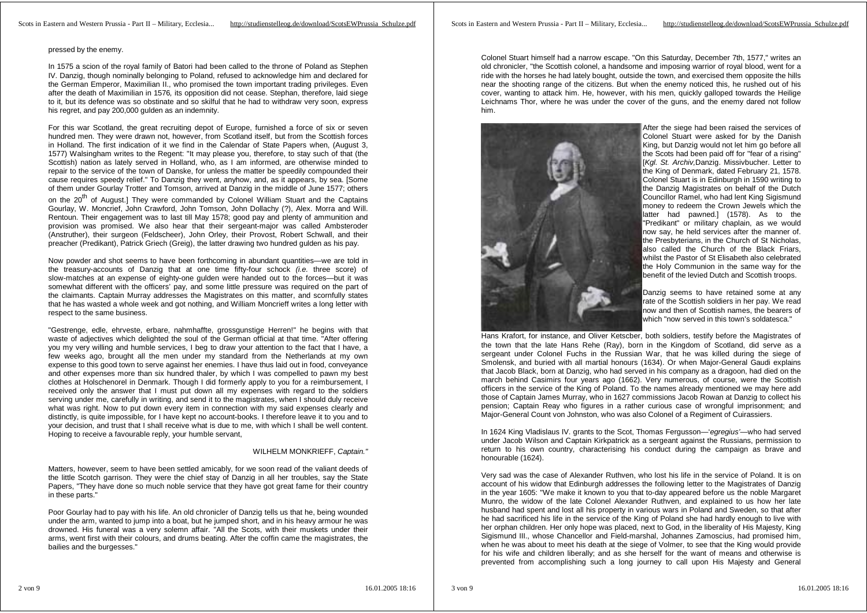### pressed by the enemy.

In 1575 <sup>a</sup> scion of the royal family of Batori had been called to the throne of Poland as Stephen IV. Danzig, though nominally belonging to Poland, refused to acknowledge him and declared for the German Emperor, Maximilian II., who promised the town important trading privileges. Even after the death of Maximilian in 1576*,* its opposition did not cease. Stephan, therefore, laid siege to it, but its defence was so obstinate and so skilful that he had to withdraw very soon, express his regret, and pay 200,000 gulden as an indemnity.

For this war Scotland, the great recruiting depot of Europe, furnished <sup>a</sup> force of six or seven hundred men. They were drawn not, however, from Scotland itself, but from the Scottish forces in Holland. The first indication of it we find in the Calendar of State Papers when, (August 3, 1577) Walsingham writes to the Regent: "It may please you, therefore, to stay such of that (the Scottish) nation as lately served in Holland, who, as I am informed, are otherwise minded to repair to the service of the town of Danske, for unless the matter be speedily compounded their cause requires speedy relief." To Danzig they went, anyhow, and, as it appears, by sea. [Some of them under Gourlay Trotter and Tomson, arrived at Danzig in the middle of June 1577; others on the 20<sup>th</sup> of August.] They were commanded by Colonel William Stuart and the Captains Gourlay, W. Moncrief, John Crawford, John Tomson, John Dollachy (?), Alex. Morra and Will. Rentoun. Their engagement was to last till May 1578; good pay and plenty of ammunition and provision was promised. We also hear that their sergeant-major was called Ambsteroder (Anstruther), their surgeon (Feldscheer), John Orley, their Provost, Robert Schwall, and their preacher (Predikant), Patrick Griech (Greig), the latter drawing two hundred gulden as his pay.

Now powder and shot seems to have been forthcoming in abundant quantities—we are told in the treasury-accounts of Danzig that at one time fifty-four schock *(i.e.* three score) of slow-matches at an expense of eighty-one gulden were handed out to the forces—but it was somewhat different with the officers' pay, and some little pressure was required on the part of the claimants. Captain Murray addresses the Magistrates on this matter, and scornfully states that he has wasted <sup>a</sup> whole week and got nothing, and William Moncrieff writes <sup>a</sup> long letter with respect to the same business.

"Gestrenge, edle, ehrveste, erbare, nahmhaffte, grossgunstige Herren!" he begins with that waste of adjectives which delighted the soul of the German official at that time. "After offering you my very willing and humble services, I beg to draw your attention to the fact that I have, a few weeks ago, brought all the men under my standard from the Netherlands at my own expense to this good town to serve against her enemies. I have thus laid out in food, conveyance and other expenses more than six hundred thaler, by which I was compelled to pawn my best clothes at Holschenorel in Denmark. Though I did formerly apply to you for <sup>a</sup> reimbursement, I received only the answer that I must put down all my expenses with regard to the soldiers serving under me, carefully in writing, and send it to the magistrates, when I should duly receive what was right. Now to put down every item in connection with my said expenses clearly and distinctly, is quite impossible, for I have kept no account-books. I therefore leave it to you and to your decision, and trust that I shall receive what is due to me, with which I shall be well content. Hoping to receive <sup>a</sup> favourable reply, your humble servant,

### WILHELM MONKRIEFF, *Captain."*

Matters, however, seem to have been settled amicably, for we soon read of the valiant deeds of the little Scotch garrison. They were the chief stay of Danzig in all her troubles, say the State Papers, "They have done so much noble service that they have got great fame for their country in these parts."

Poor Gourlay had to pay with his life. An old chronicler of Danzig tells us that he, being wounded under the arm, wanted to jump into <sup>a</sup> boat, but he jumped short, and in his heavy armour he was drowned. His funeral was <sup>a</sup> very solemn affair. "All the Scots, with their muskets under their arms, went first with their colours, and drums beating. After the coffin came the magistrates, the bailies and the burgesses."

Colonel Stuart himself had <sup>a</sup> narrow escape. "On this Saturday, December 7th, 1577," writes an old chronicler, "the Scottish colonel, <sup>a</sup> handsome and imposing warrior of royal blood, went for a ride with the horses he had lately bought, outside the town, and exercised them opposite the hills near the shooting range of the citizens. But when the enemy noticed this, he rushed out of his cover, wanting to attack him. He, however, with his men, quickly galloped towards the Heilige Leichnams Thor, where he was under the cover of the guns, and the enemy dared not follow him.



After the siege had been raised the services of Colonel Stuart were asked for by the Danish King, but Danzig would not let him go before all the Scots had been paid off for "fear of <sup>a</sup> rising" [*Kgl. St. Archiv,*Danzig. Missivbucher. Letter to the King of Denmark, dated February 21, 1578. Colonel Stuart is in Edinburgh in 1590 writing to the Danzig Magistrates on behalf of the Dutch Councillor Ramel, who had lent King Sigismund money to redeem the Crown Jewels which the latter had pawned.] (1578). As to the "Predikant" or military chaplain, as we would now say, he held services after the manner of. the Presbyterians, in the Church of St Nicholas, also called the Church of the Black Friars, whilst the Pastor of St Elisabeth also celebrated the Holy Communion in the same way for the benefit of the levied Dutch and Scottish troops.

Danzig seems to have retained some at any rate of the Scottish soldiers in her pay. We read now and then of Scottish names, the bearers of which "now served in this town's soldatesca."

Hans Krafort, for instance, and Oliver Ketscber, both soldiers, testify before the Magistrates of the town that the late Hans Rehe (Ray), born in the Kingdom of Scotland, did serve as a sergeant under Colonel Fuchs in the Russian War, that he was killed during the siege of Smolensk, and buried with all martial honours (1634). Or when Major-General Gaudi explains that Jacob Black, born at Danzig, who had served in his company as <sup>a</sup> dragoon, had died on the march behind Casimirs four years ago (1662). Very numerous, of course, were the Scottish officers in the service of the King of Poland. To the names already mentioned we may here add those of Captain James Murray, who in 1627 commissions Jacob Rowan at Danzig to collect his pension; Captain Reay who figures in <sup>a</sup> rather curious case of wrongful imprisonment; and Major-General Count von Johnston, who was also Colonel of <sup>a</sup> Regiment of Cuirassiers.

In 1624 King Vladislaus IV. grants to the Scot, Thomas Fergusson—'*egregius'*—who had served under Jacob Wilson and Captain Kirkpatrick as <sup>a</sup> sergeant against the Russians, permission to return to his own country, characterising his conduct during the campaign as brave and honourable (1624).

Very sad was the case of Alexander Ruthven, who lost his life in the service of Poland. It is on account of his widow that Edinburgh addresses the following letter to the Magistrates of Danzig in the year 1605: "We make it known to you that to-day appeared before us the noble Margaret Munro, the widow of the late Colonel Alexander Ruthven, and explained to us how her late husband had spent and lost all his property in various wars in Poland and Sweden, so that after he had sacrificed his life in the service of the King of Poland she had hardly enough to live with her orphan children. Her only hope was placed, next to God, in the liberality of His Majesty, King Sigismund III., whose Chancellor and Field-marshal, Johannes Zamoscius, had promised him, when he was about to meet his death at the siege of Volmer, to see that the King would provide for his wife and children liberally; and as she herself for the want of means and otherwise is prevented from accomplishing such <sup>a</sup> long journey to call upon His Majesty and General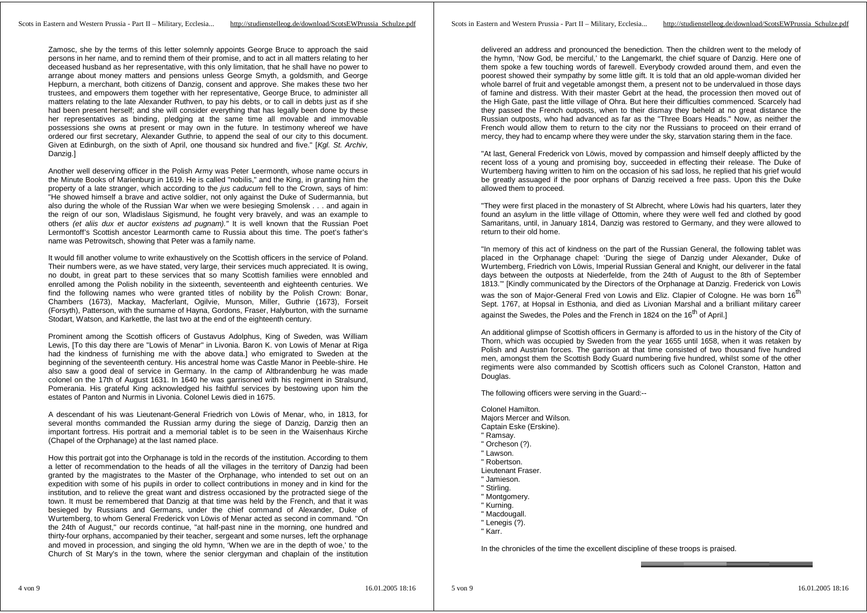Scots in Eastern and Western Prussia - Part II – Military, Ecclesia... http://studienstelleog.de/download/ScotsEWPrussia\_Schulze.pdf

Zamosc, she by the terms of this letter solemnly appoints George Bruce to approach the said persons in her name, and to remind them of their promise, and to act in all matters relating to her deceased husband as her representative, with this only limitation, that he shall have no power to arrange about money matters and pensions unless George Smyth, <sup>a</sup> goldsmith, and George Hepburn, <sup>a</sup> merchant, both citizens of Danzig, consent and approve. She makes these two her trustees, and empowers them together with her representative, George Bruce, to administer all matters relating to the late Alexander Ruthven, to pay his debts, or to call in debts just as if she had been present herself; and she will consider everything that has legally been done by these her representatives as binding, pledging at the same time all movable and immovable possessions she owns at present or may own in the future. In testimony whereof we have ordered our first secretary, Alexander Guthrie, to append the seal of our city to this document. Given at Edinburgh, on the sixth of April, one thousand six hundred and five." [*Kgl. St. Archiv,* Danzig.]

Another well deserving officer in the Polish Army was Peter Leermonth, whose name occurs in the Minute Books of Marienburg in 1619. He is called "nobilis," and the King, in granting him the property of <sup>a</sup> late stranger, which according to the *jus caducum* fell to the Crown, says of him: "He showed himself <sup>a</sup> brave and active soldier, not only against the Duke of Sudermannia, but also during the whole of the Russian War when we were besieging Smolensk . . . and again in the reign of our son, Wladislaus Sigismund, he fought very bravely, and was an example to others *(et aliis dux et auctor existens ad pugnam)."* It is well known that the Russian Poet Lermontoff's Scottish ancestor Learmonth came to Russia about this time. The poet's father's name was Petrowitsch, showing that Peter was <sup>a</sup> family name.

It would fill another volume to write exhaustively on the Scottish officers in the service of Poland. Their numbers were, as we have stated, very large, their services much appreciated. It is owing, no doubt, in great part to these services that so many Scottish families were ennobled and enrolled among the Polish nobility in the sixteenth, seventeenth and eighteenth centuries. We find the following names who were granted titles of nobility by the Polish Crown: Bonar, Chambers (1673), Mackay, Macferlant, Ogilvie, Munson, Miller, Guthrie (1673), Forseit (Forsyth), Patterson, with the surname of Hayna, Gordons, Fraser, Halyburton, with the surname Stodart, Watson, and Karkettle, the last two at the end of the eighteenth century.

Prominent among the Scottish officers of Gustavus Adolphus, King of Sweden, was William Lewis, [To this day there are "Lowis of Menar" in Livonia. Baron K. von Lowis of Menar at Riga had the kindness of furnishing me with the above data.] who emigrated to Sweden at the beginning of the seventeenth century. His ancestral home was Castle Manor in Peeble-shire. He also saw <sup>a</sup> good deal of service in Germany. In the camp of Altbrandenburg he was made colonel on the 17th of August 1631. In 1640 he was garrisoned with his regiment in Stralsund, Pomerania. His grateful King acknowledged his faithful services by bestowing upon him the estates of Panton and Nurmis in Livonia. Colonel Lewis died in 1675.

A descendant of his was Lieutenant-General Friedrich von Löwis of Menar, who, in 1813, for several months commanded the Russian army during the siege of Danzig, Danzig then an important fortress. His portrait and <sup>a</sup> memorial tablet is to be seen in the Waisenhaus Kirche (Chapel of the Orphanage) at the last named place.

How this portrait got into the Orphanage is told in the records of the institution. According to them <sup>a</sup> letter of recommendation to the heads of all the villages in the territory of Danzig had been granted by the magistrates to the Master of the Orphanage, who intended to set out on an expedition with some of his pupils in order to collect contributions in money and in kind for the institution, and to relieve the great want and distress occasioned by the protracted siege of the town. It must be remembered that Danzig at that time was held by the French, and that it was besieged by Russians and Germans, under the chief command of Alexander, Duke of Wurtemberg, to whom General Frederick von Löwis of Menar acted as second in command. "On the 24th of August," our records continue, "at half-past nine in the morning, one hundred and thirty-four orphans, accompanied by their teacher, sergeant and some nurses, left the orphanage and moved in procession, and singing the old hymn, 'When we are in the depth of woe,' to the Church of St Mary's in the town, where the senior clergyman and chaplain of the institution delivered an address and pronounced the benediction. Then the children went to the melody of the hymn, 'Now God, be merciful,' to the Langemarkt, the chief square of Danzig. Here one of them spoke <sup>a</sup> few touching words of farewell. Everybody crowded around them, and even the poorest showed their sympathy by some little gift. It is told that an old apple-woman divided her whole barrel of fruit and vegetable amongst them, <sup>a</sup> present not to be undervalued in those days of famine and distress. With their master Gebrt at the head, the procession then moved out of the High Gate, past the little village of Ohra. But here their difficulties commenced. Scarcely had they passed the French outposts, when to their dismay they beheld at no great distance the Russian outposts, who had advanced as far as the "Three Boars Heads." Now, as neither the French would allow them to return to the city nor the Russians to proceed on their errand of mercy, they had to encamp where they were under the sky, starvation staring them in the face.

"At last, General Frederick von Löwis, moved by compassion and himself deeply afflicted by the recent loss of <sup>a</sup> young and promising boy, succeeded in effecting their release. The Duke of Wurtemberg having written to him on the occasion of his sad loss, he replied that his grief would be greatly assuaged if the poor orphans of Danzig received <sup>a</sup> free pass. Upon this the Duke allowed them to proceed.

"They were first placed in the monastery of St Albrecht, where Löwis had his quarters, later they found an asylum in the little village of Ottomin, where they were well fed and clothed by good Samaritans, until, in January 1814, Danzig was restored to Germany, and they were allowed to return to their old home.

"In memory of this act of kindness on the part of the Russian General, the following tablet was placed in the Orphanage chapel: 'During the siege of Danzig under Alexander, Duke of Wurtemberg, Friedrich von Löwis, Imperial Russian General and Knight, our deliverer in the fatal days between the outposts at Niederfelde, from the 24th of August to the 8th of September 1813.'" [Kindly communicated by the Directors of the Orphanage at Danzig. Frederick von Lowis

was the son of Major-General Fred von Lowis and Eliz. Clapier of Cologne. He was born 16<sup>th</sup> Sept. 1767, at Hopsal in Esthonia, and died as Livonian Marshal and <sup>a</sup> brilliant military career against the Swedes, the Poles and the French in 1824 on the 16<sup>th</sup> of April.

An additional glimpse of Scottish officers in Germany is afforded to us in the history of the City of Thorn, which was occupied by Sweden from the year 1655 until 1658, when it was retaken by Polish and Austrian forces. The garrison at that time consisted of two thousand five hundred men, amongst them the Scottish Body Guard numbering five hundred, whilst some of the other regiments were also commanded by Scottish officers such as Colonel Cranston, Hatton and Douglas.

The following officers were serving in the Guard:--

Colonel Hamilton. Majors Mercer and Wilson. Captain Eske (Erskine). " Ramsay. " Orcheson (?). " Lawson. " Robertson. Lieutenant Fraser. " Jamieson. " Stirling. " Montgomery. " Kurning. " Macdougall. " Lenegis (?). " Karr. In the chronicles of the time the excellent discipline of these troops is praised.

4 von 9 16.01.2005 18:16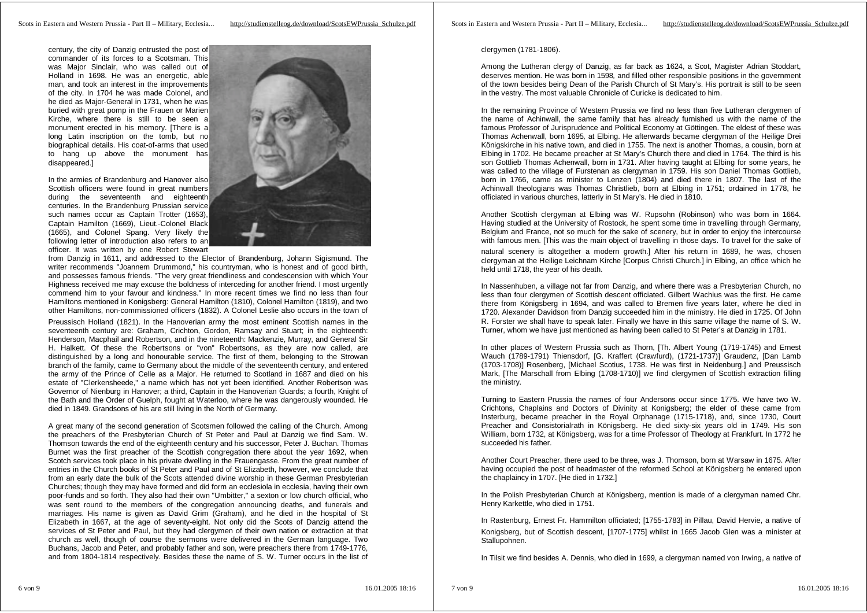Scots in Eastern and Western Prussia - Part II – Military, Ecclesia... http://studienstelleog.de/download/ScotsEWPrussia\_Schulze.pdf

### century, the city of Danzig entrusted the post of commander of its forces to a Scotsman. This was Major Sinclair, who was called out of Holland in 1698. He was an energetic, able man, and took an interest in the improvements of the city. In 1704 he was made Colonel, and he died as Major-General in 1731, when he was buried with great pomp in the Frauen or Marien Kirche, where there is still to be seen a monument erected in his memory. [There is a long Latin inscription on the tomb, but no biographical details. His coat-of-arms that used to hang up above the monument has disappeared.]

In the armies of Brandenburg and Hanover also Scottish officers were found in great numbers during the seventeenth and eighteenth centuries. In the Brandenburg Prussian service such names occur as Captain Trotter (1653), Captain Hamilton (1669), Lieut.-Colonel Black (1665), and Colonel Spang. Very likely the following letter of introduction also refers to an officer. It was written by one Robert Stewart



from Danzig in 1611, and addressed to the Elector of Brandenburg, Johann Sigismund. The writer recommends "Joannem Drummond," his countryman, who is honest and of good birth, and possesses famous friends. "The very great friendliness and condescension with which Your Highness received me may excuse the boldness of interceding for another friend. I most urgently commend him to your favour and kindness." In more recent times we find no less than four Hamiltons mentioned in Konigsberg: General Hamilton (1810), Colonel Hamilton (1819), and two other Hamiltons, non-commissioned officers (1832). A Colonel Leslie also occurs in the town of

Preussisch Holland (1821). In the Hanoverian army the most eminent Scottish names in the seventeenth century are: Graham, Crichton, Gordon, Ramsay and Stuart; in the eighteenth: Henderson, Macphail and Robertson, and in the nineteenth: Mackenzie, Murray, and General Sir H. Halkett. Of these the Robertsons or "von" Robertsons, as they are now called, are distinguished by <sup>a</sup> long and honourable service. The first of them, belonging to the Strowan branch of the family, came to Germany about the middle of the seventeenth century, and entered the army of the Prince of Celle as <sup>a</sup> Major. He returned to Scotland in 1687 and died on his estate of "Clerkensheede," <sup>a</sup> name which has not yet been identified. Another Robertson was Governor of Nienburg in Hanover; <sup>a</sup> third, Captain in the Hanoverian Guards; <sup>a</sup> fourth, Knight of the Bath and the Order of Guelph, fought at Waterloo, where he was dangerously wounded. He died in 1849. Grandsons of his are still living in the North of Germany.

A great many of the second generation of Scotsmen followed the calling of the Church. Among the preachers of the Presbyterian Church of St Peter and Paul at Danzig we find Sam. W. Thomson towards the end of the eighteenth century and his successor, Peter J. Buchan. Thomas Burnet was the first preacher of the Scottish congregation there about the year 1692, when Scotch services took place in his private dwelling in the Frauengasse. From the great number of entries in the Church books of St Peter and Paul and of St Elizabeth, however, we conclude that from an early date the bulk of the Scots attended divine worship in these German Presbyterian Churches; though they may have formed and did form an ecclesiola in ecclesia, having their own poor-funds and so forth. They also had their own "Umbitter," <sup>a</sup> sexton or low church official, who was sent round to the members of the congregation announcing deaths, and funerals and marriages. His name is given as David Grim (Graham), and he died in the hospital of St Elizabeth in 1667, at the age of seventy-eight. Not only did the Scots of Danzig attend the services of St Peter and Paul, but they had clergymen of their own nation or extraction at that church as well, though of course the sermons were delivered in the German language. Two Buchans, Jacob and Peter, and probably father and son, were preachers there from 1749-1776, and from 1804-1814 respectively. Besides these the name of S. W. Turner occurs in the list of

### clergymen (1781-1806).

Among the Lutheran clergy of Danzig, as far back as 1624, <sup>a</sup> Scot, Magister Adrian Stoddart, deserves mention. He was born in 1598*,* and filled other responsible positions in the government of the town besides being Dean of the Parish Church of St Mary's. His portrait is still to be seen in the vestry. The most valuable Chronicle of Curicke is dedicated to him.

In the remaining Province of Western Prussia we find no less than five Lutheran clergymen of the name of Achinwall, the same family that has already furnished us with the name of the famous Professor of Jurisprudence and Political Economy at Göttingen. The eldest of these was Thomas Achenwall, born 1695*,* at Elbing. He afterwards became clergyman of the Heilige Drei Königskirche in his native town, and died in 1755. The next is another Thomas, <sup>a</sup> cousin, born at Elbing in 1702. He became preacher at St Mary's Church there and died in 1764. The third is his son Gottlieb Thomas Achenwall, born in 1731. After having taught at Elbing for some years, he was called to the village of Furstenan as clergyman in 1759. His son Daniel Thomas Gottlieb, born in 1766, came as minister to Lenzen (1804) and died there in 1807. The last of the Achinwall theologians was Thomas Christlieb, born at Elbing in 1751; ordained in 1778, he officiated in various churches, latterly in St Mary's. He died in 1810.

Another Scottish clergyman at Elbing was W. Rupsohn (Robinson) who was born in 1664. Having studied at the University of Rostock, he spent some time in travelling through Germany, Belgium and France, not so much for the sake of scenery, but in order to enjoy the intercourse with famous men. [This was the main object of travelling in those days. To travel for the sake of

natural scenery is altogether <sup>a</sup> modern growth.] After his return in 1689, he was, chosen clergyman at the Heilige Leichnam Kirche [Corpus Christi Church.] in Elbing, an office which he held until 1718, the year of his death.

In Nassenhuben, <sup>a</sup> village not far from Danzig, and where there was <sup>a</sup> Presbyterian Church, no less than four clergymen of Scottish descent officiated. Gilbert Wachius was the first. He came there from Königsberg in 1694, and was called to Bremen five years later, where he died in 1720. Alexander Davidson from Danzig succeeded him in the ministry. He died in 1725. Of John R. Forster we shall have to speak later. Finally we have in this same village the name of S. W. Turner, whom we have just mentioned as having been called to St Peter's at Danzig in 1781.

In other places of Western Prussia such as Thorn, [Th. Albert Young (1719-1745) and Ernest Wauch (1789-1791) Thiensdorf, [G. Kraffert (Crawfurd), (1721-1737)] Graudenz, [Dan Lamb (1703-1708)] Rosenberg, [Michael Scotius, 1738. He was first in Neidenburg.] and Preussisch Mark, [The Marschall from Elbing (1708-1710)] we find clergymen of Scottish extraction filling the ministry.

Turning to Eastern Prussia the names of four Andersons occur since 1775. We have two W. Crichtons, Chaplains and Doctors of Divinity at Konigsberg; the elder of these came from Insterburg, became preacher in the Royal Orphanage (1715-1718), and, since 1730, Court Preacher and Consistorialrath in Königsberg. He died sixty-six years old in 1749. His son William, born 1732, at Königsberg, was for <sup>a</sup> time Professor of Theology at Frankfurt. In 1772 he succeeded his father.

Another Court Preacher, there used to be three, was J. Thomson, born at Warsaw in 1675. After having occupied the post of headmaster of the reformed School at Königsberg he entered upon the chaplaincy in 1707. [He died in 1732.]

In the Polish Presbyterian Church at Königsberg, mention is made of <sup>a</sup> clergyman named Chr. Henry Karkettle, who died in 1751.

In Rastenburg, Ernest Fr. Hamrnilton officiated; [1755-1783] in Pillau, David Hervie, <sup>a</sup> native of Konigsberg, but of Scottish descent, [1707-1775] whilst in 1665 Jacob Glen was <sup>a</sup> minister at Stallupohnen.

In Tilsit we find besides A. Dennis, who died in 1699, <sup>a</sup> clergyman named von Irwing, <sup>a</sup> native of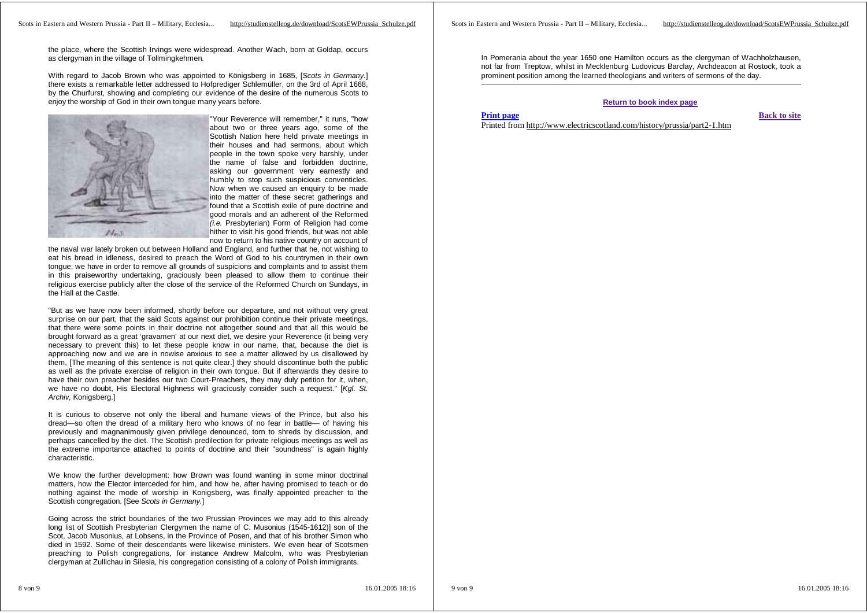the place, where the Scottish Irvings were widespread. Another Wach, born at Goldap, occurs as clergyman in the village of Tollmingkehmen.

With regard to Jacob Brown who was appointed to Königsberg in 1685, [*Scots in Germany.*] there exists <sup>a</sup> remarkable letter addressed to Hofprediger Schlemüller, on the 3rd of April 1668, by the Churfurst, showing and completing our evidence of the desire of the numerous Scots to enjoy the worship of God in their own tongue many years before.



"Your Reverence will remember," it runs, "how about two or three years ago, some of the Scottish Nation here held private meetings in their houses and had sermons, about which people in the town spoke very harshly, under the name of false and forbidden doctrine, asking our government very earnestly and humbly to stop such suspicious conventicles. Now when we caused an enquiry to be made into the matter of these secret gatherings and found that <sup>a</sup> Scottish exile of pure doctrine and good morals and an adherent of the Reformed *(i.e.* Presbyterian) Form of Religion had come hither to visit his good friends, but was not able now to return to his native country on account of

the naval war lately broken out between Holland and England, and further that he, not wishing to eat his bread in idleness, desired to preach the Word of God to his countrymen in their own tongue; we have in order to remove all grounds of suspicions and complaints and to assist them in this praiseworthy undertaking, graciously been pleased to allow them to continue their religious exercise publicly after the close of the service of the Reformed Church on Sundays, in the Hall at the Castle.

"But as we have now been informed, shortly before our departure, and not without very great surprise on our part, that the said Scots against our prohibition continue their private meetings, that there were some points in their doctrine not altogether sound and that all this would be brought forward as <sup>a</sup> great 'gravamen' at our next diet, we desire your Reverence (it being very necessary to prevent this) to let these people know in our name, that, because the diet is approaching now and we are in nowise anxious to see <sup>a</sup> matter allowed by us disallowed by them, [The meaning of this sentence is not quite clear.] they should discontinue both the public as well as the private exercise of religion in their own tongue. But if afterwards they desire to have their own preacher besides our two Court-Preachers, they may duly petition for it, when, we have no doubt, His Electoral Highness will graciously consider such <sup>a</sup> request." [*Kgl. St. Archiv,* Konigsberg.]

It is curious to observe not only the liberal and humane views of the Prince, but also his dread—so often the dread of <sup>a</sup> military hero who knows of no fear in battle— of having his previously and magnanimously given privilege denounced, torn to shreds by discussion, and perhaps cancelled by the diet. The Scottish predilection for private religious meetings as well as the extreme importance attached to points of doctrine and their "soundness" is again highly characteristic.

We know the further development: how Brown was found wanting in some minor doctrinal matters, how the Elector interceded for him, and how he, after having promised to teach or do nothing against the mode of worship in Konigsberg, was finally appointed preacher to the Scottish congregation. [See *Scots in Germany.*]

Going across the strict boundaries of the two Prussian Provinces we may add to this already long list of Scottish Presbyterian Clergymen the name of C. Musonius (1545-1612)] son of the Scot, Jacob Musonius, at Lobsens, in the Province of Posen, and that of his brother Simon who died in 1592. Some of their descendants were likewise ministers. We even hear of Scotsmen preaching to Polish congregations, for instance Andrew Malcolm, who was Presbyterian clergyman at Zullichau in Silesia, his congregation consisting of <sup>a</sup> colony of Polish immigrants.

In Pomerania about the year 1650 one Hamilton occurs as the clergyman of Wachholzhausen, not far from Treptow, whilst in Mecklenburg Ludovicus Barclay, Archdeacon at Rostock, took a prominent position among the learned theologians and writers of sermons of the day.

### **Return to book index page**

**Print page Back <b>b Back <b>b Back b Back <b>b Back b Back b Back** 

Printed from http://www.electricscotland.com/history/prussia/part2-1.htm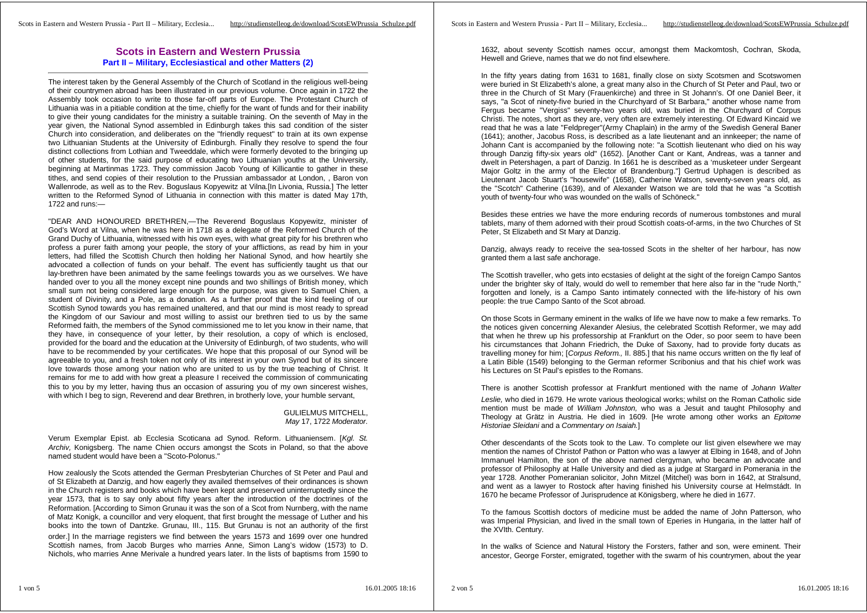# **Scots in Eastern and Western Prussia Part II – Military, Ecclesiastical and other Matters (2)**

The interest taken by the General Assembly of the Church of Scotland in the religious well-being of their countrymen abroad has been illustrated in our previous volume. Once again in 1722 the Assembly took occasion to write to those far-off parts of Europe. The Protestant Church of Lithuania was in <sup>a</sup> pitiable condition at the time, chiefly for the want of funds and for their inability to give their young candidates for the ministry <sup>a</sup> suitable training. On the seventh of May in the year given, the National Synod assembled in Edinburgh takes this sad condition of the sister Church into consideration, and deliberates on the "friendly request" to train at its own expense two Lithuanian Students at the University of Edinburgh. Finally they resolve to spend the four distinct collections from Lothian and Tweeddale, which were formerly devoted to the bringing up of other students, for the said purpose of educating two Lithuanian youths at the University, beginning at Martinmas 1723. They commission Jacob Young of Killicantie to gather in these tithes, and send copies of their resolution to the Prussian ambassador at London, , Baron von Wallenrode, as well as to the Rev. Boguslaus Kopyewitz at Vilna.[In Livonia, Russia.] The letter written to the Reformed Synod of Lithuania in connection with this matter is dated May 17th, 1722 and runs:—

"DEAR AND HONOURED BRETHREN,—The Reverend Boguslaus Kopyewitz, minister of God's Word at Vilna, when he was here in 1718 as <sup>a</sup> delegate of the Reformed Church of the Grand Duchy of Lithuania, witnessed with his own eyes, with what great pity for his brethren who profess <sup>a</sup> purer faith among your people, the story of your afflictions, as read by him in your letters, had filled the Scottish Church then holding her National Synod, and how heartily she advocated <sup>a</sup> collection of funds on your behalf. The event has sufficiently taught us that our lay-brethren have been animated by the same feelings towards you as we ourselves. We have handed over to you all the money except nine pounds and two shillings of British money, which small sum not being considered large enough for the purpose, was given to Samuel Chien, a student of Divinity, and <sup>a</sup> Pole, as <sup>a</sup> donation. As <sup>a</sup> further proof that the kind feeling of our Scottish Synod towards you has remained unaltered, and that our mind is most ready to spread the Kingdom of our Saviour and most willing to assist our brethren tied to us by the same Reformed faith, the members of the Synod commissioned me to let you know in their name, that they have, in consequence of your letter, by their resolution, <sup>a</sup> copy of which is enclosed, provided for the board and the education at the University of Edinburgh, of two students, who will have to be recommended by your certificates. We hope that this proposal of our Synod will be agreeable to you, and <sup>a</sup> fresh token not only of its interest in your own Synod but of its sincere love towards those among your nation who are united to us by the true teaching of Christ. It remains for me to add with how great <sup>a</sup> pleasure I received the commission of communicating this to you by my letter, having thus an occasion of assuring you of my own sincerest wishes, with which I beg to sign, Reverend and dear Brethren, in brotherly love, your humble servant,

### GULIELMUS MITCHELL, *May* 17, 1722 *Moderator.*

Verum Exemplar Epist. ab Ecclesia Scoticana ad Synod. Reform. Lithuaniensem. [*Kgl. St. Archiv,* Konigsberg. The name Chien occurs amongst the Scots in Poland, so that the above named student would have been a "Scoto-Polonus."

How zealously the Scots attended the German Presbyterian Churches of St Peter and Paul and of St Elizabeth at Danzig, and how eagerly they availed themselves of their ordinances is shown in the Church registers and books which have been kept and preserved uninterruptedly since the year 1573, that is to say only about fifty years after the introduction of the doctrines of the Reformation. [According to Simon Grunau it was the son of <sup>a</sup> Scot from Nurnberg, with the name of Matz Konigk, <sup>a</sup> councillor and very eloquent, that first brought the message of Luther and his books into the town of Dantzke. Grunau, III., 115. But Grunau is not an authority of the first

order.] In the marriage registers we find between the years 1573 and 1699 over one hundred Scottish names, from Jacob Burges who marries Anne, Simon Lang's widow (1573) to D. Nichols, who marries Anne Merivale <sup>a</sup> hundred years later. In the lists of baptisms from 1590 to

1632, about seventy Scottish names occur, amongst them Mackomtosh, Cochran, Skoda, Hewell and Grieve, names that we do not find elsewhere.

In the fifty years dating from 1631 to 1681, finally close on sixty Scotsmen and Scotswomen were buried in St Elizabeth's alone, <sup>a</sup> great many also in the Church of St Peter and Paul, two or three in the Church of St Mary (Frauenkirche) and three in St Johann's. Of one Daniel Beer, it says, "a Scot of ninety-five buried in the Churchyard of St Barbara," another whose name from Fergus became "Vergiss" seventy-two years old, was buried in the Churchyard of Corpus Christi. The notes, short as they are, very often are extremely interesting. Of Edward Kincaid we read that he was <sup>a</sup> late "Feldpreger"(Army Chaplain) in the army of the Swedish General Baner (1641); another, Jacobus Ross, is described as <sup>a</sup> late lieutenant and an innkeeper; the name of Johann Cant is accompanied by the following note: "a Scottish lieutenant who died on his way through Danzig fifty-six years old" (1652). [Another Cant or Kant, Andreas, was <sup>a</sup> tanner and dwelt in Petershagen, <sup>a</sup> part of Danzig. In 1661 he is described as <sup>a</sup> 'musketeer under Sergeant Major Goltz in the army of the Elector of Brandenburg."] Gertrud Uphagen is described as Lieutenant Jacob Stuart's "housewife" (1658), Catherine Watson, seventy-seven years old, as the "Scotch" Catherine (1639), and of Alexander Watson we are told that he was "a Scottish youth of twenty-four who was wounded on the walls of Schöneck."

Besides these entries we have the more enduring records of numerous tombstones and mural tablets, many of them adorned with their proud Scottish coats-of-arms, in the two Churches of St Peter, St Elizabeth and St Mary at Danzig.

Danzig, always ready to receive the sea-tossed Scots in the shelter of her harbour, has now granted them <sup>a</sup> last safe anchorage.

The Scottish traveller, who gets into ecstasies of delight at the sight of the foreign Campo Santos under the brighter sky of Italy, would do well to remember that here also far in the "rude North," forgotten and lonely, is <sup>a</sup> Campo Santo intimately connected with the life-history of his own people: the true Campo Santo of the Scot abroad.

On those Scots in Germany eminent in the walks of life we have now to make a few remarks. To the notices given concerning Alexander Alesius, the celebrated Scottish Reformer, we may add that when he threw up his professorship at Frankfurt on the Oder, so poor seem to have been his circumstances that Johann Friedrich, the Duke of Saxony, had to provide forty ducats as travelling money for him; [*Corpus Reform.,* II. 885.] that his name occurs written on the fly leaf of <sup>a</sup> Latin Bible (1549) belonging to the German reformer Scribonius and that his chief work was his Lectures on St Paul's epistles to the Romans.

There is another Scottish professor at Frankfurt mentioned with the name of *Johann Walter*

*Leslie,* who died in 1679. He wrote various theological works; whilst on the Roman Catholic side mention must be made of *William Johnston,* who was <sup>a</sup> Jesuit and taught Philosophy and Theology at Grätz in Austria. He died in 1609. [He wrote among other works an *Epitome Historiae Sleidani* and <sup>a</sup> *Commentary on Isaiah.*]

Other descendants of the Scots took to the Law. To complete our list given elsewhere we may mention the names of Christof Pathon or Patton who was <sup>a</sup> lawyer at Elbing in 1648, and of John Immanuel Hamilton, the son of the above named clergyman, who became an advocate and professor of Philosophy at Halle University and died as <sup>a</sup> judge at Stargard in Pomerania in the year 1728. Another Pomeranian solicitor, John Mitzel (Mitchel) was born in 1642, at Stralsund, and went as <sup>a</sup> lawyer to Rostock after having finished his University course at Helmstádt. In 1670 he became Professor of Jurisprudence at Königsberg, where he died in 1677.

To the famous Scottish doctors of medicine must be added the name of John Patterson, who was Imperial Physician, and lived in the small town of Eperies in Hungaria, in the latter half of the XVIth. Century.

In the walks of Science and Natural History the Forsters, father and son, were eminent. Their ancestor, George Forster, emigrated, together with the swarm of his countrymen, about the year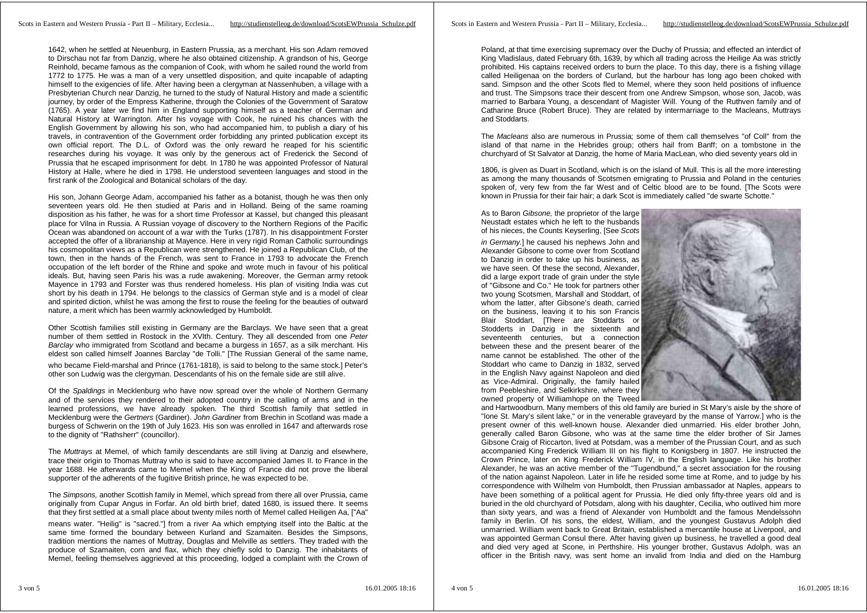1642, when he settled at Neuenburg, in Eastern Prussia, as <sup>a</sup> merchant. His son Adam removed to Dirschau not far from Danzig, where he also obtained citizenship. A grandson of his, George Reinhold, became famous as the companion of Cook, with whom he sailed round the world from 1772 to 1775. He was <sup>a</sup> man of <sup>a</sup> very unsettled disposition, and quite incapable of adapting himself to the exigencies of life. After having been <sup>a</sup> clergyman at Nassenhuben, <sup>a</sup> village with a Presbyterian Church near Danzig, he turned to the study of Natural History and made <sup>a</sup> scientific journey, by order of the Empress Katherine, through the Colonies of the Government of Saratow (1765). A year later we find him in England supporting himself as <sup>a</sup> teacher of German and Natural History at Warrington. After his voyage with Cook, he ruined his chances with the English Government by allowing his son, who had accompanied him, to publish <sup>a</sup> diary of his travels, in contravention of the Government order forbidding any printed publication except its own official report. The D.L. of Oxford was the only reward he reaped for his scientific researches during his voyage. It was only by the generous act of Frederick the Second of Prussia that he escaped imprisonment for debt. In 1780 he was appointed Professor of Natural History at Halle, where he died in 1798. He understood seventeen languages and stood in the first rank of the Zoological and Botanical scholars of the day.

His son, Johann George Adam, accompanied his father as <sup>a</sup> botanist, though he was then only seventeen years old. He then studied at Paris and in Holland. Being of the same roaming disposition as his father, he was for <sup>a</sup> short time Professor at Kassel, but changed this pleasant place for Vilna in Russia. A Russian voyage of discovery to the Northern Regions of the Pacific Ocean was abandoned on account of <sup>a</sup> war with the Turks (1787). In his disappointment Forster accepted the offer of <sup>a</sup> librarianship at Mayence. Here in very rigid Roman Catholic surroundings his cosmopolitan views as <sup>a</sup> Republican were strengthened. He joined <sup>a</sup> Republican Club, of the town, then in the hands of the French, was sent to France in 1793 to advocate the French occupation of the left border of the Rhine and spoke and wrote much in favour of his political ideals. But, having seen Paris his was <sup>a</sup> rude awakening. Moreover, the German army retook Mayence in 1793 and Forster was thus rendered homeless. His plan of visiting India was cut short by his death in 1794. He belongs to the classics of German style and is <sup>a</sup> model of clear and spirited diction, whilst he was among the first to rouse the feeling for the beauties of outward nature, <sup>a</sup> merit which has been warmly acknowledged by Humboldt.

Other Scottish families still existing in Germany are the Barclays. We have seen that <sup>a</sup> great number of them settled in Rostock in the XVIth. Century. They all descended from one *Peter Barclay* who immigrated from Scotland and became <sup>a</sup> burgess in 1657, as <sup>a</sup> silk merchant. His eldest son called himself Joannes Barclay "de Tolli." [The Russian General of the same name,

who became Field-marshal and Prince (1761-1818), is said to belong to the same stock.] Peter's other son Ludwig was the clergyman. Descendants of his on the female side are still alive.

Of the *Spaldings* in Mecklenburg who have now spread over the whole of Northern Germany and of the services they rendered to their adopted country in the calling of arms and in the learned professions, we have already spoken. The third Scottish family that settled in Mecklenburg were the *Gertners* (Gardiner). *John Gardiner* from Brechin in Scotland was made a burgess of Schwerin on the 19th of July 1623. His son was enrolled in 1647 and afterwards rose to the dignity of "Rathsherr" (councillor).

The *Muttrays* at Memel, of which family descendants are still living at Danzig and elsewhere, trace their origin to Thomas Muttray who is said to have accompanied James II. to France in the year 1688. He afterwards came to Memel when the King of France did not prove the liberal supporter of the adherents of the fugitive British prince, he was expected to be.

The *Simpsons,* another Scottish family in Memel, which spread from there all over Prussia, came originally from Cupar Angus in Forfar. An old birth brief, dated 1680, is issued there. It seems that they first settled at <sup>a</sup> small place about twenty miles north of Memel called Heiligen Aa, ["Aa"

means water. "Heilig" is "sacred."] from <sup>a</sup> river Aa which emptying itself into the Baltic at the same time formed the boundary between Kurland and Szamaiten. Besides the Simpsons, tradition mentions the names of Muttray, Douglas and Melville as settlers. They traded with the produce of Szamaiten, corn and flax, which they chiefly sold to Danzig. The inhabitants of Memel, feeling themselves aggrieved at this proceeding, lodged <sup>a</sup> complaint with the Crown of

Poland, at that time exercising supremacy over the Duchy of Prussia; and effected an interdict of King Vladislaus, dated February 6th, 1639, by which all trading across the Heilige Aa was strictly prohibited. His captains received orders to burn the place. To this day, there is <sup>a</sup> fishing village called Heiligenaa on the borders of Curland, but the harbour has long ago been choked with sand. Simpson and the other Scots fled to Memel, where they soon held positions of influence and trust. The Simpsons trace their descent from one Andrew Simpson, whose son, Jacob, was married to Barbara Young, <sup>a</sup> descendant of Magister Will. Young of the Ruthven family and of Catharine Bruce (Robert Bruce). They are related by intermarriage to the Macleans, Muttrays and Stoddarts.

The *Macleans* also are numerous in Prussia; some of them call themselves "of Coll" from the island of that name in the Hebrides group; others hail from Banff; on <sup>a</sup> tombstone in the churchyard of St Salvator at Danzig, the home of Maria MacLean, who died seventy years old in

1806, is given as Duart in Scotland, which is on the island of Mull. This is all the more interesting as among the many thousands of Scotsmen emigrating to Prussia and Poland in the centuries spoken of, very few from the far West and of Celtic blood are to be found. [The Scots were known in Prussia for their fair hair; <sup>a</sup> dark Scot is immediately called "de swarte Schotte."

As to Baron *Gibsone,* the proprietor of the large Neustadt estates which he left to the husbands of his nieces, the Counts Keyserling, [See *Scots in Germany*.] he caused his nephews John and Alexander Gibsone to come over from Scotland to Danzig in order to take up his business, as we have seen. Of these the second, Alexander, did <sup>a</sup> large export trade of grain under the style of "Gibsone and Co." He took for partners other two young Scotsmen, Marshall and Stoddart, of whom the latter, after Gibsone's death, carried on the business, leaving it to his son Francis Blair Stoddart, [There are Stoddarts or Stodderts in Danzig in the sixteenth and seventeenth centuries, but <sup>a</sup> connection between these and the present bearer of the name cannot be established. The other of the Stoddart who came to Danzig in 1832, served in the English Navy against Napoleon and died as Vice-Admiral. Originally, the family hailed from Peebleshire, and Selkirkshire, where they owned property of Williamhope on the Tweed



and Hartwoodburn. Many members of this old family are buried in St Mary's aisle by the shore of "lone St. Mary's silent lake," or in the venerable graveyard by the manse of Yarrow.] who is the present owner of this well-known house. Alexander died unmarried. His elder brother John, generally called Baron Gibsone, who was at the same time the elder brother of Sir James Gibsone Craig of Riccarton, lived at Potsdam, was <sup>a</sup> member of the Prussian Court, and as such accompanied King Frederick William III on his flight to Konigsberg in 1807. He instructed the Crown Prince, later on King Frederick William IV, in the English language. Like his brother Alexander, he was an active member of the "Tugendbund," <sup>a</sup> secret association for the rousing of the nation against Napoleon. Later in life he resided some time at Rome, and to judge by his correspondence with Wilhelm von Humboldt, then Prussian ambassador at Naples, appears to have been something of <sup>a</sup> political agent for Prussia. He died only fifty-three years old and is buried in the old churchyard of Potsdam, along with his daughter, Cecilia, who outlived him more than sixty years, and was <sup>a</sup> friend of Alexander von Humboldt and the famous Mendelssohn family in Berlin. Of his sons, the eldest, William, and the youngest Gustavus Adolph died unmarried. William went back to Great Britain, established <sup>a</sup> mercantile house at Liverpool, and was appointed German Consul there. After having given up business, he travelled <sup>a</sup> good deal and died very aged at Scone, in Perthshire. His younger brother, Gustavus Adolph, was an officer in the British navy, was sent home an invalid from India and died on the Hamburg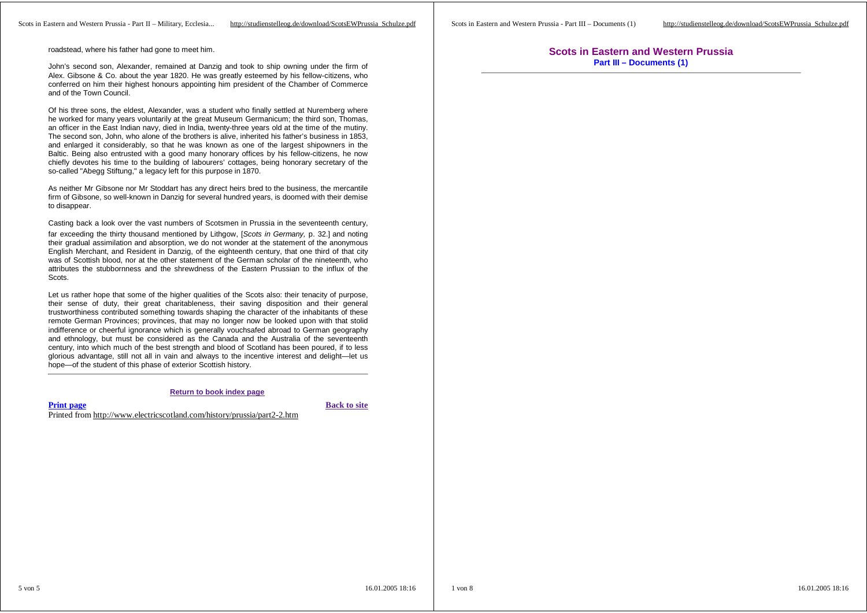roadstead, where his father had gone to meet him.

John's second son, Alexander, remained at Danzig and took to ship owning under the firm of Alex. Gibsone & Co. about the year 1820. He was greatly esteemed by his fellow-citizens, who conferred on him their highest honours appointing him president of the Chamber of Commerce and of the Town Council.

Of his three sons, the eldest, Alexander, was <sup>a</sup> student who finally settled at Nuremberg where he worked for many years voluntarily at the great Museum Germanicum; the third son, Thomas, an officer in the East Indian navy, died in India, twenty-three years old at the time of the mutiny. The second son, John, who alone of the brothers is alive, inherited his father's business in 1853, and enlarged it considerably, so that he was known as one of the largest shipowners in the Baltic. Being also entrusted with <sup>a</sup> good many honorary offices by his fellow-citizens, he now chiefly devotes his time to the building of labourers' cottages, being honorary secretary of the so-called "Abegg Stiftung," <sup>a</sup> legacy left for this purpose in 1870.

As neither Mr Gibsone nor Mr Stoddart has any direct heirs bred to the business, the mercantile firm of Gibsone, so well-known in Danzig for several hundred years, is doomed with their demise to disappear.

Casting back <sup>a</sup> look over the vast numbers of Scotsmen in Prussia in the seventeenth century,

far exceeding the thirty thousand mentioned by Lithgow, [*Scots in Germany,* p. 32.] and noting their gradual assimilation and absorption, we do not wonder at the statement of the anonymous English Merchant, and Resident in Danzig, of the eighteenth century, that one third of that city was of Scottish blood, nor at the other statement of the German scholar of the nineteenth, who attributes the stubbornness and the shrewdness of the Eastern Prussian to the influx of the Scots.

Let us rather hope that some of the higher qualities of the Scots also: their tenacity of purpose, their sense of duty, their great charitableness, their saving disposition and their general trustworthiness contributed something towards shaping the character of the inhabitants of these remote German Provinces; provinces, that may no longer now be looked upon with that stolid indifference or cheerful ignorance which is generally vouchsafed abroad to German geography and ethnology, but must be considered as the Canada and the Australia of the seventeenth century, into which much of the best strength and blood of Scotland has been poured, if to less glorious advantage, still not all in vain and always to the incentive interest and delight—let us hope—of the student of this phase of exterior Scottish history.

### **Return to book index page**

### **Print page Back <b>b Back <b>Back Back Back Back**

Printed from http://www.electricscotland.com/history/prussia/part2-2.htm

# **Scots in Eastern and Western Prussia Part III – Documents (1)**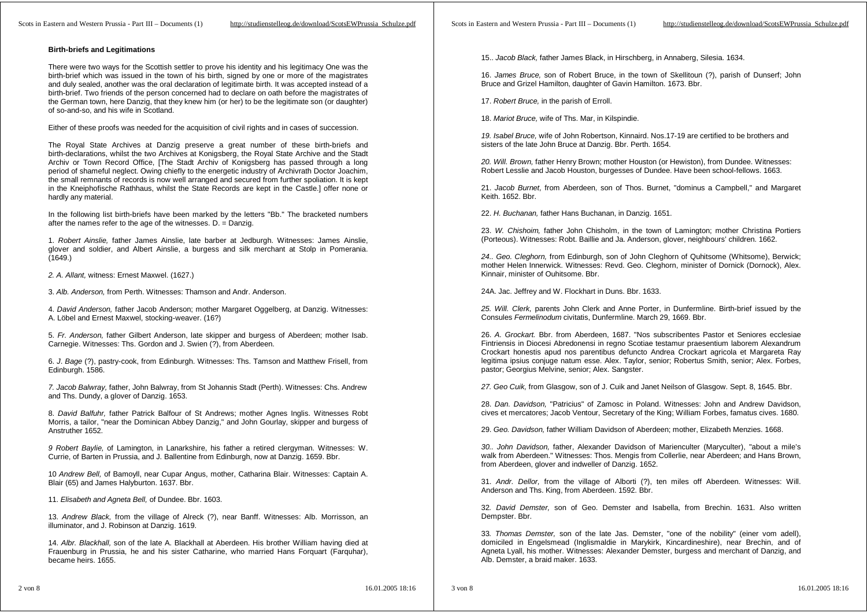### **Birth-briefs and Legitimations**

There were two ways for the Scottish settler to prove his identity and his legitimacy One was the birth-brief which was issued in the town of his birth, signed by one or more of the magistrates and duly sealed, another was the oral declaration of legitimate birth. It was accepted instead of a birth-brief. Two friends of the person concerned had to declare on oath before the magistrates of the German town, here Danzig, that they knew him (or her) to be the legitimate son (or daughter) of so-and-so, and his wife in Scotland.

Either of these proofs was needed for the acquisition of civil rights and in cases of succession.

The Royal State Archives at Danzig preserve <sup>a</sup> great number of these birth-briefs and birth-declarations, whilst the two Archives at Konigsberg, the Royal State Archive and the Stadt Archiv or Town Record Office, [The Stadt Archiv of Konigsberg has passed through <sup>a</sup> long period of shameful neglect. Owing chiefly to the energetic industry of Archivrath Doctor Joachim, the small remnants of records is now well arranged and secured from further spoliation. It is kept in the Kneiphofische Rathhaus, whilst the State Records are kept in the Castle.] offer none or hardly any material.

In the following list birth-briefs have been marked by the letters "Bb." The bracketed numbers after the names refer to the age of the witnesses. D. <sup>=</sup> Danzig.

1. *Robert Ainslie,* father James Ainslie, late barber at Jedburgh. Witnesses: James Ainslie, glover and soldier, and Albert Ainslie, <sup>a</sup> burgess and silk merchant at Stolp in Pomerania.  $(1649)$ 

*2. A. Allant,* witness: Ernest Maxwel. (1627.)

3. *Alb. Anderson,* from Perth. Witnesses: Thamson and Andr. Anderson.

4. *David Anderson,* father Jacob Anderson; mother Margaret Oggelberg, at Danzig. Witnesses: A. Löbel and Ernest Maxwel, stocking-weaver. (16?)

5. *Fr. Anderson,* father Gilbert Anderson, late skipper and burgess of Aberdeen; mother Isab. Carnegie. Witnesses: Ths. Gordon and J. Swien (?), from Aberdeen.

6. *J*. *Bage* (?), pastry-cook, from Edinburgh. Witnesses: Ths. Tamson and Matthew Frisell, from Edinburgh. 1586.

*7. Jacob Balwray,* father, John Balwray, from St Johannis Stadt (Perth). Witnesses: Chs. Andrew and Ths. Dundy, <sup>a</sup> glover of Danzig. 1653.

8. *David Balfuhr,* father Patrick Balfour of St Andrews; mother Agnes Inglis. Witnesses Robt Morris, <sup>a</sup> tailor, "near the Dominican Abbey Danzig," and John Gourlay, skipper and burgess of Anstruther 1652.

*9 Robert Baylie,* of Lamington, in Lanarkshire, his father <sup>a</sup> retired clergyman. Witnesses: W. Currie, of Barten in Prussia, and J. Ballentine from Edinburgh, now at Danzig. 1659. Bbr.

10 *Andrew Bell,* of Bamoyll, near Cupar Angus, mother, Catharina Blair. Witnesses: Captain A. Blair (65) and James Halyburton. 1637. Bbr.

11. *Elisabeth and Agneta Bell,* of Dundee. Bbr. 1603.

13. *Andrew Black,* from the village of Alreck (?), near Banff. Witnesses: Alb. Morrisson, an illuminator, and J. Robinson at Danzig. 1619.

14. *Albr. Blackhall,* son of the late A. Blackhall at Aberdeen. His brother William having died at Frauenburg in Prussia, he and his sister Catharine, who married Hans Forquart (Farquhar), became heirs. 1655.

15.. *Jacob Black,* father James Black, in Hirschberg, in Annaberg, Silesia. 1634.

16. *James Bruce,* son of Robert Bruce, in the town of Skellitoun (?), parish of Dunserf; John Bruce and Grizel Hamilton, daughter of Gavin Hamilton. 1673. Bbr.

17. *Robert Bruce*, in the parish of Erroll.

18. *Mariot Bruce,* wife of Ths. Mar, in Kilspindie.

*19. Isabel Bruce,* wife of John Robertson, Kinnaird. Nos.17-19 are certified to be brothers and sisters of the late John Bruce at Danzig. Bbr. Perth. 1654.

*20. Will. Brown,* father Henry Brown; mother Houston (or Hewiston), from Dundee. Witnesses: Robert Lesslie and Jacob Houston, burgesses of Dundee. Have been school-fellows. 1663.

21. *Jacob Burnet,* from Aberdeen, son of Thos. Burnet, "dominus <sup>a</sup> Campbell," and Margaret Keith. 1652. Bbr.

22. *H. Buchanan,* father Hans Buchanan, in Danzig. 1651.

23. *W. Chishoim,* father John Chisholm, in the town of Lamington; mother Christina Portiers (Porteous). Witnesses: Robt. Baillie and Ja. Anderson, glover, neighbours' children. 1662.

*24.. Geo. Cleghorn,* from Edinburgh, son of John Cleghorn of Quhitsome (Whitsome), Berwick; mother Helen Innerwick. Witnesses: Revd. Geo. Cleghorn, minister of Dornick (Dornock), Alex. Kinnair, minister of Ouhitsome. Bbr.

24A. Jac. Jeffrey and W. Flockhart in Duns. Bbr. 1633.

*25. Will. Clerk,* parents John Clerk and Anne Porter, in Dunfermline. Birth-brief issued by the Consules *Fermelinodum* civitatis, Dunfermline. March 29, 1669. Bbr.

26. *A. Grockart.* Bbr. from Aberdeen, 1687. "Nos subscribentes Pastor et Seniores ecclesiae Fintriensis in Diocesi Abredonensi in regno Scotiae testamur praesentium laborem Alexandrum Crockart honestis apud nos parentibus defuncto Andrea Crockart agricola et Margareta Ray legitima ipsius conjuge natum esse. Alex. Taylor, senior; Robertus Smith, senior; Alex. Forbes, pastor; Georgius Melvine, senior; Alex. Sangster.

*27. Geo Cuik,* from Glasgow, son of J. Cuik and Janet Neilson of Glasgow. Sept. 8, 1645. Bbr.

28. *Dan. Davidson,* "Patricius" of Zamosc in Poland. Witnesses: John and Andrew Davidson, cives et mercatores; Jacob Ventour, Secretary of the King; William Forbes, famatus cives. 1680.

29. *Geo. Davidson,* father William Davidson of Aberdeen; mother, Elizabeth Menzies. 1668.

*30.. John Davidson,* father, Alexander Davidson of Marienculter (Maryculter), "about <sup>a</sup> mile's walk from Aberdeen." Witnesses: Thos. Mengis from Collerlie, near Aberdeen; and Hans Brown, from Aberdeen, glover and indweller of Danzig. 1652.

31. *Andr. Dellor,* from the village of Alborti (?), ten miles off Aberdeen. Witnesses: Will. Anderson and Ths. King, from Aberdeen. 1592. Bbr.

32*. David Demster,* son of Geo. Demster and Isabella, from Brechin. 1631. Also written Dempster. Bbr.

33*. Thomas Demster,* son of the late Jas. Demster, "one of the nobility" (einer vom adell), domiciled in Engelsmead (Inglismaldie in Marykirk, Kincardineshire), near Brechin, and of Agneta Lyall, his mother. Witnesses: Alexander Demster, burgess and merchant of Danzig, and Alb. Demster, <sup>a</sup> braid maker. 1633.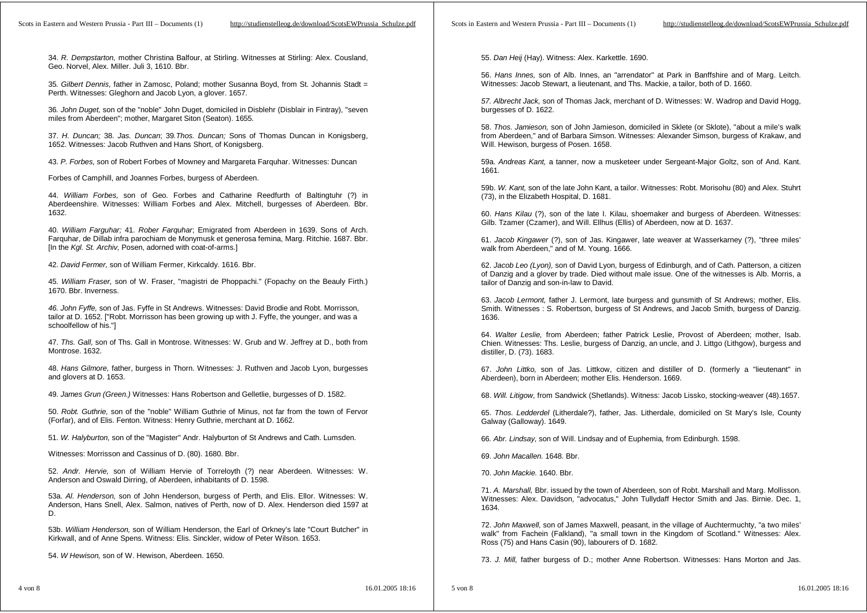34. *R. Dempstarton,* mother Christina Balfour, at Stirling. Witnesses at Stirling: Alex. Cousland, Geo. Norvel, Alex. Miller. Juli 3, 1610. Bbr.

35*. Gilbert Dennis,* father in Zamosc, Poland; mother Susanna Boyd, from St. Johannis Stadt = Perth. Witnesses: Gleghorn and Jacob Lyon, <sup>a</sup> glover. 1657.

36*. John Duget,* son of the "noble" John Duget, domiciled in Disblehr (Disblair in Fintray), "seven miles from Aberdeen"; mother, Margaret Siton (Seaton). 1655.

37. *H. Duncan;* 38. *Jas. Duncan*; 39*.Thos. Duncan;* Sons of Thomas Duncan in Konigsberg, 1652. Witnesses: Jacob Ruthven and Hans Short, of Konigsberg.

43. *P. Forbes,* son of Robert Forbes of Mowney and Margareta Farquhar. Witnesses: Duncan

Forbes of Camphill, and Joannes Forbes, burgess of Aberdeen.

44. *William Forbes,* son of Geo. Forbes and Catharine Reedfurth of Baltingtuhr (?) in Aberdeenshire. Witnesses: William Forbes and Alex. Mitchell, burgesses of Aberdeen. Bbr. 1632.

40. *William Farguhar;* 41. *Rober Farquhar*; Emigrated from Aberdeen in 1639. Sons of Arch. Farquhar, de Dillab infra parochiam de Monymusk et generosa femina, Marg. Ritchie. 1687. Bbr. [In the *Kgl. St. Archiv,* Posen, adorned with coat-of-arms.]

42. *David Fermer,* son of William Fermer, Kirkcaldy. 1616. Bbr.

45. *William Fraser,* son of W. Fraser, "magistri de Phoppachi." (Fopachy on the Beauly Firth.) 1670. Bbr. Inverness.

*46. John Fyffe,* son of Jas. Fyffe in St Andrews. Witnesses: David Brodie and Robt. Morrisson, tailor at D. 1652. ["Robt. Morrisson has been growing up with J. Fyffe, the younger, and was a schoolfellow of his."]

47. *Ths. Gall,* son of Ths. Gall in Montrose. Witnesses: W. Grub and W. Jeffrey at D., both from Montrose. 1632.

48. *Hans Gilmore,* father, burgess in Thorn. Witnesses: J. Ruthven and Jacob Lyon, burgesses and glovers at D. 1653.

49. *James Grun (Green.)* Witnesses: Hans Robertson and Gelletlie, burgesses of D. 1582.

50. *Robt. Guthrie,* son of the "noble" William Guthrie of Minus, not far from the town of Fervor (Forfar), and of Elis. Fenton. Witness: Henry Guthrie, merchant at D. 1662.

51. *W. Halyburton,* son of the "Magister" Andr. Halyburton of St Andrews and Cath. Lumsden.

Witnesses: Morrisson and Cassinus of D. (80). 1680. Bbr.

52. *Andr. Hervie,* son of William Hervie of Torreloyth (?) near Aberdeen. Witnesses: W. Anderson and Oswald Dirring, of Aberdeen, inhabitants of D. 1598.

53a. *Al. Henderson,* son of John Henderson, burgess of Perth, and Elis. Ellor. Witnesses: W. Anderson, Hans Snell, Alex. Salmon, natives of Perth, now of D. Alex. Henderson died 1597 at D.

53b. *William Henderson,* son of William Henderson, the Earl of Orkney's late "Court Butcher" in Kirkwall, and of Anne Spens. Witness: Elis. Sinckler, widow of Peter Wilson. 1653.

54. *W Hewison,* son of W. Hewison, Aberdeen. 1650.

55. *Dan Heij* (Hay). Witness: Alex. Karkettle. 1690.

56. *Hans Innes,* son of Alb. Innes, an "arrendator" at Park in Banffshire and of Marg. Leitch. Witnesses: Jacob Stewart, <sup>a</sup> lieutenant, and Ths. Mackie, a tailor, both of D. 1660.

*57. Albrecht Jack,* son of Thomas Jack, merchant of D. Witnesses: W. Wadrop and David Hogg, burgesses of D. 1622.

58. *Thos. Jamieson,* son of John Jamieson, domiciled in Sklete (or Sklote), "about <sup>a</sup> mile's walk from Aberdeen," and of Barbara Simson. Witnesses: Alexander Simson, burgess of Krakaw, and Will. Hewison, burgess of Posen. 1658.

59a. *Andreas Kant,* <sup>a</sup> tanner, now <sup>a</sup> musketeer under Sergeant-Major Goltz, son of And. Kant. 1661.

59b. *W. Kant,* son of the late John Kant, a tailor. Witnesses: Robt. Morisohu (80) and Alex. Stuhrt (73), in the Elizabeth Hospital, D. 1681.

60. *Hans Kilau* (?), son of the late I. Kilau, shoemaker and burgess of Aberdeen. Witnesses: Gilb. Tzamer (Czamer), and Will. Ellhus (Ellis) of Aberdeen, now at D. 1637.

61. *Jacob Kingawer* (?), son of Jas. Kingawer, late weaver at Wasserkarney (?), "three miles' walk from Aberdeen," and of M. Young. 1666.

62. *Jacob Leo (Lyon),* son of David Lyon, burgess of Edinburgh, and of Cath. Patterson, <sup>a</sup> citizen of Danzig and <sup>a</sup> glover by trade. Died without male issue. One of the witnesses is Alb. Morris, a tailor of Danzig and son-in-law to David.

63. *Jacob Lermont,* father J. Lermont, late burgess and gunsmith of St Andrews; mother, Elis. Smith. Witnesses : S. Robertson, burgess of St Andrews, and Jacob Smith, burgess of Danzig. 1636.

64. *Walter Leslie,* from Aberdeen; father Patrick Leslie, Provost of Aberdeen; mother, Isab. Chien. Witnesses: Ths. Leslie, burgess of Danzig, an uncle, and J. Littgo (Lithgow), burgess and distiller, D. (73). 1683.

67. *John Littko,* son of Jas. Littkow, citizen and distiller of D. (formerly <sup>a</sup> "lieutenant" in Aberdeen), born in Aberdeen; mother Elis. Henderson. 1669.

68. *Will. Litigow,* from Sandwick (Shetlands). Witness: Jacob Lissko, stocking-weaver (48).1657.

65. *Thos. Ledderdel* (Litherdale?), father, Jas. Litherdale, domiciled on St Mary's Isle, County Galway (Galloway). 1649.

66*. Abr. Lindsay,* son of Will. Lindsay and of Euphemia, from Edinburgh. 1598.

69. *John Macallen.* 1648. Bbr.

70. *John Mackie.* 1640. Bbr.

71. *A. Marshall,* Bbr. issued by the town of Aberdeen, son of Robt. Marshall and Marg. Mollisson. Witnesses: Alex. Davidson, "advocatus," John Tullydaff Hector Smith and Jas. Birnie. Dec. 1, 1634.

72. *John Maxwell,* son of James Maxwell, peasant, in the village of Auchtermuchty, "a two miles' walk" from Fachein (Falkland), "a small town in the Kingdom of Scotland." Witnesses: Alex. Ross (75) and Hans Casin (90), labourers of D. 1682.

73. *J. Mill,* father burgess of D.; mother Anne Robertson. Witnesses: Hans Morton and Jas.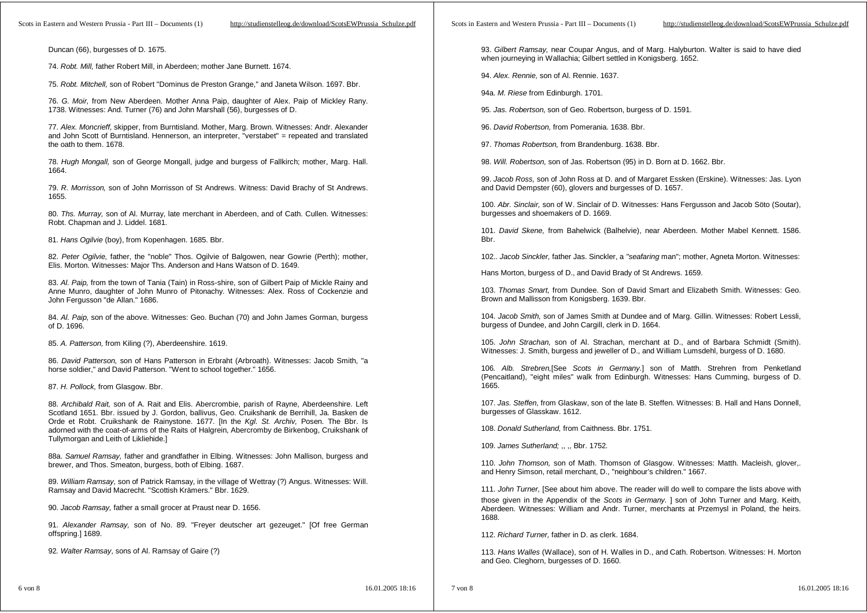Duncan (66), burgesses of D. 1675.

74. *Robt. Mill,* father Robert Mill, in Aberdeen; mother Jane Burnett. 1674.

75. *Robt. Mitchell,* son of Robert "Dominus de Preston Grange," and Janeta Wilson. 1697. Bbr.

76. *G. Moir,* from New Aberdeen. Mother Anna Paip, daughter of Alex. Paip of Mickley Rany. 1738. Witnesses: And. Turner (76) and John Marshall (56), burgesses of D.

77. *Alex. Moncrieff,* skipper, from Burntisland. Mother, Marg. Brown. Witnesses: Andr. Alexander and John Scott of Burntisland. Hennerson, an interpreter, "verstabet" <sup>=</sup> repeated and translated the oath to them. 1678.

78. *Hugh Mongall,* son of George Mongall, judge and burgess of Fallkirch; mother, Marg. Hall. 1664.

79. *R. Morrisson,* son of John Morrisson of St Andrews. Witness: David Brachy of St Andrews. 1655.

80. *Ths. Murray,* son of Al. Murray, late merchant in Aberdeen, and of Cath. Cullen. Witnesses: Robt. Chapman and J. Liddel. 1681.

81. *Hans Ogilvie* (boy), from Kopenhagen. 1685. Bbr.

82. *Peter Ogilvie,* father, the "noble" Thos. Ogilvie of Balgowen, near Gowrie (Perth); mother, Elis. Morton. Witnesses: Major Ths. Anderson and Hans Watson of D. 1649.

83. *Al. Paip,* from the town of Tania (Tain) in Ross-shire, son of Gilbert Paip of Mickle Rainy and Anne Munro, daughter of John Munro of Pitonachy. Witnesses: Alex. Ross of Cockenzie and John Fergusson "de Allan." 1686.

84. *Al. Paip,* son of the above. Witnesses: Geo. Buchan (70) and John James Gorman, burgess of D. 1696.

85. *A. Patterson,* from Kiling (?), Aberdeenshire. 1619.

86. *David Patterson,* son of Hans Patterson in Erbraht (Arbroath). Witnesses: Jacob Smith, "a horse soldier," and David Patterson. "Went to school together." 1656.

87. *H. Pollock,* from Glasgow. Bbr.

88. *Archibald Rait,* son of A. Rait and Elis. Abercrombie, parish of Rayne, Aberdeenshire. Left Scotland 1651. Bbr. issued by J. Gordon, ballivus, Geo. Cruikshank de Berrihill, Ja. Basken de Orde et Robt. Cruikshank de Rainystone. 1677. [In the *Kgl. St. Archiv,* Posen. The Bbr. Is adorned with the coat-of-arms of the Raits of Halgrein, Abercromby de Birkenbog, Cruikshank of Tullymorgan and Leith of Likliehide.]

88a. *Samuel Ramsay,* father and grandfather in Elbing. Witnesses: John Mallison, burgess and brewer, and Thos. Smeaton, burgess, both of Elbing. 1687.

89. *William Ramsay,* son of Patrick Ramsay, in the village of Wettray (?) Angus. Witnesses: Will. Ramsay and David Macrecht. "Scottish Krämers." Bbr. 1629.

90. *Jacob Ramsay,* father <sup>a</sup> small grocer at Praust near D. 1656.

91. *Alexander Ramsay,* son of No. 89. "Freyer deutscher art gezeuget." [Of free German offspring.] 1689.

92*. Walter Ramsay,* sons of Al. Ramsay of Gaire (?)

93. *Gilbert Ramsay,* near Coupar Angus, and of Marg. Halyburton. Walter is said to have died when journeying in Wallachia; Gilbert settled in Konigsberg. 1652.

94. *Alex. Rennie,* son of Al. Rennie. 1637.

94a. M. Riese from Edinburgh. 1701.

95*. Jas. Robertson,* son of Geo. Robertson, burgess of D. 1591.

96. *David Robertson,* from Pomerania. 1638. Bbr.

97. *Thomas Robertson,* from Brandenburg. 1638. Bbr.

98. *Will. Robertson,* son of Jas. Robertson (95) in D. Born at D. 1662. Bbr.

99. *Jacob Ross,* son of John Ross at D. and of Margaret Essken (Erskine). Witnesses: Jas. Lyon and David Dempster (60), glovers and burgesses of D. 1657.

100. *Abr. Sinclair,* son of W. Sinclair of D. Witnesses: Hans Fergusson and Jacob Söto (Soutar), burgesses and shoemakers of D. 1669.

101. *David Skene,* from Bahelwick (Balhelvie), near Aberdeen. Mother Mabel Kennett. 1586. Bbr.

102.. *Jacob Sinckler,* father Jas. Sinckler, <sup>a</sup> *"seafaring* man"; mother, Agneta Morton. Witnesses:

Hans Morton, burgess of D., and David Brady of St Andrews. 1659.

103. *Thomas Smart,* from Dundee. Son of David Smart and Elizabeth Smith. Witnesses: Geo. Brown and Mallisson from Konigsberg. 1639. Bbr.

104. *Jacob Smith,* son of James Smith at Dundee and of Marg. Gillin. Witnesses: Robert Lessli, burgess of Dundee, and John Cargill, clerk in D. 1664.

105. *John Strachan,* son of Al. Strachan, merchant at D., and of Barbara Schmidt (Smith). Witnesses: J. Smith, burgess and jeweller of D., and William Lumsdehl, burgess of D. 1680.

106*. Alb. Strebren,*[See *Scots in Germany.*] son of Matth. Strehren from Penketland (Pencaitland), "eight miles" walk from Edinburgh. Witnesses: Hans Cumming, burgess of D. 1665.

107. *Jas. Steffen,* from Glaskaw, son of the late B. Steffen. Witnesses: B. Hall and Hans Donnell, burgesses of Glasskaw. 1612.

108. *Donald Sutherland,* from Caithness. Bbr. 1751.

109. *James Sutherland;* ,, ,, Bbr. 1752.

110. *John Thomson,* son of Math. Thomson of Glasgow. Witnesses: Matth. Macleish, glover,. and Henry Simson, retail merchant, D., "neighbour's children." 1667.

111. *John Turner,* [See about him above. The reader will do well to compare the lists above with

those given in the Appendix of the *Scots in Germany.* ] son of John Turner and Marg. Keith, Aberdeen. Witnesses: William and Andr. Turner, merchants at Przemysl in Poland, the heirs. 1688.

112. *Richard Turner,* father in D. as clerk. 1684.

113. *Hans Walles* (Wallace), son of H. Walles in D., and Cath. Robertson. Witnesses: H. Morton and Geo. Cleghorn, burgesses of D. 1660.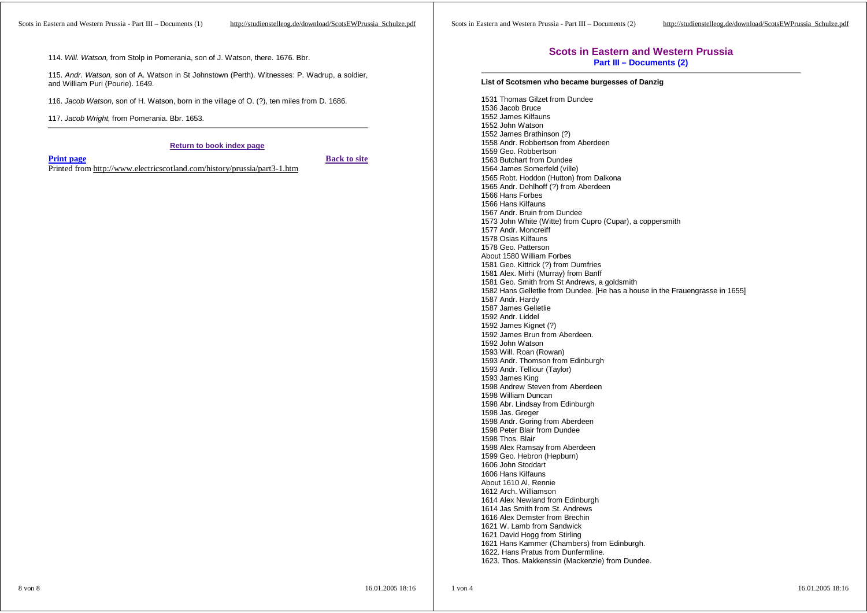114. *Will. Watson,* from Stolp in Pomerania, son of J. Watson, there. 1676. Bbr.

Printed from http://www.electricscotland.com/history/prussia/part3-1.htm

115. *Andr. Watson,* son of A. Watson in St Johnstown (Perth). Witnesses: P. Wadrup, <sup>a</sup> soldier, and William Puri (Pourie). 1649.

116. *Jacob Watson,* son of H. Watson, born in the village of O. (?), ten miles from D. 1686.

117. *Jacob Wright,* from Pomerania. Bbr. 1653.

**Return to book index page**

**Print page Back <b>Back Back Back Back** 

# **Scots in Eastern and Western Prussia Part III – Documents (2)**

### **List of Scotsmen who became burgesses of Danzig**

 Thomas Gilzet from Dundee Jacob Bruce James Kilfauns John Watson James Brathinson (?) Andr. Robbertson from Aberdeen 1559 Geo. Robbertson Butchart from Dundee James Somerfeld (ville) Robt. Hoddon (Hutton) from Dalkona Andr. Dehlhoff (?) from Aberdeen Hans Forbes Hans Kilfauns Andr. Bruin from Dundee John White (Witte) from Cupro (Cupar), <sup>a</sup> coppersmith Andr. Moncreiff 1578 Osias Kilfauns 1578 Geo. Patterson About 1580 William Forbes 1581 Geo. Kittrick (?) from Dumfries Alex. Mirhi (Murray) from Banff 1581 Geo. Smith from St Andrews, <sup>a</sup> goldsmith Hans Gelletlie from Dundee. [He has <sup>a</sup> house in the Frauengrasse in 1655] Andr. Hardy James Gelletlie Andr. Liddel James Kignet (?) James Brun from Aberdeen. John Watson Will. Roan (Rowan) Andr. Thomson from Edinburgh Andr. Telliour (Taylor) James King Andrew Steven from Aberdeen William Duncan Abr. Lindsay from Edinburgh Jas. Greger Andr. Goring from Aberdeen Peter Blair from Dundee Thos. Blair Alex Ramsay from Aberdeen 1599 Geo. Hebron (Hepburn) John Stoddart Hans Kilfauns About 1610 Al. Rennie Arch. Williamson Alex Newland from Edinburgh Jas Smith from St. Andrews Alex Demster from Brechin W. Lamb from Sandwick David Hogg from Stirling Hans Kammer (Chambers) from Edinburgh. 1622. Hans Pratus from Dunfermline. 1623. Thos. Makkenssin (Mackenzie) from Dundee.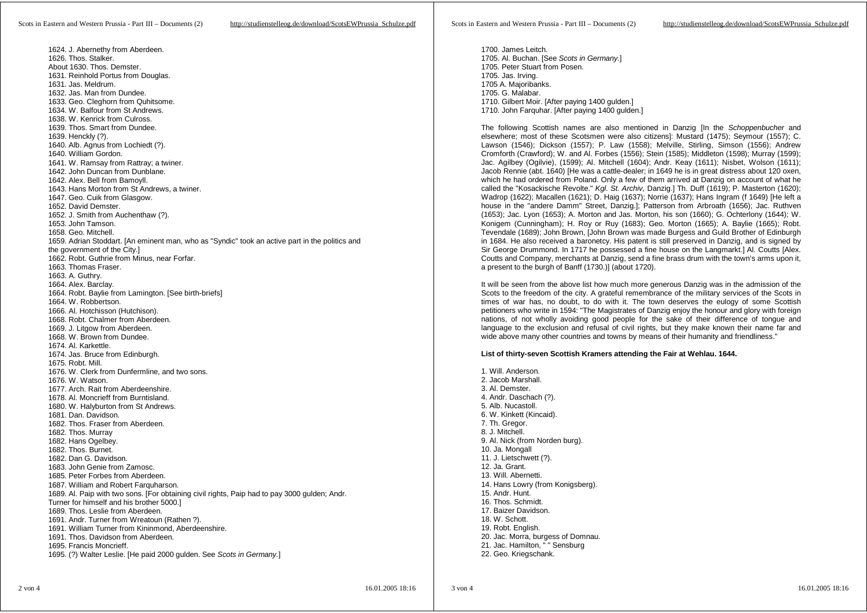1624. J. Abernethy from Aberdeen.

1640. Alb. Agnus from Lochiedt (?).

1647. Geo. Cuik from Glasgow. 1652. David Demster.

1652. J. Smith from Auchenthaw (?).

1641. W. Ramsay from Rattray; a twiner. 1642. John Duncan from Dunblane. 1642. Alex. Bell from Bamoyll.

1643. Hans Morton from St Andrews, a twiner.

1662. Robt. Guthrie from Minus, near Forfar.

1664. Robt. Baylie from Lamington. [See birth-briefs]

1676. W. Clerk from Dunfermline, and two sons.

1659. Adrian Stoddart. [An eminent man, who as "Syndic" took an active part in the politics and

1689. Al. Paip with two sons. [For obtaining civil rights, Paip had to pay 3000 gulden; Andr.

1695. (?) Walter Leslie. [He paid 2000 gulden. See *Scots in Germany.*]

1626. Thos. Stalker. About 1630. Thos. Demster. 1631. Reinhold Portus from Douglas.

1631. Jas. Meldrum. 1632. Jas. Man from Dundee. 1633. Geo. Cleghorn from Quhitsome. 1634. W. Balfour from St Andrews. 1638. W. Kenrick from Culross. 1639. Thos. Smart from Dundee.

1639. Henckly (?).

1640. William Gordon.

1653. John Tamson. 1658. Geo. Mitchell.

1663. Thomas Fraser. 1663. A. Guthry. 1664. Alex. Barclay.

1664. W. Robbertson. 1666. Al. Hotchisson (Hutchison). 1668. Robt. Chalmer from Aberdeen. 1669. J. Litgow from Aberdeen. 1668. W. Brown from Dundee.

1674. Al. Karkettle.

1675. Robt. Mill.

1676. W. Watson.

1681. Dan. Davidson.

1682. Thos. Murray 1682. Hans Ogelbey. 1682. Thos. Burnet. 1682. Dan G. Davidson. 1683. John Genie from Zamosc. 1685. Peter Forbes from Aberdeen. 1687. William and Robert Farquharson.

1674. Jas. Bruce from Edinburgh.

1677. Arch. Rait from Aberdeenshire. 1678. Al. Moncrieff from Burntisland. 1680. W. Halyburton from St Andrews.

1682. Thos. Fraser from Aberdeen.

Turner for himself and his brother 5000.] 1689. Thos. Leslie from Aberdeen.

1691. Thos. Davidson from Aberdeen.

1695. Francis Moncrieff.

1691. Andr. Turner from Wreatoun (Rathen ?). 1691. William Turner from Kininmond, Aberdeenshire.

the government of the City.]

1700. James Leitch. 1705. Al. Buchan. [See *Scots in Germany.*] 1705. Peter Stuart from Posen. 1705. Jas. Irving. 1705 A. Majoribanks. 1705. G. Malabar. 1710. Gilbert Moir. [After paying 1400 gulden.] 1710. John Farquhar. [After paying 1400 gulden.]

The following Scottish names are also mentioned in Danzig [In the *Schoppenbucher* and elsewhere; most of these Scotsmen were also citizens]: Mustard (1475); Seymour (1557); C. Lawson (1546); Dickson (1557); P. Law (1558); Melville, Stirling, Simson (1556); Andrew Cromforth (Crawford); W. and Al. Forbes (1556); Stein (1585); Middleton (1598); Murray (1599); Jac. Agilbey (Ogilvie), (1599); Al. Mitchell (1604); Andr. Keay (1611); Nisbet, Wolson (1611); Jacob Rennie (abt. 1640) [He was <sup>a</sup> cattle-dealer; in 1649 he is in great distress about 120 oxen, which he had ordered from Poland. Only <sup>a</sup> few of them arrived at Danzig on account of what he called the "Kosackische Revolte." *Kgl. St. Archiv,* Danzig.] Th. Duff (1619); P. Masterton (1620); Wadrop (1622); Macallen (1621); D. Haig (1637); Norrie (1637); Hans Ingram (f 1649) [He left a house in the "andere Damm" Street, Danzig.]; Patterson from Arbroath (1656); Jac. Ruthven (1653); Jac. Lyon (1653); A. Morton and Jas. Morton, his son (1660); G. Ochterlony (1644); W. Konigem (Cunningham); H. Roy or Ruy (1683); Geo. Morton (1665); A. Baylie (1665); Robt. Tevendale (1689); John Brown, [John Brown was made Burgess and Guild Brother of Edinburgh in 1684. He also received <sup>a</sup> baronetcy. His patent is still preserved in Danzig, and is signed by Sir George Drummond. In 1717 he possessed <sup>a</sup> fine house on the Langmarkt.] Al. Coutts [Alex. Coutts and Company, merchants at Danzig, send <sup>a</sup> fine brass drum with the town's arms upon it, <sup>a</sup> present to the burgh of Banff (1730.)] (about 1720).

It will be seen from the above list how much more generous Danzig was in the admission of the Scots to the freedom of the city. A grateful remembrance of the military services of the Scots in times of war has, no doubt, to do with it. The town deserves the eulogy of some Scottish petitioners who write in 1594: "The Magistrates of Danzig enjoy the honour and glory with foreign nations, of not wholly avoiding good people for the sake of their difference of tongue and language to the exclusion and refusal of civil rights, but they make known their name far and wide above many other countries and towns by means of their humanity and friendliness."

### **List of thirty-seven Scottish Kramers attending the Fair at Wehlau. 1644.**

1. Will. Anderson. 2. Jacob Marshall. 3. Al. Demster. 4. Andr. Daschach (?). 5. Alb. Nucastoll. 6. W. Kinkett (Kincaid). 7. Th. Gregor. 8. J. Mitchell. 9. Al. Nick (from Norden burg). 10. Ja. Mongall 11. J. Lietschwett (?). 12. Ja. Grant. 13. Will. Abernetti. 14. Hans Lowry (from Konigsberg). 15. Andr. Hunt. 16. Thos. Schmidt. 17. Baizer Davidson. 18. W. Schott. 19. Robt. English. 20. Jac. Morra, burgess of Domnau. 21. Jac. Hamilton, " " Sensburg 22. Geo. Kriegschank.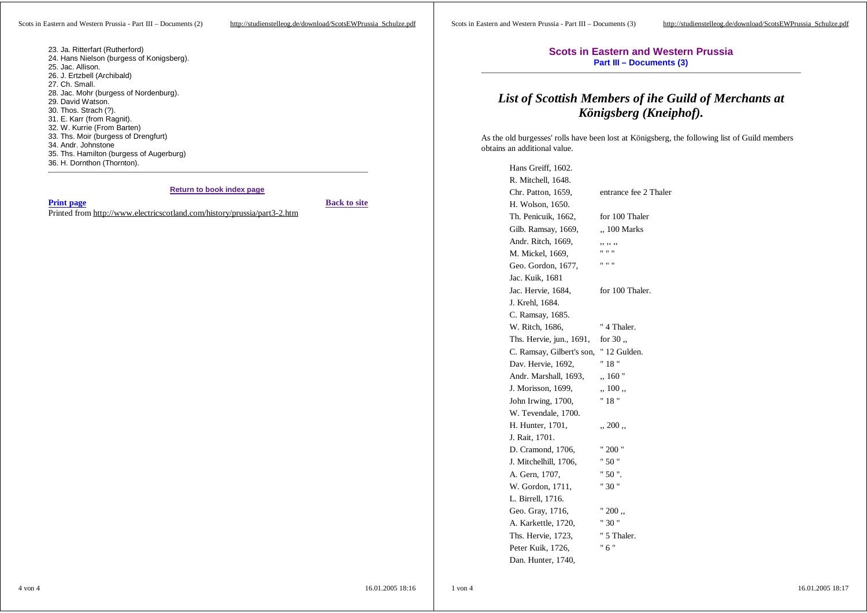23. Ja. Ritterfart (Rutherford) 24. Hans Nielson (burgess of Konigsberg). 25. Jac. Allison. 26. J. Ertzbell (Archibald) 27. Ch. Small. 28. Jac. Mohr (burgess of Nordenburg). 29. David Watson. 30. Thos. Strach (?). 31. E. Karr (from Ragnit). 32. W. Kurrie (From Barten) 33. Ths. Moir (burgess of Drengfurt) 34. Andr. Johnstone 35. Ths. Hamilton (burgess of Augerburg) 36. H. Dornthon (Thornton).

### **Return to book index page**

**Print page Back to** site

Printed from http://www.electricscotland.com/history/prussia/part3-2.htm

**Scots in Eastern and Western Prussia Part III – Documents (3)**

# *List of Scottish Members of ihe Guild of Merchants at Königsberg (Kneiphof).*

As the old burgesses' rolls have been lost at Königsberg, the following list of Guild members obtains an additional value.

| Hans Greiff, 1602.        |                       |
|---------------------------|-----------------------|
| R. Mitchell, 1648.        |                       |
| Chr. Patton, 1659,        | entrance fee 2 Thaler |
| H. Wolson, 1650.          |                       |
| Th. Penicuik, 1662,       | for 100 Thaler        |
| Gilb. Ramsay, 1669,       | ,, 100 Marks          |
| Andr. Ritch, 1669,        |                       |
| M. Mickel, 1669,          |                       |
| Geo. Gordon, 1677,        | .                     |
| Jac. Kuik, 1681           |                       |
| Jac. Hervie, 1684,        | for 100 Thaler.       |
| J. Krehl, 1684.           |                       |
| C. Ramsay, 1685.          |                       |
| W. Ritch, 1686,           | " 4 Thaler.           |
| Ths. Hervie, jun., 1691,  | for $30,$ ,           |
| C. Ramsay, Gilbert's son, | " 12 Gulden.          |
| Dav. Hervie, 1692,        | " 18 "                |
| Andr. Marshall, 1693,     | , 160"                |
| J. Morisson, 1699,        | ,, 100,               |
| John Irwing, 1700,        | " 18 "                |
| W. Tevendale, 1700.       |                       |
| H. Hunter, 1701,          | , 200,                |
| J. Rait, 1701.            |                       |
| D. Cramond, 1706,         | " 200 "               |
| J. Mitchelhill, 1706,     | " 50 "                |
| A. Gern, 1707,            | " 50 ".               |
| W. Gordon, 1711,          | " 30 "                |
| L. Birrell, 1716.         |                       |
| Geo. Gray, 1716,          | $^{\rm o}$ 200 ,,     |
| A. Karkettle, 1720,       | " 30 "                |
| Ths. Hervie, 1723,        | " 5 Thaler.           |
| Peter Kuik, 1726,         | " 6 "                 |
| Dan. Hunter, 1740,        |                       |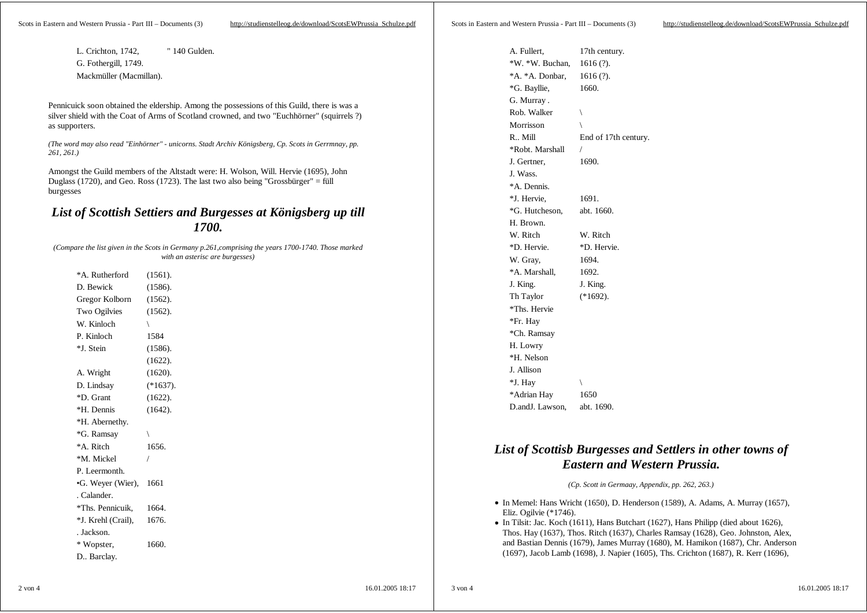L. Crichton, 1742, " 140 Gulden. G. Fothergill, 1749. Mackmüller (Macmillan).

Pennicuick soon obtained the eldership. Among the possessions of this Guild, there is was a silver shield with the Coat of Arms of Scotland crowned, and two "Euchhörner" (squirrels ?) as supporters.

(The word may also read "Einhörner" - unicorns. Stadt Archiv Königsberg, Cp. Scots in Gerrmnay, pp. *261, 261.)*

Amongst the Guild members of the Altstadt were: H. Wolson, Will. Hervie (1695), John Duglass (1720), and Geo. Ross (1723). The last two also being "Grossbürger" <sup>=</sup> füll burgesses

# *List of Scottish Settiers and Burgesses at Königsberg up till 1700.*

(Compare the list given in the Scots in Germany p.261, comprising the years 1700-1740. Those marked *with an asterisc are burgesses)*

| *A. Rutherford     | (1561).    |  |  |
|--------------------|------------|--|--|
| D. Bewick          | (1586).    |  |  |
| Gregor Kolborn     | (1562).    |  |  |
| Two Ogilvies       | (1562).    |  |  |
| W. Kinloch         | Ι          |  |  |
| P. Kinloch         | 1584       |  |  |
| *J. Stein          | (1586).    |  |  |
|                    | $(1622)$ . |  |  |
| A. Wright          | (1620).    |  |  |
| D. Lindsay         | $(*1637).$ |  |  |
| *D. Grant          | (1622).    |  |  |
| *H. Dennis         | (1642).    |  |  |
| *H. Abernethy.     |            |  |  |
| *G. Ramsay         | Ι          |  |  |
| *A. Ritch          | 1656.      |  |  |
| *M. Mickel         | 1          |  |  |
| P. Leermonth.      |            |  |  |
| •G. Weyer (Wier),  | 1661       |  |  |
| . Calander.        |            |  |  |
| *Ths. Pennicuik,   | 1664.      |  |  |
| *J. Krehl (Crail), | 1676.      |  |  |
| . Jackson.         |            |  |  |
| * Wopster,         | 1660.      |  |  |
| D. Barclay.        |            |  |  |

A. Fullert, 17th century. \*W. \*W. Buchan, 1616 (?). \*A. \*A. Donbar, 1616 (?). \*G. Bayllie, 1660. G. Murray . Rob. Walker \ Morrisson \ R.. Mill End of 17th century. \*Robt. Marshall / J. Gertner, 1690. J. Wass. \*A. Dennis. \*J. Hervie, 1691. \*G. Hutcheson, abt. 1660. H. Brown. W. Ritch W. Ritch \*D. Hervie. \*D. Hervie. W. Gray, 1694. \*A. Marshall, 1692. J. King. J. King. Th Taylor (\*1692). \*Ths. Hervie \*Fr. Hay \*Ch. Ramsay H. Lowry \*H. Nelson J. Allison  $*$ J. Hay  $\qquad \qquad \backslash$ \*Adrian Hay 1650 D.andJ. Lawson, abt. 1690.

# *List of Scottisb Burgesses and Settlers in other towns of Eastern and Western Prussia.*

*(Cp. Scott in Germaay, Appendix, pp. 262, 263.)*

- $\bullet$  In Memel: Hans Wricht (1650), D. Henderson (1589), A. Adams, A. Murray (1657), Eliz. Ogilvie (\*1746).
- In Tilsit: Jac. Koch (1611), Hans Butchart (1627), Hans Philipp (died about 1626), Thos. Hay (1637), Thos. Ritch (1637), Charles Ramsay (1628), Geo. Johnston, Alex, and Bastian Dennis (1679), James Murray (1680), M. Hamikon (1687), Chr. Anderson (1697), Jacob Lamb (1698), J. Napier (1605), Ths. Crichton (1687), R. Kerr (1696),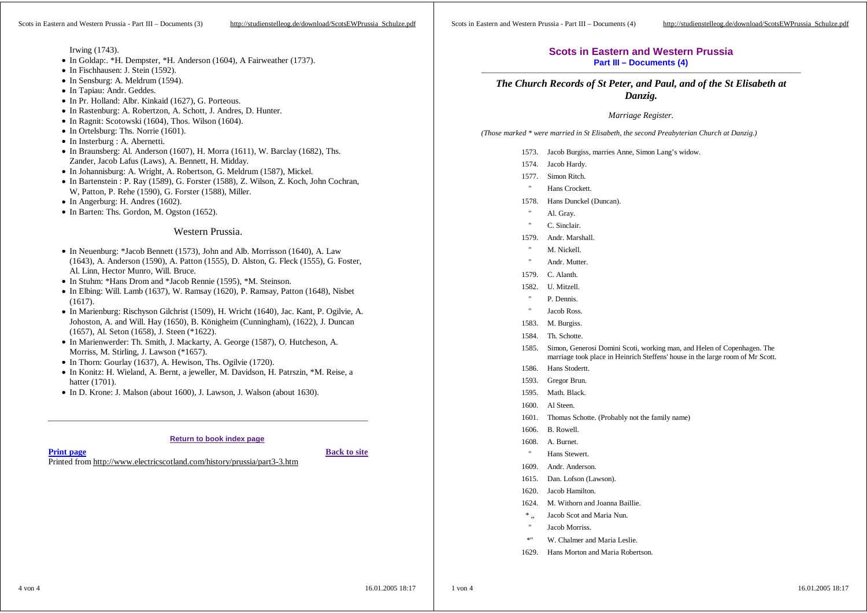### Irwing (1743).

- In Goldap:. \*H. Dempster, \*H. Anderson (1604), A Fairweather (1737).
- In Fischhausen: J. Stein (1592).
- In Sensburg: A. Meldrum (1594).
- In Tapiau: Andr. Geddes.
- In Pr. Holland: Albr. Kinkaid (1627), G. Porteous.
- In Rastenburg: A. Robertzon, A. Schott, J. Andres, D. Hunter.
- In Ragnit: Scotowski (1604), Thos. Wilson (1604).
- In Ortelsburg: Ths. Norrie (1601).
- In Insterburg : A. Abernetti.
- $\bullet$  In Braunsberg: Al. Anderson (1607), H. Morra (1611), W. Barclay (1682), Ths. Zander, Jacob Lafus (Laws), A. Bennett, H. Midday.
- In Johannisburg: A. Wright, A. Robertson, G. Meldrum (1587), Mickel.
- In Bartenstein : P. Ray (1589), G. Forster (1588), Z. Wilson, Z. Koch, John Cochran, W, Patton, P. Rehe (1590), G. Forster (1588), Miller.
- In Angerburg: H. Andres (1602).
- In Barten: Ths. Gordon, M. Ogston (1652).

### Western Prussia.

- In Neuenburg: \*Jacob Bennett (1573), John and Alb. Morrisson (1640), A. Law (1643), A. Anderson (1590), A. Patton (1555), D. Alston, G. Fleck (1555), G. Foster, Al. Linn, Hector Munro, Will. Bruce.
- In Stuhm: \*Hans Drom and \*Jacob Rennie (1595), \*M. Steinson.
- $\bullet$  In Elbing: Will. Lamb (1637), W. Ramsay (1620), P. Ramsay, Patton (1648), Nisbet (1617).
- In Marienburg: Rischyson Gilchrist (1509), H. Wricht (1640), Jac. Kant, P. Ogilvie, A. Johoston, A. and Will. Hay (1650), B. Königheim (Cunningham), (1622), J. Duncan (1657), Al. Seton (1658), J. Steen (\*1622).
- In Marienwerder: Th. Smith, J. Mackarty, A. George (1587), O. Hutcheson, A. Morriss, M. Stirling, J. Lawson (\*1657).
- In Thorn: Gourlay (1637), A. Hewison, Ths. Ogilvie (1720).

Printed from http://www.electricscotland.com/history/prussia/part3-3.htm

- In Konitz: H. Wieland, A. Bernt, <sup>a</sup> jeweller, M. Davidson, H. Patrszin, \*M. Reise, <sup>a</sup> hatter (1701).
- In D. Krone: J. Malson (about 1600), J. Lawson, J. Walson (about 1630).

## **Return to book index page**

### **Print page Back <b>b Back <b>b Back b Back b Back b Back b Back**

# **Scots in Eastern and Western Prussia Part III – Documents (4)**

# *The Church Records of St Peter, and Paul, and of the St Elisabeth at Danzig.*

### *Marriage Register.*

*(Those marked \* were married in St Elisabeth, the second Preabyterian Church at Danzig.)*

- 1573. Jacob Burgiss, marries Anne, Simon Lang's widow.
- 1574. Jacob Hardy.
- 1577. Simon Ritch.
- Hans Crockett.
- 1578. Hans Dunckel (Duncan).
- Al. Gray.
- C. Sinclair.
- 1579. Andr. Marshall.
- M. Nickell.
- Andr. Mutter.
- 1579. C. Alanth.
- 1582. U. Mitzell.
- P. Dennis.
- Jacob Ross.
- 1583. M. Burgiss.
- 1584. Th. Schotte.
- 1585. Simon, Generosi Domini Scoti, working man, and Helen of Copenhagen. The marriage took place in Heinrich Steffens' house in the large room of Mr Scott.
- 1586. Hans Stodertt.
- 1593. Gregor Brun.
- 1595. Math. Black.
- 1600. Al Steen.
- 1601. Thomas Schotte. (Probably not the family name)
- 1606. B. Rowell.
- 1608. A. Burnet.
- Hans Stewert.
- 1609. Andr. Anderson.
- 1615. Dan. Lofson (Lawson).
- 1620. Jacob Hamilton.
- 1624. M. Withorn and Joanna Baillie.
- \* ,, Jacob Scot and Maria Nun.
- Jacob Morriss.
- $\ast$  " W. Chalmer and Maria Leslie.
- 1629. Hans Morton and Maria Robertson.

### 4 von 4 16.01.2005 18:17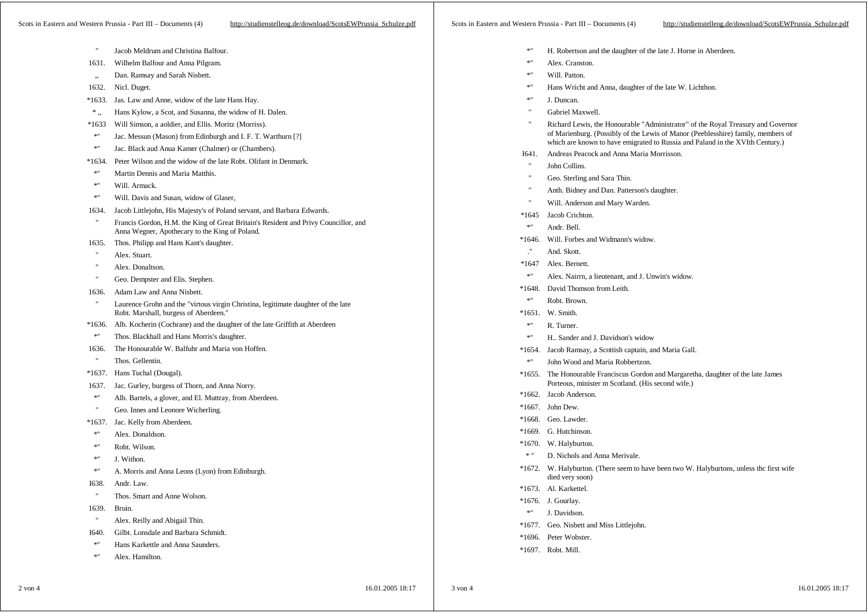\*"

- Jacob Meldrum and Christina Balfour.
- 1631. Wilhelm Balfour and Anna Pilgram.
- ,, Dan. Ramsay and Sarah Nisbett.
- 1632. Nicl. Duget.
- \*1633. Jas. Law and Anne, widow of the late Hans Hay.
- \* ,, Hans Kylow, <sup>a</sup> Scot, and Susanna, the widow of H. Dalen.
- \*1633 Will Simson, <sup>a</sup> aoldier, and Ellis. Moritz (Morriss).
- \*\* \*\* Jac. Messun (Mason) from Edinburgh and I. F. T. Warthurn [?]
- $\gg 0$ Jac. Black aud Anua Kamer (Chalmer) or (Chambers).
- \*1634. Peter Wilson and the widow of the late Robt. Olifant in Denmark.
- \*\* \*\* Martin Dennis and Maria Matthis.
- \*\* Will. Armack.
- \*"Will. Davis and Susan, widow of Glaser,
- 1634. Jacob Littlejohn, His Majesty's of Poland servant, and Barbara Edwards.
- Francis Gordon, H.M. the King of Great Britain's Resident and Privy Councillor, and Anna Wegner, Apothecary to the King of Poland.
- 1635. Thos. Philipp and Hans Kant's daughter.
- Alex. Stuart.
- Alex. Donaltson.
- Geo. Dempster and Elis. Stephen.
- 1636. Adam Law and Anna Nisbett.
- Laurence Grohn and the "virtous virgin Christina, legitimate daughter of the late Robt. Marshall, burgess of Aberdeen."
- \*1636. Alb. Kocherin (Cochrane) and the daughter of the late Griffith at Aberdeen
- $\gg 0$ Thos. Blackhall and Hans Morris's daughter.
- 1636. The Honourable W. Balfuhr and Maria von Hoffen.
- Thos. Gellentin.
- \*1637. Hans Tuchal (Dougal).
- 1637. Jac. Gurley, burgess of Thorn, and Anna Norry.
- \*\* Alb. Bartels, <sup>a</sup> glover, and El. Muttray, from Aberdeen.
- Geo. Innes and Leonore Wicherling.
- \*1637. Jac. Kelly from Aberdeen.
- \*\* \* Alex. Donaldson.
- \*\* \* Robt. Wilson.
- \*"J. Withon.
- \*"A. Morris and Anna Leons (Lyon) from Edinburgh.
- I638. Andr. Law.
- Thos. Smart and Anne Wolson.
- 1639. Bruin.
- Alex. Reilly and Abigail Thin.
- I640. Gilbt. Lonsdale and Barbara Schmidt.
- \*"Hans Karkettle and Anna Saunders.
- \*"Alex. Hamilton.
- H. Robertson and the daughter of the late J. Horne in Aberdeen.
- \*\* Alex. Cranston.
- \*"Will. Patton.
- \*"Hans Wricht and Anna, daughter of the late W. Lichthon.
- \*"J. Duncan.
- Gabriel Maxwell.
- Richard Lewis, the Honourable "Administrator" of the Royal Treasury and Governor of Marienburg. (Possibly of the Lewis of Manor (Peeblesshire) family, members of which are known to have emigrated to Russia and Paland in the XVIth Century.)
- I641. Andreas Peacock and Anna Maria Morrisson.
	- John Collins.
- "Geo. Sterling and Sara Thin.
- Anth. Bidney and Dan. Patterson's daughter.
- Will. Anderson and Mary Warden.
- \*1645 Jacob Crichton.
- \*"Andr. Bell.
- \*1646. Will. Forbes and Widmann's widow.
- ." And. Skott.
- \*1647 Alex. Bernett.
- \*"Alex. Nairrn, <sup>a</sup> lieutenant, and J. Unwin's widow.
- \*1648. David Thomson from Leith.
- \*"Robt. Brown.
- \*1651. W. Smith.
- \*"R. Turner.
- $\ast$  " H.. Sander and J. Davidson's widow
- \*1654. Jacob Ramsay, <sup>a</sup> Scottish captain, and Maria Gall.
- \*"John Wood and Maria Robbertzon.
- \*1655. The Honourable Franciscus Gordon and Margaretha, daughter of the late James Porteous, minister <sup>m</sup> Scotland. (His second wife.)
- \*1662. Jacob Anderson.
- \*1667. John Dew.
- \*1668. Geo. Lawder.
- \*1669. G. Hutchinson.
- \*1670. W. Halyburton.
- \* " D. Nichols and Anna Merivale.
- \*1672. W. Halyburton. (There seem to have been two W. Halyburtons, unless thc first wife died very soon)
- \*1673. Al. Karkettel.
- \*1676. J. Gourlay.
- $*$ " J. Davidson.
- \*1677. Geo. Nisbett and Miss Littlejohn.
- \*1696. Peter Wobster.
- \*1697. Robt. Mill.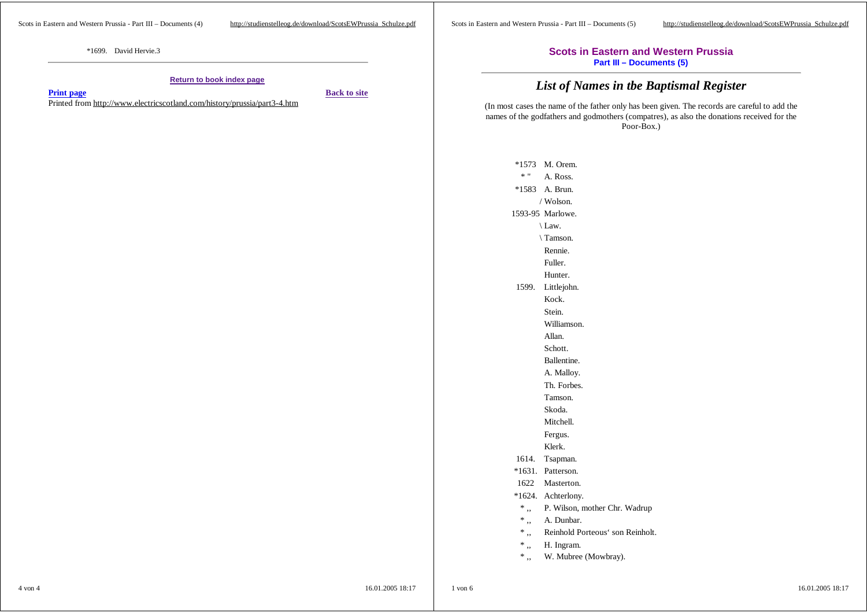\*1699. David Hervie.3

## **Return to book index page**

Printed from http://www.electricscotland.com/history/prussia/part3-4.htm

**Print page Back to site** 

# **Scots in Eastern and Western Prussia Part III – Documents (5)**

# *List of Names in tbe Baptismal Register*

(In most cases the name of the father only has been given. The records are careful to add the names of the godfathers and godmothers (compatres), as also the donations received for the Poor-Box.)

| $*1573$  | M. Orem.                         |
|----------|----------------------------------|
| * "      | A. Ross.                         |
|          | *1583 A. Brun.                   |
|          | / Wolson.                        |
|          | 1593-95 Marlowe.                 |
|          | Law.                             |
|          | \Tamson.                         |
|          | Rennie.                          |
|          | Fuller.                          |
|          | Hunter.                          |
| 1599.    | Littlejohn.                      |
|          | Kock.                            |
|          | Stein.                           |
|          | Williamson.                      |
|          | Allan.                           |
|          | Schott.                          |
|          | Ballentine.                      |
|          | A. Malloy.                       |
|          | Th. Forbes.                      |
|          | Tamson.                          |
|          | Skoda.                           |
|          | Mitchell.                        |
|          | Fergus.                          |
|          | Klerk.                           |
| 1614.    | Tsapman.                         |
| $*1631.$ | Patterson.                       |
| 1622     | Masterton.                       |
| $*1624.$ | Achterlony.                      |
| *        | P. Wilson, mother Chr. Wadrup    |
| *        | A. Dunbar.                       |
| *        | Reinhold Porteous' son Reinholt. |
| *<br>,,  | H. Ingram.                       |
| *<br>, , | W. Mubree (Mowbray).             |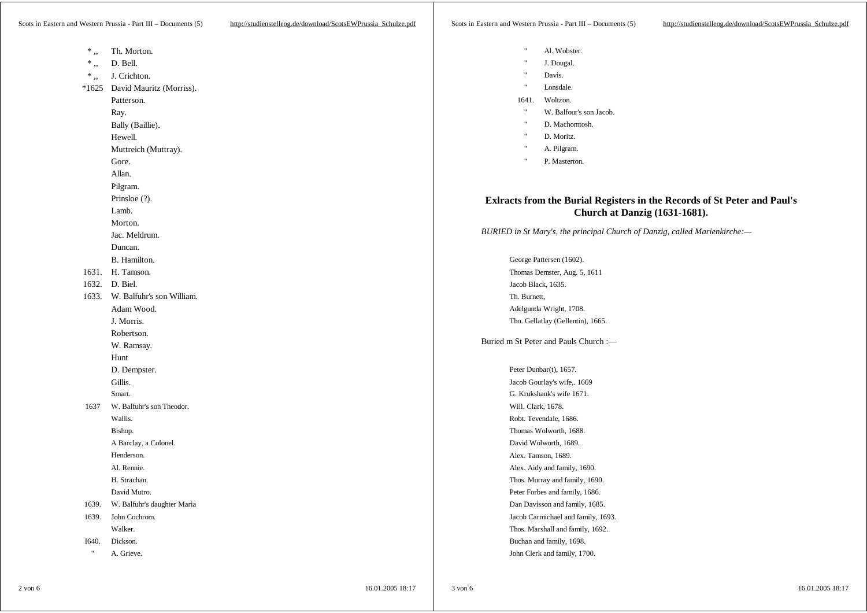| $^*$ ,  | Th. Morton.                 |
|---------|-----------------------------|
| * ,,    | D. Bell.                    |
| * ,,    | J. Crichton.                |
| $*1625$ | David Mauritz (Morriss).    |
|         | Patterson.                  |
|         | Ray.                        |
|         | Bally (Baillie).            |
|         | Hewell.                     |
|         | Muttreich (Muttray).        |
|         | Gore.                       |
|         | Allan.                      |
|         | Pilgram.                    |
|         | Prinsloe (?).               |
|         | Lamb.                       |
|         | Morton.                     |
|         | Jac. Meldrum.               |
|         | Duncan.                     |
|         | B. Hamilton.                |
| 1631.   | H. Tamson.                  |
|         | 1632. D. Biel.              |
| 1633.   | W. Balfuhr's son William.   |
|         | Adam Wood.                  |
|         | J. Morris.                  |
|         | Robertson.                  |
|         | W. Ramsay.                  |
|         | Hunt                        |
|         | D. Dempster.                |
|         | Gillis.                     |
|         | Smart.                      |
| 1637    | W. Balfuhr's son Theodor.   |
|         | Wallis.                     |
|         | Bishop.                     |
|         | A Barclay, a Colonel.       |
|         | Henderson.                  |
|         | Al. Rennie.                 |
|         | H. Strachan.                |
|         | David Mutro.                |
| 1639.   | W. Balfuhr's daughter Maria |
| 1639.   | John Cochrom.<br>Walker.    |
| I640.   | Dickson.                    |
|         |                             |

A. Grieve.

Al. Wobster.

- J. Dougal.
- "Davis.
- "Lonsdale.
- 1641. Woltzon.
- "W. Balfour's son Jacob.
- "D. Machomtosh.
- D. Moritz.
- A. Pilgram.
- P. Masterton.

# **Exlracts from the Burial Registers in the Records of St Peter and Paul's Church at Danzig (1631-1681).**

BURIED in St Mary's, the principal Church of Danzig, called Marienkirche:-

George Pattersen (1602). Thomas Demster, Aug. 5, 1611 Jacob Black, 1635. Th. Burnett, Adelgunda Wright, 1708. Tho. Gellatlay (Gellentin), 1665.

Buried <sup>m</sup> St Peter and Pauls Church :—

Peter Dunbar(t), 1657. Jacob Gourlay's wife,. 1669 G. Krukshank's wife 1671. Will. Clark, 1678. Robt. Tevendale, 1686. Thomas Wolworth, 1688. David Wolworth, 1689. Alex. Tamson, 1689. Alex. Aidy and family, 1690. Thos. Murray and family, 1690. Peter Forbes and family, 1686. Dan Davisson and family, 1685. Jacob Carmichael and family, 1693. Thos. Marshall and family, 1692. Buchan and family, 1698. John Clerk and family, 1700.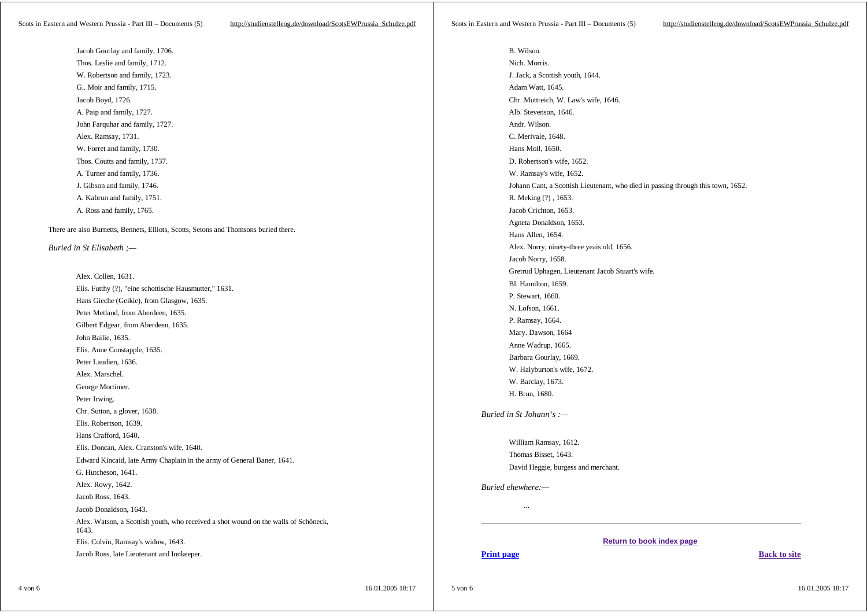Jacob Gourlay and family, 1706. Thos. Leslie and family, 1712. W. Robertson and family, 1723. G.. Moir and family, 1715. Jacob Boyd, 1726. A. Paip and family, 1727. John Farquhar and family, 1727. Alex. Ramsay, 1731. W. Forret and family, 1730. Thos. Coutts and family, 1737. A. Turner and family, 1736. J. Gibson and family, 1746. A. Kabrun and family, 1751. A. Ross and family, 1765.

There are also Burnetts, Bennets, Elliots, Scotts, Setons and Thomsons buried there.

*Buried in St Elisabeth ;—*

Alex. Collen, 1631. Elis. Futthy (?), "eine schottische Hausmutter," 1631. Hans Gieche (Geikie), from Glasgow, 1635. Peter Metland, from Aberdeen, 1635. Gilbert Edgear, from Aberdeen, 1635. John Bailie, 1635. Elis. Anne Constapple, 1635. Peter Laudien, 1636. Alex. Marschel. George Mortimer. Peter Irwing. Chr. Sutton, <sup>a</sup> glover, 1638. Elis. Robertson, 1639. Hans Crafford, 1640. Elis. Doncan, Alex. Cranston's wife, 1640. Edward Kincaid, late Army Chaplain in the army of General Baner, 1641. G. Hutcheson, 1641. Alex. Rowy, 1642. Jacob Ross, 1643. Jacob Donaldson, 1643. Alex. Watson, <sup>a</sup> Scottish youth, who received <sup>a</sup> shot wound on the walls of Schöneck, 1643. Elis. Colvin, Ramsay's widow, 1643. Jacob Ross, late Lieutenant and Innkeeper.

B. Wilson. Nich. Morris. J. Jack, <sup>a</sup> Scottish youth, 1644. Adam Watt, 1645. Chr. Muttreich, W. Law's wife, 1646. Alb. Stevenson, 1646. Andr. Wilson. C. Merivale, 1648. Hans Moll, 1650. D. Robertson's wife, 1652. W. Ramsay's wife, 1652. Johann Cant, <sup>a</sup> Scottish Lieutenant, who died in passing through this town, 1652. R. Meking (?) , 1653. Jacob Crichton, 1653. Agneta Donaldson, 1653. Hans Allen, 1654. Alex. Norry, ninety-three yeais old, 1656. Jacob Norry, 1658. Gretrud Uphagen, Lieutenant Jacob Stuart's wife. Bl. Hamilton, 1659. P. Stewart, 1660. N. Lofson, 1661. P. Ramsay, 1664. Mary. Dawson, 1664 Anne Wadrup, 1665. Barbara Gourlay, 1669. W. Halyburton's wife, 1672. W. Barclay, 1673. H. Brun, 1680.

*Buried in St Johann's :—*

William Ramsay, 1612. Thomas Bisset, 1643. David Heggie, burgess and merchant.

*Buried ehewhere:—*

...

**Return to book index page**

**Print page Back to site**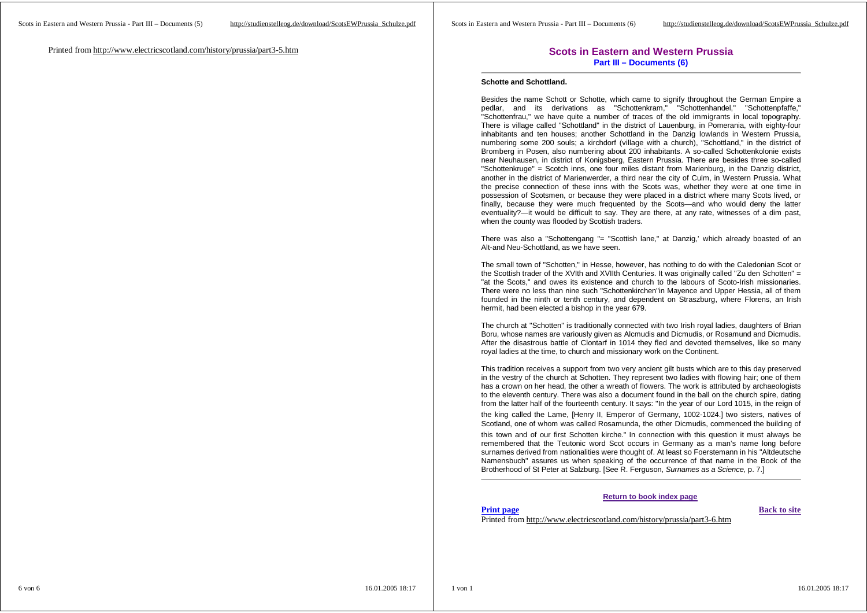Printed from http://www.electricscotland.com/history/prussia/part3-5.htm

# **Scots in Eastern and Western Prussia Part III – Documents (6)**

### **Schotte and Schottland.**

Besides the name Schott or Schotte, which came to signify throughout the German Empire a pedlar, and its derivations as "Schottenkram," "Schottenhandel," "Schottenpfaffe," "Schottenfrau," we have quite <sup>a</sup> number of traces of the old immigrants in local topography. There is village called "Schottland" in the district of Lauenburg, in Pomerania, with eighty-four inhabitants and ten houses; another Schottland in the Danzig lowlands in Western Prussia, numbering some 200 souls; <sup>a</sup> kirchdorf (village with <sup>a</sup> church), "Schottland," in the district of Bromberg in Posen, also numbering about 200 inhabitants. A so-called Schottenkolonie exists near Neuhausen, in district of Konigsberg, Eastern Prussia. There are besides three so-called "Schottenkruge" <sup>=</sup> Scotch inns, one four miles distant from Marienburg, in the Danzig district, another in the district of Marienwerder, <sup>a</sup> third near the city of Culm, in Western Prussia. What the precise connection of these inns with the Scots was, whether they were at one time in possession of Scotsmen, or because they were placed in <sup>a</sup> district where many Scots lived, or finally, because they were much frequented by the Scots—and who would deny the latter eventuality?—it would be difficult to say. They are there, at any rate, witnesses of <sup>a</sup> dim past, when the county was flooded by Scottish traders.

There was also <sup>a</sup> "Schottengang "= "Scottish lane," at Danzig,' which already boasted of an Alt-and Neu-Schottland, as we have seen.

The small town of "Schotten," in Hesse, however, has nothing to do with the Caledonian Scot or the Scottish trader of the XVIth and XVIIth Centuries. It was originally called "Zu den Schotten" = "at the Scots," and owes its existence and church to the labours of Scoto-Irish missionaries. There were no less than nine such "Schottenkirchen"in Mayence and Upper Hessia, all of them founded in the ninth or tenth century, and dependent on Straszburg, where Florens, an Irish hermit, had been elected <sup>a</sup> bishop in the year 679.

The church at "Schotten" is traditionally connected with two Irish royal ladies, daughters of Brian Boru, whose names are variously given as Alcmudis and Dicmudis, or Rosamund and Dicmudis. After the disastrous battle of Clontarf in 1014 they fled and devoted themselves, like so many royal ladies at the time, to church and missionary work on the Continent.

This tradition receives <sup>a</sup> support from two very ancient gilt busts which are to this day preserved in the vestry of the church at Schotten. They represent two ladies with flowing hair; one of them has <sup>a</sup> crown on her head, the other <sup>a</sup> wreath of flowers. The work is attributed by archaeologists to the eleventh century. There was also <sup>a</sup> document found in the ball on the church spire, dating from the latter half of the fourteenth century. It says: "In the year of our Lord 1015, in the reign of

the king called the Lame, [Henry II, Emperor of Germany, 1002-1024.] two sisters, natives of Scotland, one of whom was called Rosamunda, the other Dicmudis, commenced the building of

this town and of our first Schotten kirche." In connection with this question it must always be remembered that the Teutonic word Scot occurs in Germany as <sup>a</sup> man's name long before surnames derived from nationalities were thought of. At least so Foerstemann in his "Altdeutsche Namensbuch" assures us when speaking of the occurrence of that name in the Book of the Brotherhood of St Peter at Salzburg. [See R. Ferguson, *Surnames as <sup>a</sup> Science,* p. 7.]

## **Return to book index page**

**Print page Back <b>Back Back <b>Back Back Back Back** 

Printed from http://www.electricscotland.com/history/prussia/part3-6.htm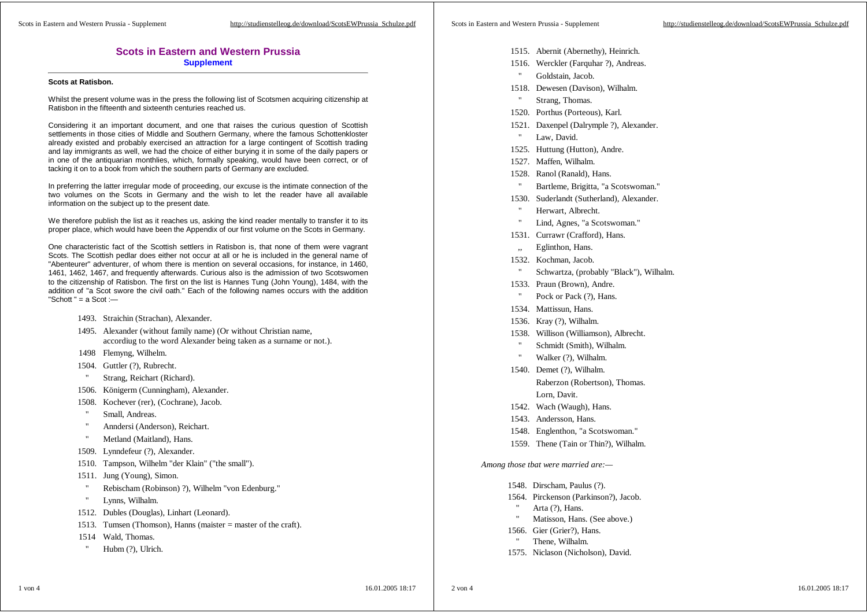# **Scots in Eastern and Western Prussia Supplement**

### **Scots at Ratisbon.**

Whilst the present volume was in the press the following list of Scotsmen acquiring citizenship at Ratisbon in the fifteenth and sixteenth centuries reached us.

Considering it an important document, and one that raises the curious question of Scottish settlements in those cities of Middle and Southern Germany, where the famous Schottenkloster already existed and probably exercised an attraction for <sup>a</sup> large contingent of Scottish trading and lay immigrants as well, we had the choice of either burying it in some of the daily papers or in one of the antiquarian monthlies, which, formally speaking, would have been correct, or of tacking it on to <sup>a</sup> book from which the southern parts of Germany are excluded.

In preferring the latter irregular mode of proceeding, our excuse is the intimate connection of the two volumes on the Scots in Germany and the wish to let the reader have all available information on the subject up to the present date.

We therefore publish the list as it reaches us, asking the kind reader mentally to transfer it to its proper place, which would have been the Appendix of our first volume on the Scots in Germany.

One characteristic fact of the Scottish settlers in Ratisbon is, that none of them were vagrant Scots. The Scottish pedlar does either not occur at all or he is included in the general name of "Abenteurer" adventurer, of whom there is mention on several occasions, for instance, in 1460, 1461, 1462, 1467, and frequently afterwards. Curious also is the admission of two Scotswomen to the citizenship of Ratisbon. The first on the list is Hannes Tung (John Young), 1484, with the addition of "a Scot swore the civil oath." Each of the following names occurs with the addition "Schott " =  $a$  Scot :-

- 1493. Straichin (Strachan), Alexander.
- 1495. Alexander (without family name) (Or without Christian name, accordiug to the word Alexander being taken as <sup>a</sup> surname or not.).
- 1498 Flemyng, Wilhelm.
- 1504. Guttler (?), Rubrecht.
- Strang, Reichart (Richard).
- 1506. Königerm (Cunningham), Alexander.
- 1508. Kochever (rer), (Cochrane), Jacob.
- Small, Andreas.
- "Anndersi (Anderson), Reichart.
- "Metland (Maitland), Hans.
- 1509. Lynndefeur (?), Alexander.
- 1510. Tampson, Wilhelm "der Klain" ("the small").
- 1511. Jung (Young), Simon.
- Rebischam (Robinson) ?), Wilhelm "von Edenburg."
- "Lynns, Wilhalm.
- 1512. Dubles (Douglas), Linhart (Leonard).
- 1513. Tumsen (Thomson), Hanns (maister <sup>=</sup> master of the craft).
- 1514 Wald, Thomas.
	- "Hubm (?), Ulrich.
- 1515. Abernit (Abernethy), Heinrich.
- 1516. Werckler (Farquhar ?), Andreas.
- Goldstain, Jacob.
- 1518. Dewesen (Davison), Wilhalm.
	- Strang, Thomas.
- 1520. Porthus (Porteous), Karl.
- 1521. Daxenpel (Dalrymple ?), Alexander.
- "Law, David.
- 1525. Huttung (Hutton), Andre.
- 1527. Maffen, Wilhalm.
- 1528. Ranol (Ranald), Hans.
- Bartleme, Brigitta, "a Scotswoman."
- 1530. Suderlandt (Sutherland), Alexander.
- Herwart, Albrecht.
- Lind, Agnes, "a Scotswoman."
- 1531. Currawr (Crafford), Hans.
	- Eglinthon, Hans.
- 1532. Kochman, Jacob.
- Schwartza, (probably "Black"), Wilhalm.
- 1533. Praun (Brown), Andre.
- Pock or Pack (?), Hans.
- 1534. Mattissun, Hans.
- 1536. Kray (?), Wilhalm.
- 1538. Willison (Williamson), Albrecht.
- "Schmidt (Smith), Wilhalm.
- Walker (?), Wilhalm.
- 1540. Demet (?), Wilhalm. Raberzon (Robertson), Thomas. Lorn, Davit.
- 1542. Wach (Waugh), Hans.
- 1543. Andersson, Hans.
- 1548. Englenthon, "a Scotswoman."
- 1559. Thene (Tain or Thin?), Wilhalm.

### *Among those tbat were married are:—*

- 1548. Dirscham, Paulus (?).
- 1564. Pirckenson (Parkinson?), Jacob.
- Arta (?), Hans.
- Matisson, Hans. (See above.)
- 1566. Gier (Grier?), Hans.
- "Thene, Wilhalm.
- 1575. Niclason (Nicholson), David.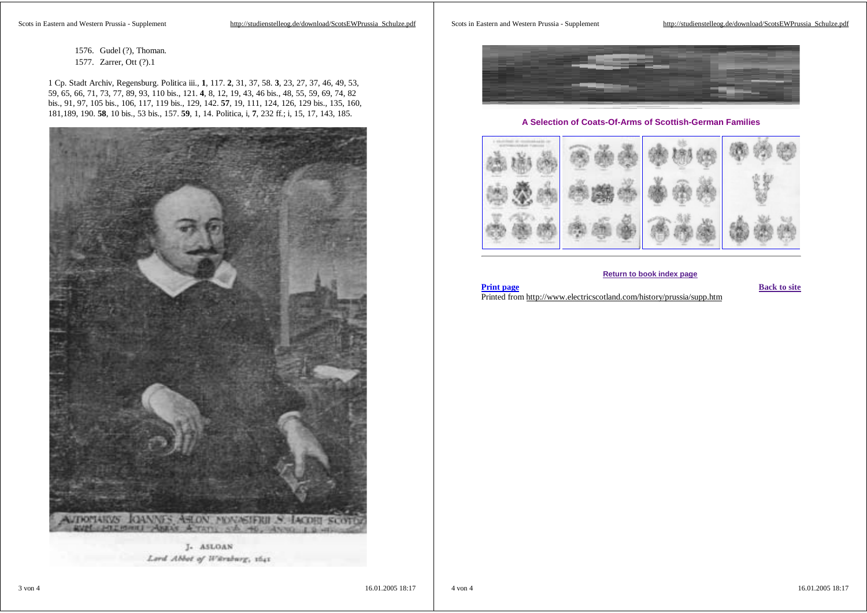Scots in Eastern and Western Prussia - Supplement http://studienstelleog.de/download/ScotsEWPrussia\_Schulze.pdf

1576. Gudel (?), Thoman. 1577. Zarrer, Ott (?).1

1 Cp. Stadt Archiv, Regensburg. Politica iii., **1**, 117. **2**, 31, 37, 58. **3**, 23, 27, 37, 46, 49, 53, 59, 65, 66, 71, 73, 77, 89, 93, 110 bis., 121. **4**, 8, 12, 19, 43, 46 bis., 48, 55, 59, 69, 74, 82 bis., 91, 97, 105 bis., 106, 117, 119 bis., 129, 142. **57**, 19, 111, 124, 126, 129 bis., 135, 160, 181,189, 190. **58**, 10 bis., 53 bis., 157. **59**, 1, 14. Politica, i, **7**, 232 ff.; i, 15, 17, 143, 185.



J- ASLOAN Lord Abbot of Würzburg, 1641



### **A Selection of Coats-Of-Arms of Scottish-German Families**



# **Return to book index page**

### **Print page Back**  $\bf{a}$  **Back**  $\bf{b}$  **Back**  $\bf{c}$  **Back**  $\bf{c}$  **Back**  $\bf{c}$  **Back**  $\bf{c}$ Printed from http://www.electricscotland.com/history/prussia/supp.htm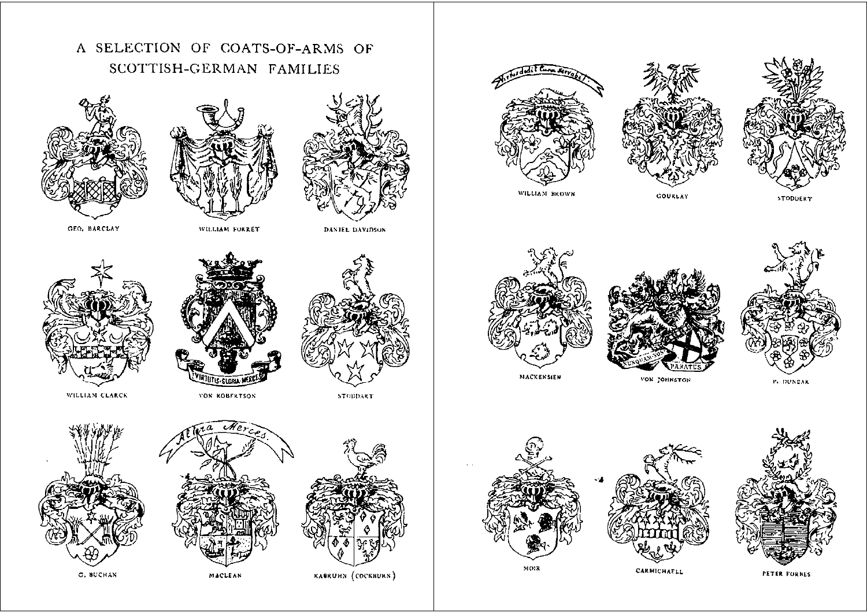



A SELECTION OF COATS-OF-ARMS OF

SCOTTISH-GERMAN FAMILIES



GEO. BARCLAY









**VON ROBERTSON** 







KARRUHN (COCKHURS)







MACKENSIEN





P. DUNEAR



 $MOR$ 

**CARMICHAELL** 

**PETER FORBES**